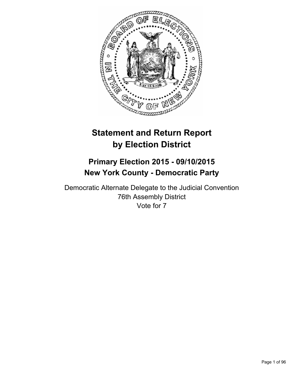

# **Statement and Return Report by Election District**

# **Primary Election 2015 - 09/10/2015 New York County - Democratic Party**

Democratic Alternate Delegate to the Judicial Convention 76th Assembly District Vote for 7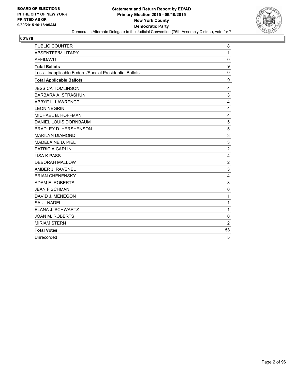

| <b>PUBLIC COUNTER</b>                                    | 8                |
|----------------------------------------------------------|------------------|
| ABSENTEE/MILITARY                                        | $\mathbf{1}$     |
| <b>AFFIDAVIT</b>                                         | 0                |
| <b>Total Ballots</b>                                     | $\boldsymbol{9}$ |
| Less - Inapplicable Federal/Special Presidential Ballots | 0                |
| <b>Total Applicable Ballots</b>                          | 9                |
| <b>JESSICA TOMLINSON</b>                                 | 4                |
| <b>BARBARA A. STRASHUN</b>                               | 3                |
| ABBYE L. LAWRENCE                                        | 4                |
| <b>LEON NEGRIN</b>                                       | 4                |
| MICHAEL B. HOFFMAN                                       | 4                |
| DANIEL LOUIS DORNBAUM                                    | 5                |
| BRADLEY D. HERSHENSON                                    | 5                |
| <b>MARILYN DIAMOND</b>                                   | 3                |
| MADELAINE D. PIEL                                        | 3                |
| <b>PATRICIA CARLIN</b>                                   | $\boldsymbol{2}$ |
| <b>LISA K PASS</b>                                       | 4                |
| <b>DEBORAH MALLOW</b>                                    | $\overline{2}$   |
| AMBER J. RAVENEL                                         | 3                |
| <b>BRIAN CHENENSKY</b>                                   | 4                |
| ADAM E. ROBERTS                                          | 3                |
| <b>JEAN FISCHMAN</b>                                     | $\mathbf 0$      |
| DAVID J. MENEGON                                         | 1                |
| <b>SAUL NADEL</b>                                        | 1                |
| ELANA J. SCHWARTZ                                        | $\mathbf 1$      |
| <b>JOAN M. ROBERTS</b>                                   | 0                |
| <b>MIRIAM STERN</b>                                      | $\overline{2}$   |
| <b>Total Votes</b>                                       | 58               |
| Unrecorded                                               | 5                |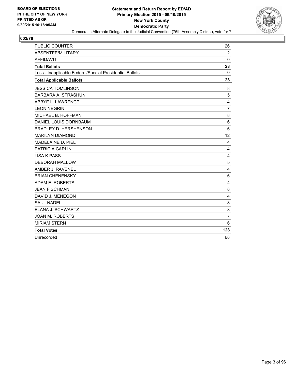

| <b>PUBLIC COUNTER</b>                                    | 26             |
|----------------------------------------------------------|----------------|
| ABSENTEE/MILITARY                                        | $\overline{2}$ |
| <b>AFFIDAVIT</b>                                         | $\Omega$       |
| <b>Total Ballots</b>                                     | 28             |
| Less - Inapplicable Federal/Special Presidential Ballots | 0              |
| <b>Total Applicable Ballots</b>                          | 28             |
| <b>JESSICA TOMLINSON</b>                                 | 8              |
| <b>BARBARA A. STRASHUN</b>                               | 5              |
| ABBYE L. LAWRENCE                                        | 4              |
| <b>LEON NEGRIN</b>                                       | $\overline{7}$ |
| MICHAEL B. HOFFMAN                                       | 8              |
| DANIEL LOUIS DORNBAUM                                    | 6              |
| <b>BRADLEY D. HERSHENSON</b>                             | 6              |
| <b>MARILYN DIAMOND</b>                                   | 12             |
| MADELAINE D. PIEL                                        | 4              |
| <b>PATRICIA CARLIN</b>                                   | 4              |
| <b>LISA K PASS</b>                                       | $\overline{4}$ |
| <b>DEBORAH MALLOW</b>                                    | 5              |
| AMBER J. RAVENEL                                         | 4              |
| <b>BRIAN CHENENSKY</b>                                   | 6              |
| ADAM E. ROBERTS                                          | 4              |
| <b>JEAN FISCHMAN</b>                                     | 8              |
| DAVID J. MENEGON                                         | 4              |
| <b>SAUL NADEL</b>                                        | 8              |
| ELANA J. SCHWARTZ                                        | 8              |
| <b>JOAN M. ROBERTS</b>                                   | $\overline{7}$ |
| <b>MIRIAM STERN</b>                                      | 6              |
| <b>Total Votes</b>                                       | 128            |
| Unrecorded                                               | 68             |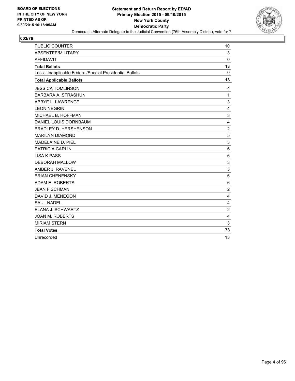

| <b>PUBLIC COUNTER</b>                                    | 10             |
|----------------------------------------------------------|----------------|
| ABSENTEE/MILITARY                                        | 3              |
| <b>AFFIDAVIT</b>                                         | $\Omega$       |
| <b>Total Ballots</b>                                     | 13             |
| Less - Inapplicable Federal/Special Presidential Ballots | 0              |
| <b>Total Applicable Ballots</b>                          | 13             |
| <b>JESSICA TOMLINSON</b>                                 | 4              |
| <b>BARBARA A. STRASHUN</b>                               | 1              |
| ABBYE L. LAWRENCE                                        | 3              |
| <b>LEON NEGRIN</b>                                       | 4              |
| MICHAEL B. HOFFMAN                                       | 3              |
| DANIEL LOUIS DORNBAUM                                    | 4              |
| <b>BRADLEY D. HERSHENSON</b>                             | $\overline{2}$ |
| <b>MARILYN DIAMOND</b>                                   | 5              |
| MADELAINE D. PIEL                                        | 3              |
| <b>PATRICIA CARLIN</b>                                   | 6              |
| <b>LISA K PASS</b>                                       | 6              |
| <b>DEBORAH MALLOW</b>                                    | 3              |
| AMBER J. RAVENEL                                         | 3              |
| <b>BRIAN CHENENSKY</b>                                   | 6              |
| ADAM E. ROBERTS                                          | 6              |
| <b>JEAN FISCHMAN</b>                                     | $\overline{2}$ |
| DAVID J. MENEGON                                         | 4              |
| <b>SAUL NADEL</b>                                        | 4              |
| ELANA J. SCHWARTZ                                        | $\overline{2}$ |
| <b>JOAN M. ROBERTS</b>                                   | 4              |
| <b>MIRIAM STERN</b>                                      | 3              |
| <b>Total Votes</b>                                       | 78             |
| Unrecorded                                               | 13             |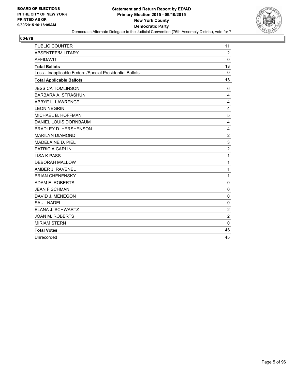

| PUBLIC COUNTER                                           | 11             |
|----------------------------------------------------------|----------------|
| ABSENTEE/MILITARY                                        | $\overline{2}$ |
| <b>AFFIDAVIT</b>                                         | $\Omega$       |
| <b>Total Ballots</b>                                     | 13             |
| Less - Inapplicable Federal/Special Presidential Ballots | $\mathbf{0}$   |
| <b>Total Applicable Ballots</b>                          | 13             |
| <b>JESSICA TOMLINSON</b>                                 | 6              |
| <b>BARBARA A. STRASHUN</b>                               | 4              |
| ABBYE L. LAWRENCE                                        | 4              |
| <b>LEON NEGRIN</b>                                       | 4              |
| MICHAEL B. HOFFMAN                                       | 5              |
| DANIEL LOUIS DORNBAUM                                    | 4              |
| <b>BRADLEY D. HERSHENSON</b>                             | 4              |
| <b>MARILYN DIAMOND</b>                                   | $\overline{c}$ |
| MADELAINE D. PIEL                                        | 3              |
| PATRICIA CARLIN                                          | $\overline{2}$ |
| <b>LISA K PASS</b>                                       | 1              |
| <b>DEBORAH MALLOW</b>                                    | 1              |
| AMBER J. RAVENEL                                         | 1              |
| <b>BRIAN CHENENSKY</b>                                   | 1              |
| ADAM E. ROBERTS                                          | 0              |
| <b>JEAN FISCHMAN</b>                                     | $\mathbf 0$    |
| DAVID J. MENEGON                                         | $\mathbf 0$    |
| <b>SAUL NADEL</b>                                        | 0              |
| ELANA J. SCHWARTZ                                        | $\mathbf 2$    |
| <b>JOAN M. ROBERTS</b>                                   | $\overline{2}$ |
| <b>MIRIAM STERN</b>                                      | 0              |
| <b>Total Votes</b>                                       | 46             |
| Unrecorded                                               | 45             |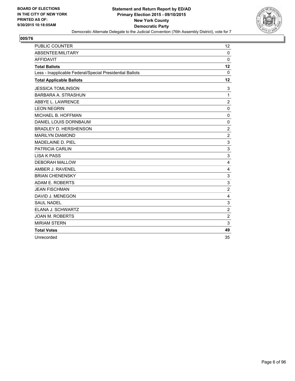

| <b>PUBLIC COUNTER</b>                                    | 12             |
|----------------------------------------------------------|----------------|
| ABSENTEE/MILITARY                                        | $\mathbf 0$    |
| <b>AFFIDAVIT</b>                                         | $\Omega$       |
| <b>Total Ballots</b>                                     | 12             |
| Less - Inapplicable Federal/Special Presidential Ballots | 0              |
| <b>Total Applicable Ballots</b>                          | 12             |
| <b>JESSICA TOMLINSON</b>                                 | 3              |
| <b>BARBARA A. STRASHUN</b>                               | 1              |
| ABBYE L. LAWRENCE                                        | $\overline{2}$ |
| <b>LEON NEGRIN</b>                                       | $\mathbf{0}$   |
| MICHAEL B. HOFFMAN                                       | $\mathbf 0$    |
| DANIEL LOUIS DORNBAUM                                    | $\mathbf 0$    |
| <b>BRADLEY D. HERSHENSON</b>                             | $\overline{2}$ |
| <b>MARILYN DIAMOND</b>                                   | $\overline{2}$ |
| MADELAINE D. PIEL                                        | 3              |
| <b>PATRICIA CARLIN</b>                                   | 3              |
| <b>LISA K PASS</b>                                       | 3              |
| <b>DEBORAH MALLOW</b>                                    | 4              |
| AMBER J. RAVENEL                                         | 4              |
| <b>BRIAN CHENENSKY</b>                                   | 3              |
| ADAM E. ROBERTS                                          | 3              |
| <b>JEAN FISCHMAN</b>                                     | $\overline{2}$ |
| DAVID J. MENEGON                                         | 4              |
| <b>SAUL NADEL</b>                                        | 3              |
| ELANA J. SCHWARTZ                                        | $\overline{2}$ |
| <b>JOAN M. ROBERTS</b>                                   | $\overline{2}$ |
| <b>MIRIAM STERN</b>                                      | 3              |
| <b>Total Votes</b>                                       | 49             |
| Unrecorded                                               | 35             |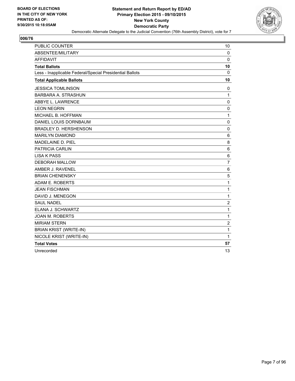

| <b>PUBLIC COUNTER</b>                                    | 10             |
|----------------------------------------------------------|----------------|
| ABSENTEE/MILITARY                                        | $\Omega$       |
| <b>AFFIDAVIT</b>                                         | 0              |
| <b>Total Ballots</b>                                     | 10             |
| Less - Inapplicable Federal/Special Presidential Ballots | $\mathbf{0}$   |
| <b>Total Applicable Ballots</b>                          | 10             |
| <b>JESSICA TOMLINSON</b>                                 | 0              |
| BARBARA A. STRASHUN                                      | $\mathbf{1}$   |
| ABBYE L. LAWRENCE                                        | 0              |
| <b>LEON NEGRIN</b>                                       | 0              |
| MICHAEL B. HOFFMAN                                       | 1              |
| DANIEL LOUIS DORNBAUM                                    | $\mathbf 0$    |
| <b>BRADLEY D. HERSHENSON</b>                             | $\mathbf 0$    |
| <b>MARILYN DIAMOND</b>                                   | 6              |
| MADELAINE D. PIEL                                        | 8              |
| <b>PATRICIA CARLIN</b>                                   | 6              |
| <b>LISA K PASS</b>                                       | 6              |
| <b>DEBORAH MALLOW</b>                                    | $\overline{7}$ |
| AMBER J. RAVENEL                                         | 6              |
| <b>BRIAN CHENENSKY</b>                                   | 5              |
| ADAM E. ROBERTS                                          | 1              |
| <b>JEAN FISCHMAN</b>                                     | 1              |
| DAVID J. MENEGON                                         | 1              |
| <b>SAUL NADEL</b>                                        | $\overline{2}$ |
| ELANA J. SCHWARTZ                                        | 1              |
| <b>JOAN M. ROBERTS</b>                                   | 1              |
| <b>MIRIAM STERN</b>                                      | $\overline{c}$ |
| <b>BRIAN KRIST (WRITE-IN)</b>                            | 1              |
| NICOLE KRIST (WRITE-IN)                                  | 1              |
| <b>Total Votes</b>                                       | 57             |
| Unrecorded                                               | 13             |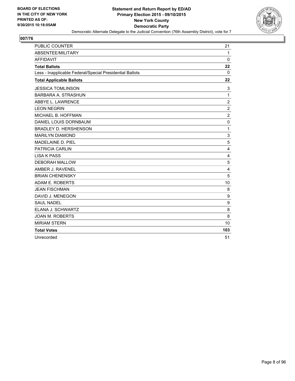

| <b>PUBLIC COUNTER</b>                                    | 21             |
|----------------------------------------------------------|----------------|
| ABSENTEE/MILITARY                                        | $\mathbf{1}$   |
| <b>AFFIDAVIT</b>                                         | $\Omega$       |
| <b>Total Ballots</b>                                     | 22             |
| Less - Inapplicable Federal/Special Presidential Ballots | 0              |
| <b>Total Applicable Ballots</b>                          | 22             |
| <b>JESSICA TOMLINSON</b>                                 | 3              |
| <b>BARBARA A. STRASHUN</b>                               | 1              |
| ABBYE L. LAWRENCE                                        | $\overline{2}$ |
| <b>LEON NEGRIN</b>                                       | $\overline{2}$ |
| MICHAEL B. HOFFMAN                                       | $\overline{2}$ |
| DANIEL LOUIS DORNBAUM                                    | $\mathbf 0$    |
| <b>BRADLEY D. HERSHENSON</b>                             | 1              |
| <b>MARILYN DIAMOND</b>                                   | 3              |
| MADELAINE D. PIEL                                        | 5              |
| <b>PATRICIA CARLIN</b>                                   | 4              |
| <b>LISA K PASS</b>                                       | 4              |
| <b>DEBORAH MALLOW</b>                                    | 5              |
| AMBER J. RAVENEL                                         | 4              |
| <b>BRIAN CHENENSKY</b>                                   | 5              |
| ADAM E. ROBERTS                                          | 10             |
| <b>JEAN FISCHMAN</b>                                     | 8              |
| DAVID J. MENEGON                                         | 9              |
| <b>SAUL NADEL</b>                                        | 9              |
| ELANA J. SCHWARTZ                                        | 8              |
| <b>JOAN M. ROBERTS</b>                                   | 8              |
| <b>MIRIAM STERN</b>                                      | 10             |
| <b>Total Votes</b>                                       | 103            |
| Unrecorded                                               | 51             |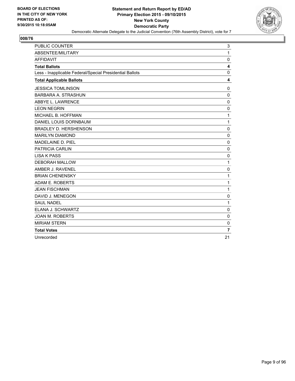

| <b>PUBLIC COUNTER</b>                                    | 3              |
|----------------------------------------------------------|----------------|
| ABSENTEE/MILITARY                                        | 1              |
| <b>AFFIDAVIT</b>                                         | $\mathbf 0$    |
| <b>Total Ballots</b>                                     | 4              |
| Less - Inapplicable Federal/Special Presidential Ballots | 0              |
| <b>Total Applicable Ballots</b>                          | 4              |
| <b>JESSICA TOMLINSON</b>                                 | $\mathbf{0}$   |
| BARBARA A. STRASHUN                                      | $\Omega$       |
| ABBYE L. LAWRENCE                                        | $\mathbf 0$    |
| <b>LEON NEGRIN</b>                                       | 0              |
| MICHAEL B. HOFFMAN                                       | 1              |
| DANIEL LOUIS DORNBAUM                                    | 1              |
| <b>BRADLEY D. HERSHENSON</b>                             | $\mathbf 0$    |
| <b>MARILYN DIAMOND</b>                                   | $\Omega$       |
| MADELAINE D. PIEL                                        | $\mathbf 0$    |
| PATRICIA CARLIN                                          | $\mathbf 0$    |
| <b>LISA K PASS</b>                                       | $\mathbf 0$    |
| <b>DEBORAH MALLOW</b>                                    | 1              |
| AMBER J. RAVENEL                                         | 0              |
| <b>BRIAN CHENENSKY</b>                                   | 1              |
| ADAM E. ROBERTS                                          | 1              |
| <b>JEAN FISCHMAN</b>                                     | 1              |
| DAVID J. MENEGON                                         | 0              |
| <b>SAUL NADEL</b>                                        | 1              |
| ELANA J. SCHWARTZ                                        | 0              |
| <b>JOAN M. ROBERTS</b>                                   | 0              |
| <b>MIRIAM STERN</b>                                      | $\mathbf 0$    |
| <b>Total Votes</b>                                       | $\overline{7}$ |
| Unrecorded                                               | 21             |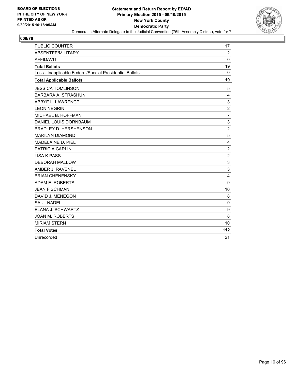

| PUBLIC COUNTER                                           | 17             |
|----------------------------------------------------------|----------------|
| ABSENTEE/MILITARY                                        | 2              |
| <b>AFFIDAVIT</b>                                         | $\mathbf{0}$   |
| <b>Total Ballots</b>                                     | 19             |
| Less - Inapplicable Federal/Special Presidential Ballots | $\mathbf{0}$   |
| <b>Total Applicable Ballots</b>                          | 19             |
| <b>JESSICA TOMLINSON</b>                                 | 5              |
| BARBARA A. STRASHUN                                      | 4              |
| ABBYE L. LAWRENCE                                        | 3              |
| <b>LEON NEGRIN</b>                                       | $\overline{2}$ |
| MICHAEL B. HOFFMAN                                       | $\overline{7}$ |
| DANIEL LOUIS DORNBAUM                                    | 3              |
| <b>BRADLEY D. HERSHENSON</b>                             | $\overline{2}$ |
| <b>MARILYN DIAMOND</b>                                   | 5              |
| MADELAINE D. PIEL                                        | 4              |
| <b>PATRICIA CARLIN</b>                                   | $\overline{2}$ |
| <b>LISA K PASS</b>                                       | $\overline{2}$ |
| <b>DEBORAH MALLOW</b>                                    | 3              |
| AMBER J. RAVENEL                                         | 3              |
| <b>BRIAN CHENENSKY</b>                                   | 4              |
| ADAM E. ROBERTS                                          | 9              |
| <b>JEAN FISCHMAN</b>                                     | 10             |
| DAVID J. MENEGON                                         | 8              |
| <b>SAUL NADEL</b>                                        | 9              |
| ELANA J. SCHWARTZ                                        | 9              |
| <b>JOAN M. ROBERTS</b>                                   | 8              |
| <b>MIRIAM STERN</b>                                      | 10             |
| <b>Total Votes</b>                                       | 112            |
| Unrecorded                                               | 21             |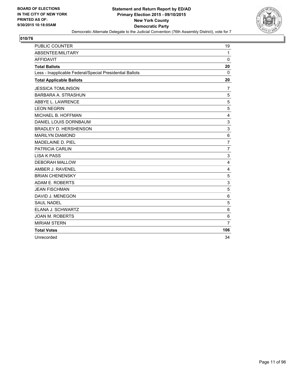

| PUBLIC COUNTER                                           | 19             |
|----------------------------------------------------------|----------------|
| <b>ABSENTEE/MILITARY</b>                                 | $\mathbf{1}$   |
| <b>AFFIDAVIT</b>                                         | $\Omega$       |
| <b>Total Ballots</b>                                     | 20             |
| Less - Inapplicable Federal/Special Presidential Ballots | $\Omega$       |
| <b>Total Applicable Ballots</b>                          | 20             |
| <b>JESSICA TOMLINSON</b>                                 | 7              |
| BARBARA A. STRASHUN                                      | 5              |
| ABBYE L. LAWRENCE                                        | 5              |
| <b>LEON NEGRIN</b>                                       | 5              |
| MICHAEL B. HOFFMAN                                       | 4              |
| DANIEL LOUIS DORNBAUM                                    | 3              |
| <b>BRADLEY D. HERSHENSON</b>                             | 3              |
| <b>MARILYN DIAMOND</b>                                   | 6              |
| MADELAINE D. PIEL                                        | $\overline{7}$ |
| <b>PATRICIA CARLIN</b>                                   | $\overline{7}$ |
| <b>LISA K PASS</b>                                       | 3              |
| <b>DEBORAH MALLOW</b>                                    | 4              |
| AMBER J. RAVENEL                                         | 4              |
| <b>BRIAN CHENENSKY</b>                                   | 5              |
| ADAM E. ROBERTS                                          | 3              |
| <b>JEAN FISCHMAN</b>                                     | 5              |
| DAVID J. MENEGON                                         | 6              |
| <b>SAUL NADEL</b>                                        | 5              |
| ELANA J. SCHWARTZ                                        | 6              |
| <b>JOAN M. ROBERTS</b>                                   | 6              |
| <b>MIRIAM STERN</b>                                      | $\overline{7}$ |
| <b>Total Votes</b>                                       | 106            |
| Unrecorded                                               | 34             |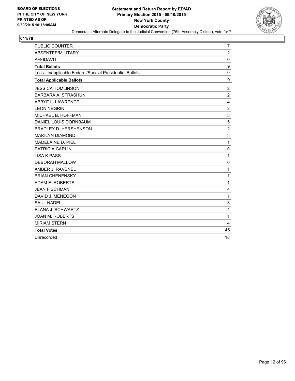

| <b>PUBLIC COUNTER</b>                                    | 7                |
|----------------------------------------------------------|------------------|
| ABSENTEE/MILITARY                                        | $\overline{2}$   |
| <b>AFFIDAVIT</b>                                         | 0                |
| <b>Total Ballots</b>                                     | $\boldsymbol{9}$ |
| Less - Inapplicable Federal/Special Presidential Ballots | 0                |
| <b>Total Applicable Ballots</b>                          | 9                |
| <b>JESSICA TOMLINSON</b>                                 | 2                |
| <b>BARBARA A. STRASHUN</b>                               | $\overline{2}$   |
| ABBYE L. LAWRENCE                                        | 4                |
| <b>LEON NEGRIN</b>                                       | $\overline{2}$   |
| MICHAEL B. HOFFMAN                                       | 3                |
| DANIEL LOUIS DORNBAUM                                    | 5                |
| <b>BRADLEY D. HERSHENSON</b>                             | $\overline{2}$   |
| <b>MARILYN DIAMOND</b>                                   | 3                |
| <b>MADELAINE D. PIEL</b>                                 | $\mathbf{1}$     |
| <b>PATRICIA CARLIN</b>                                   | 0                |
| <b>LISA K PASS</b>                                       | $\mathbf{1}$     |
| <b>DEBORAH MALLOW</b>                                    | 0                |
| AMBER J. RAVENEL                                         | $\mathbf{1}$     |
| <b>BRIAN CHENENSKY</b>                                   | $\mathbf{1}$     |
| ADAM E. ROBERTS                                          | 1                |
| <b>JEAN FISCHMAN</b>                                     | 4                |
| DAVID J. MENEGON                                         | $\mathbf{1}$     |
| <b>SAUL NADEL</b>                                        | 3                |
| ELANA J. SCHWARTZ                                        | 4                |
| <b>JOAN M. ROBERTS</b>                                   | $\mathbf{1}$     |
| <b>MIRIAM STERN</b>                                      | 4                |
| <b>Total Votes</b>                                       | 45               |
| Unrecorded                                               | 18               |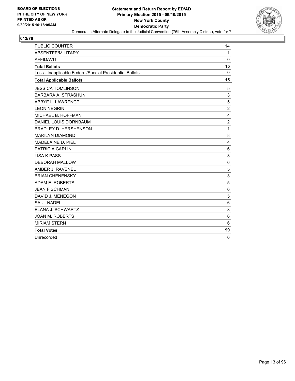

| <b>PUBLIC COUNTER</b>                                    | 14             |
|----------------------------------------------------------|----------------|
| ABSENTEE/MILITARY                                        | $\mathbf{1}$   |
| <b>AFFIDAVIT</b>                                         | 0              |
| <b>Total Ballots</b>                                     | 15             |
| Less - Inapplicable Federal/Special Presidential Ballots | $\Omega$       |
| <b>Total Applicable Ballots</b>                          | 15             |
| <b>JESSICA TOMLINSON</b>                                 | 5              |
| <b>BARBARA A. STRASHUN</b>                               | 3              |
| ABBYE L. LAWRENCE                                        | 5              |
| <b>LEON NEGRIN</b>                                       | $\overline{2}$ |
| MICHAEL B. HOFFMAN                                       | 4              |
| DANIEL LOUIS DORNBAUM                                    | $\overline{2}$ |
| <b>BRADLEY D. HERSHENSON</b>                             | 1              |
| <b>MARILYN DIAMOND</b>                                   | 8              |
| MADELAINE D. PIEL                                        | 4              |
| <b>PATRICIA CARLIN</b>                                   | 6              |
| <b>LISA K PASS</b>                                       | 3              |
| <b>DEBORAH MALLOW</b>                                    | 6              |
| AMBER J. RAVENEL                                         | 5              |
| <b>BRIAN CHENENSKY</b>                                   | 3              |
| ADAM E. ROBERTS                                          | 5              |
| <b>JEAN FISCHMAN</b>                                     | 6              |
| DAVID J. MENEGON                                         | 5              |
| <b>SAUL NADEL</b>                                        | 6              |
| ELANA J. SCHWARTZ                                        | 8              |
| <b>JOAN M. ROBERTS</b>                                   | 6              |
| <b>MIRIAM STERN</b>                                      | 6              |
| <b>Total Votes</b>                                       | 99             |
| Unrecorded                                               | 6              |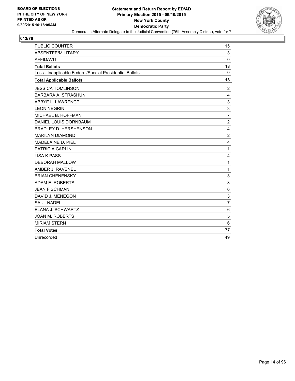

| <b>PUBLIC COUNTER</b>                                    | 15             |
|----------------------------------------------------------|----------------|
| ABSENTEE/MILITARY                                        | 3              |
| <b>AFFIDAVIT</b>                                         | $\Omega$       |
| <b>Total Ballots</b>                                     | 18             |
| Less - Inapplicable Federal/Special Presidential Ballots | 0              |
| <b>Total Applicable Ballots</b>                          | 18             |
| <b>JESSICA TOMLINSON</b>                                 | 2              |
| <b>BARBARA A. STRASHUN</b>                               | 4              |
| ABBYE L. LAWRENCE                                        | 3              |
| <b>LEON NEGRIN</b>                                       | 3              |
| MICHAEL B. HOFFMAN                                       | $\overline{7}$ |
| DANIEL LOUIS DORNBAUM                                    | $\overline{2}$ |
| <b>BRADLEY D. HERSHENSON</b>                             | 4              |
| <b>MARILYN DIAMOND</b>                                   | 2              |
| MADELAINE D. PIEL                                        | 4              |
| <b>PATRICIA CARLIN</b>                                   | 1              |
| <b>LISA K PASS</b>                                       | 4              |
| <b>DEBORAH MALLOW</b>                                    | 1              |
| AMBER J. RAVENEL                                         | 1              |
| <b>BRIAN CHENENSKY</b>                                   | 3              |
| ADAM E. ROBERTS                                          | 3              |
| <b>JEAN FISCHMAN</b>                                     | 6              |
| DAVID J. MENEGON                                         | 3              |
| <b>SAUL NADEL</b>                                        | $\overline{7}$ |
| ELANA J. SCHWARTZ                                        | 6              |
| <b>JOAN M. ROBERTS</b>                                   | 5              |
| <b>MIRIAM STERN</b>                                      | 6              |
| <b>Total Votes</b>                                       | 77             |
| Unrecorded                                               | 49             |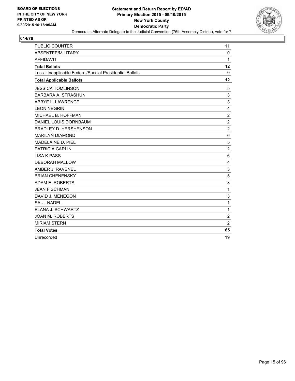

| <b>PUBLIC COUNTER</b>                                    | 11             |
|----------------------------------------------------------|----------------|
| ABSENTEE/MILITARY                                        | $\mathbf 0$    |
| <b>AFFIDAVIT</b>                                         | 1              |
| <b>Total Ballots</b>                                     | 12             |
| Less - Inapplicable Federal/Special Presidential Ballots | 0              |
| <b>Total Applicable Ballots</b>                          | 12             |
| <b>JESSICA TOMLINSON</b>                                 | 5              |
| <b>BARBARA A. STRASHUN</b>                               | 3              |
| ABBYE L. LAWRENCE                                        | 3              |
| <b>LEON NEGRIN</b>                                       | 4              |
| MICHAEL B. HOFFMAN                                       | $\overline{2}$ |
| DANIEL LOUIS DORNBAUM                                    | $\overline{2}$ |
| <b>BRADLEY D. HERSHENSON</b>                             | $\overline{2}$ |
| <b>MARILYN DIAMOND</b>                                   | 6              |
| MADELAINE D. PIEL                                        | 5              |
| <b>PATRICIA CARLIN</b>                                   | 2              |
| <b>LISA K PASS</b>                                       | 6              |
| <b>DEBORAH MALLOW</b>                                    | 4              |
| AMBER J. RAVENEL                                         | 3              |
| <b>BRIAN CHENENSKY</b>                                   | 5              |
| ADAM E. ROBERTS                                          | 3              |
| <b>JEAN FISCHMAN</b>                                     | 1              |
| DAVID J. MENEGON                                         | 3              |
| <b>SAUL NADEL</b>                                        | 1              |
| ELANA J. SCHWARTZ                                        | 1              |
| <b>JOAN M. ROBERTS</b>                                   | $\overline{2}$ |
| <b>MIRIAM STERN</b>                                      | $\overline{2}$ |
| <b>Total Votes</b>                                       | 65             |
| Unrecorded                                               | 19             |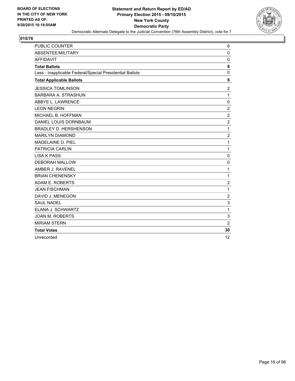

| <b>PUBLIC COUNTER</b>                                    | 6              |
|----------------------------------------------------------|----------------|
| ABSENTEE/MILITARY                                        | $\mathbf 0$    |
| <b>AFFIDAVIT</b>                                         | 0              |
| <b>Total Ballots</b>                                     | 6              |
| Less - Inapplicable Federal/Special Presidential Ballots | 0              |
| <b>Total Applicable Ballots</b>                          | 6              |
| <b>JESSICA TOMLINSON</b>                                 | $\overline{2}$ |
| BARBARA A. STRASHUN                                      | 1              |
| ABBYE L. LAWRENCE                                        | 0              |
| <b>LEON NEGRIN</b>                                       | $\overline{2}$ |
| MICHAEL B. HOFFMAN                                       | $\overline{2}$ |
| DANIEL LOUIS DORNBAUM                                    | $\overline{2}$ |
| <b>BRADLEY D. HERSHENSON</b>                             | 1              |
| <b>MARILYN DIAMOND</b>                                   | $\overline{2}$ |
| MADELAINE D. PIEL                                        | 1              |
| PATRICIA CARLIN                                          | 1              |
| <b>LISA K PASS</b>                                       | $\mathbf 0$    |
| <b>DEBORAH MALLOW</b>                                    | $\mathbf 0$    |
| AMBER J. RAVENEL                                         | 1              |
| <b>BRIAN CHENENSKY</b>                                   | 1              |
| ADAM E. ROBERTS                                          | $\overline{2}$ |
| <b>JEAN FISCHMAN</b>                                     | 1              |
| DAVID J. MENEGON                                         | $\overline{2}$ |
| <b>SAUL NADEL</b>                                        | 3              |
| ELANA J. SCHWARTZ                                        | 1              |
| <b>JOAN M. ROBERTS</b>                                   | 3              |
| <b>MIRIAM STERN</b>                                      | $\overline{2}$ |
| <b>Total Votes</b>                                       | 30             |
| Unrecorded                                               | 12             |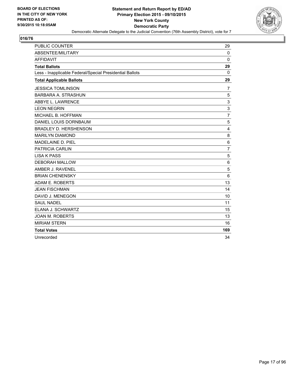

| <b>PUBLIC COUNTER</b>                                    | 29             |
|----------------------------------------------------------|----------------|
| ABSENTEE/MILITARY                                        | $\Omega$       |
| <b>AFFIDAVIT</b>                                         | $\mathbf{0}$   |
| <b>Total Ballots</b>                                     | 29             |
| Less - Inapplicable Federal/Special Presidential Ballots | 0              |
| <b>Total Applicable Ballots</b>                          | 29             |
| <b>JESSICA TOMLINSON</b>                                 | 7              |
| <b>BARBARA A. STRASHUN</b>                               | 5              |
| ABBYE L. LAWRENCE                                        | 3              |
| <b>LEON NEGRIN</b>                                       | 3              |
| MICHAEL B. HOFFMAN                                       | $\overline{7}$ |
| DANIEL LOUIS DORNBAUM                                    | 5              |
| <b>BRADLEY D. HERSHENSON</b>                             | 4              |
| <b>MARILYN DIAMOND</b>                                   | 8              |
| <b>MADELAINE D. PIEL</b>                                 | 6              |
| <b>PATRICIA CARLIN</b>                                   | $\overline{7}$ |
| <b>LISA K PASS</b>                                       | 5              |
| <b>DEBORAH MALLOW</b>                                    | 6              |
| AMBER J. RAVENEL                                         | 5              |
| <b>BRIAN CHENENSKY</b>                                   | 6              |
| ADAM E. ROBERTS                                          | 13             |
| <b>JEAN FISCHMAN</b>                                     | 14             |
| DAVID J. MENEGON                                         | 10             |
| <b>SAUL NADEL</b>                                        | 11             |
| ELANA J. SCHWARTZ                                        | 15             |
| <b>JOAN M. ROBERTS</b>                                   | 13             |
| <b>MIRIAM STERN</b>                                      | 16             |
| <b>Total Votes</b>                                       | 169            |
| Unrecorded                                               | 34             |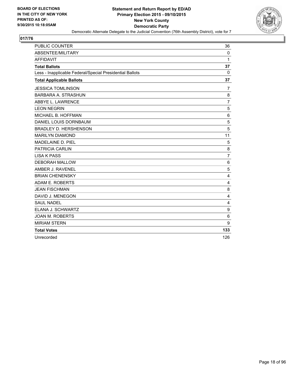

| <b>PUBLIC COUNTER</b>                                    | 36             |
|----------------------------------------------------------|----------------|
| ABSENTEE/MILITARY                                        | 0              |
| <b>AFFIDAVIT</b>                                         | 1              |
| <b>Total Ballots</b>                                     | 37             |
| Less - Inapplicable Federal/Special Presidential Ballots | 0              |
| <b>Total Applicable Ballots</b>                          | 37             |
| <b>JESSICA TOMLINSON</b>                                 | 7              |
| <b>BARBARA A. STRASHUN</b>                               | 8              |
| ABBYE L. LAWRENCE                                        | 7              |
| <b>LEON NEGRIN</b>                                       | 5              |
| MICHAEL B. HOFFMAN                                       | 6              |
| DANIEL LOUIS DORNBAUM                                    | 5              |
| <b>BRADLEY D. HERSHENSON</b>                             | 5              |
| <b>MARILYN DIAMOND</b>                                   | 11             |
| MADELAINE D. PIEL                                        | 5              |
| PATRICIA CARLIN                                          | 8              |
| <b>LISA K PASS</b>                                       | $\overline{7}$ |
| <b>DEBORAH MALLOW</b>                                    | 6              |
| AMBER J. RAVENEL                                         | 5              |
| <b>BRIAN CHENENSKY</b>                                   | $\overline{4}$ |
| ADAM E. ROBERTS                                          | 4              |
| <b>JEAN FISCHMAN</b>                                     | 8              |
| DAVID J. MENEGON                                         | 4              |
| <b>SAUL NADEL</b>                                        | 4              |
| ELANA J. SCHWARTZ                                        | 9              |
| <b>JOAN M. ROBERTS</b>                                   | 6              |
| <b>MIRIAM STERN</b>                                      | 9              |
| <b>Total Votes</b>                                       | 133            |
| Unrecorded                                               | 126            |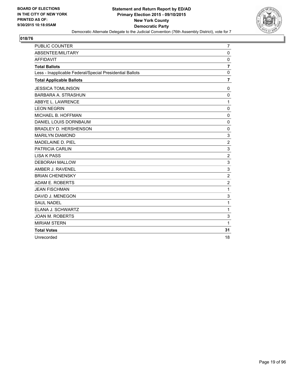

| PUBLIC COUNTER                                           | $\overline{7}$   |
|----------------------------------------------------------|------------------|
| ABSENTEE/MILITARY                                        | $\mathbf 0$      |
| <b>AFFIDAVIT</b>                                         | $\mathbf 0$      |
| <b>Total Ballots</b>                                     | $\overline{7}$   |
| Less - Inapplicable Federal/Special Presidential Ballots | $\mathbf 0$      |
| <b>Total Applicable Ballots</b>                          | $\overline{7}$   |
| <b>JESSICA TOMLINSON</b>                                 | 0                |
| <b>BARBARA A. STRASHUN</b>                               | $\mathbf 0$      |
| ABBYE L. LAWRENCE                                        | 1                |
| <b>LEON NEGRIN</b>                                       | $\mathbf 0$      |
| MICHAEL B. HOFFMAN                                       | $\mathbf 0$      |
| DANIEL LOUIS DORNBAUM                                    | $\mathbf 0$      |
| <b>BRADLEY D. HERSHENSON</b>                             | 0                |
| <b>MARILYN DIAMOND</b>                                   | 3                |
| MADELAINE D. PIEL                                        | $\overline{2}$   |
| <b>PATRICIA CARLIN</b>                                   | 3                |
| <b>LISA K PASS</b>                                       | $\boldsymbol{2}$ |
| <b>DEBORAH MALLOW</b>                                    | 3                |
| AMBER J. RAVENEL                                         | 3                |
| <b>BRIAN CHENENSKY</b>                                   | $\overline{2}$   |
| ADAM E. ROBERTS                                          | $\overline{c}$   |
| <b>JEAN FISCHMAN</b>                                     | $\mathbf{1}$     |
| DAVID J. MENEGON                                         | 3                |
| <b>SAUL NADEL</b>                                        | 1                |
| ELANA J. SCHWARTZ                                        | $\mathbf{1}$     |
| <b>JOAN M. ROBERTS</b>                                   | 3                |
| <b>MIRIAM STERN</b>                                      | 1                |
| <b>Total Votes</b>                                       | 31               |
| Unrecorded                                               | 18               |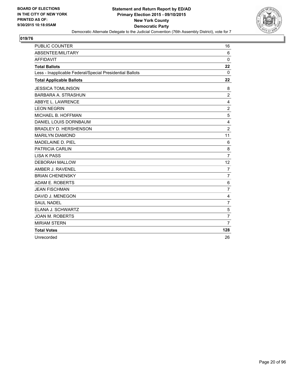

| <b>PUBLIC COUNTER</b>                                    | 16              |
|----------------------------------------------------------|-----------------|
| ABSENTEE/MILITARY                                        | 6               |
| <b>AFFIDAVIT</b>                                         | $\Omega$        |
| <b>Total Ballots</b>                                     | 22              |
| Less - Inapplicable Federal/Special Presidential Ballots | 0               |
| <b>Total Applicable Ballots</b>                          | 22              |
| <b>JESSICA TOMLINSON</b>                                 | 8               |
| <b>BARBARA A. STRASHUN</b>                               | $\overline{2}$  |
| ABBYE L. LAWRENCE                                        | 4               |
| <b>LEON NEGRIN</b>                                       | $\overline{2}$  |
| MICHAEL B. HOFFMAN                                       | 5               |
| DANIEL LOUIS DORNBAUM                                    | 4               |
| <b>BRADLEY D. HERSHENSON</b>                             | $\overline{2}$  |
| <b>MARILYN DIAMOND</b>                                   | 11              |
| MADELAINE D. PIEL                                        | $6\phantom{1}6$ |
| <b>PATRICIA CARLIN</b>                                   | 8               |
| <b>LISA K PASS</b>                                       | $\overline{7}$  |
| <b>DEBORAH MALLOW</b>                                    | 12              |
| AMBER J. RAVENEL                                         | $\overline{7}$  |
| <b>BRIAN CHENENSKY</b>                                   | $\overline{7}$  |
| ADAM E. ROBERTS                                          | 6               |
| <b>JEAN FISCHMAN</b>                                     | 7               |
| DAVID J. MENEGON                                         | 4               |
| <b>SAUL NADEL</b>                                        | $\overline{7}$  |
| ELANA J. SCHWARTZ                                        | 5               |
| <b>JOAN M. ROBERTS</b>                                   | $\overline{7}$  |
| <b>MIRIAM STERN</b>                                      | $\overline{7}$  |
| <b>Total Votes</b>                                       | 128             |
| Unrecorded                                               | 26              |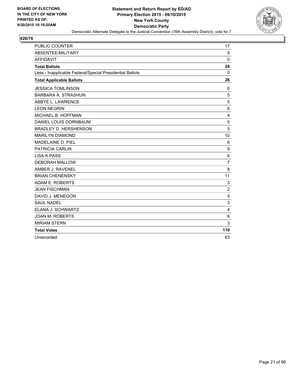

| PUBLIC COUNTER                                           | 17             |
|----------------------------------------------------------|----------------|
| ABSENTEE/MILITARY                                        | 9              |
| <b>AFFIDAVIT</b>                                         | $\Omega$       |
| <b>Total Ballots</b>                                     | 26             |
| Less - Inapplicable Federal/Special Presidential Ballots | $\Omega$       |
| <b>Total Applicable Ballots</b>                          | 26             |
| <b>JESSICA TOMLINSON</b>                                 | 6              |
| BARBARA A. STRASHUN                                      | 5              |
| ABBYE L. LAWRENCE                                        | 5              |
| <b>LEON NEGRIN</b>                                       | 6              |
| MICHAEL B. HOFFMAN                                       | 4              |
| DANIEL LOUIS DORNBAUM                                    | 5              |
| BRADLEY D. HERSHENSON                                    | 5              |
| <b>MARILYN DIAMOND</b>                                   | 10             |
| <b>MADELAINE D. PIEL</b>                                 | 6              |
| PATRICIA CARLIN                                          | 9              |
| <b>LISA K PASS</b>                                       | 6              |
| <b>DEBORAH MALLOW</b>                                    | $\overline{7}$ |
| AMBER J. RAVENEL                                         | 8              |
| <b>BRIAN CHENENSKY</b>                                   | 11             |
| ADAM E. ROBERTS                                          | 3              |
| <b>JEAN FISCHMAN</b>                                     | $\overline{2}$ |
| DAVID J. MENEGON                                         | 5              |
| <b>SAUL NADEL</b>                                        | 3              |
| ELANA J. SCHWARTZ                                        | 4              |
| <b>JOAN M. ROBERTS</b>                                   | 6              |
| <b>MIRIAM STERN</b>                                      | 3              |
| <b>Total Votes</b>                                       | 119            |
| Unrecorded                                               | 63             |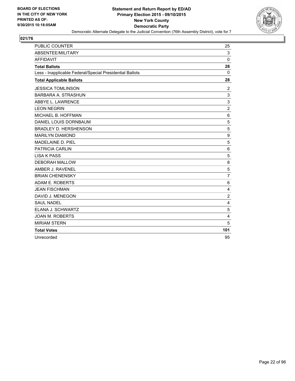

| <b>PUBLIC COUNTER</b>                                    | 25             |
|----------------------------------------------------------|----------------|
| ABSENTEE/MILITARY                                        | 3              |
| <b>AFFIDAVIT</b>                                         | $\Omega$       |
| <b>Total Ballots</b>                                     | 28             |
| Less - Inapplicable Federal/Special Presidential Ballots | 0              |
| <b>Total Applicable Ballots</b>                          | 28             |
| <b>JESSICA TOMLINSON</b>                                 | 2              |
| <b>BARBARA A. STRASHUN</b>                               | 3              |
| ABBYE L. LAWRENCE                                        | 3              |
| <b>LEON NEGRIN</b>                                       | $\overline{2}$ |
| MICHAEL B. HOFFMAN                                       | 6              |
| DANIEL LOUIS DORNBAUM                                    | 5              |
| <b>BRADLEY D. HERSHENSON</b>                             | 5              |
| <b>MARILYN DIAMOND</b>                                   | 9              |
| MADELAINE D. PIEL                                        | 5              |
| PATRICIA CARLIN                                          | 6              |
| <b>LISA K PASS</b>                                       | 5              |
| <b>DEBORAH MALLOW</b>                                    | 8              |
| AMBER J. RAVENEL                                         | 5              |
| <b>BRIAN CHENENSKY</b>                                   | $\overline{7}$ |
| ADAM E. ROBERTS                                          | 6              |
| <b>JEAN FISCHMAN</b>                                     | $\overline{4}$ |
| DAVID J. MENEGON                                         | $\overline{2}$ |
| <b>SAUL NADEL</b>                                        | 4              |
| ELANA J. SCHWARTZ                                        | 5              |
| <b>JOAN M. ROBERTS</b>                                   | 4              |
| <b>MIRIAM STERN</b>                                      | 5              |
| <b>Total Votes</b>                                       | 101            |
| Unrecorded                                               | 95             |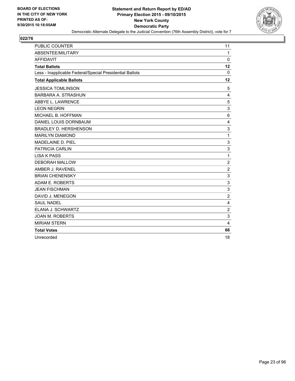

| <b>PUBLIC COUNTER</b>                                    | 11             |
|----------------------------------------------------------|----------------|
| ABSENTEE/MILITARY                                        | $\mathbf{1}$   |
| <b>AFFIDAVIT</b>                                         | $\Omega$       |
| <b>Total Ballots</b>                                     | 12             |
| Less - Inapplicable Federal/Special Presidential Ballots | 0              |
| <b>Total Applicable Ballots</b>                          | 12             |
| <b>JESSICA TOMLINSON</b>                                 | 5              |
| <b>BARBARA A. STRASHUN</b>                               | 4              |
| ABBYE L. LAWRENCE                                        | 5              |
| <b>LEON NEGRIN</b>                                       | 3              |
| MICHAEL B. HOFFMAN                                       | 6              |
| DANIEL LOUIS DORNBAUM                                    | 4              |
| <b>BRADLEY D. HERSHENSON</b>                             | 3              |
| <b>MARILYN DIAMOND</b>                                   | 1              |
| MADELAINE D. PIEL                                        | 3              |
| PATRICIA CARLIN                                          | 3              |
| <b>LISA K PASS</b>                                       | 1              |
| <b>DEBORAH MALLOW</b>                                    | $\overline{2}$ |
| AMBER J. RAVENEL                                         | $\overline{2}$ |
| <b>BRIAN CHENENSKY</b>                                   | 3              |
| ADAM E. ROBERTS                                          | 3              |
| <b>JEAN FISCHMAN</b>                                     | 3              |
| DAVID J. MENEGON                                         | 2              |
| <b>SAUL NADEL</b>                                        | 4              |
| ELANA J. SCHWARTZ                                        | $\overline{2}$ |
| <b>JOAN M. ROBERTS</b>                                   | 3              |
| <b>MIRIAM STERN</b>                                      | 4              |
| <b>Total Votes</b>                                       | 66             |
| Unrecorded                                               | 18             |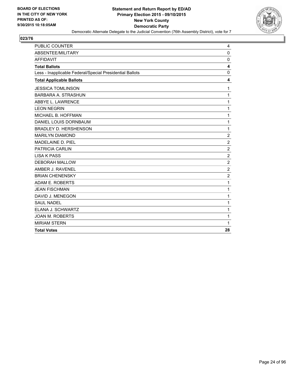

| PUBLIC COUNTER                                           | 4              |
|----------------------------------------------------------|----------------|
| ABSENTEE/MILITARY                                        | $\mathbf 0$    |
| <b>AFFIDAVIT</b>                                         | $\mathbf 0$    |
| <b>Total Ballots</b>                                     | 4              |
| Less - Inapplicable Federal/Special Presidential Ballots | 0              |
| <b>Total Applicable Ballots</b>                          | 4              |
| <b>JESSICA TOMLINSON</b>                                 | 1              |
| BARBARA A. STRASHUN                                      | 1              |
| ABBYE L. LAWRENCE                                        | 1              |
| <b>LEON NEGRIN</b>                                       | 1              |
| MICHAEL B. HOFFMAN                                       | 1              |
| DANIEL LOUIS DORNBAUM                                    | 1              |
| <b>BRADLEY D. HERSHENSON</b>                             | 1              |
| <b>MARILYN DIAMOND</b>                                   | $\overline{2}$ |
| MADELAINE D. PIEL                                        | $\overline{2}$ |
| PATRICIA CARLIN                                          | $\overline{2}$ |
| <b>LISA K PASS</b>                                       | $\overline{2}$ |
| <b>DEBORAH MALLOW</b>                                    | $\overline{2}$ |
| AMBER J. RAVENEL                                         | $\overline{2}$ |
| <b>BRIAN CHENENSKY</b>                                   | $\overline{c}$ |
| ADAM E. ROBERTS                                          | 1              |
| <b>JEAN FISCHMAN</b>                                     | 1              |
| DAVID J. MENEGON                                         | 1              |
| <b>SAUL NADEL</b>                                        | 1              |
| ELANA J. SCHWARTZ                                        | 1              |
| <b>JOAN M. ROBERTS</b>                                   | 1              |
| <b>MIRIAM STERN</b>                                      | 1              |
| <b>Total Votes</b>                                       | 28             |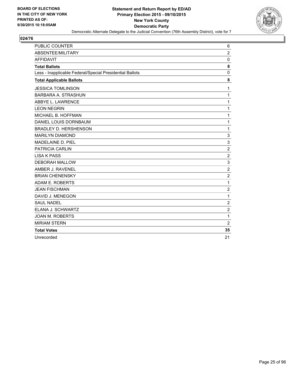

| <b>PUBLIC COUNTER</b>                                    | 6              |
|----------------------------------------------------------|----------------|
| ABSENTEE/MILITARY                                        | $\overline{2}$ |
| <b>AFFIDAVIT</b>                                         | 0              |
| <b>Total Ballots</b>                                     | 8              |
| Less - Inapplicable Federal/Special Presidential Ballots | 0              |
| <b>Total Applicable Ballots</b>                          | 8              |
| <b>JESSICA TOMLINSON</b>                                 | 1              |
| <b>BARBARA A. STRASHUN</b>                               | $\mathbf{1}$   |
| ABBYE L. LAWRENCE                                        | 1              |
| <b>LEON NEGRIN</b>                                       | 1              |
| MICHAEL B. HOFFMAN                                       | 1              |
| DANIEL LOUIS DORNBAUM                                    | $\mathbf{1}$   |
| BRADLEY D. HERSHENSON                                    | 1              |
| <b>MARILYN DIAMOND</b>                                   | 3              |
| MADELAINE D. PIEL                                        | 3              |
| <b>PATRICIA CARLIN</b>                                   | $\overline{c}$ |
| <b>LISA K PASS</b>                                       | $\overline{2}$ |
| <b>DEBORAH MALLOW</b>                                    | 3              |
| AMBER J. RAVENEL                                         | $\overline{c}$ |
| <b>BRIAN CHENENSKY</b>                                   | $\overline{2}$ |
| ADAM E. ROBERTS                                          | $\mathbf{1}$   |
| <b>JEAN FISCHMAN</b>                                     | $\overline{c}$ |
| DAVID J. MENEGON                                         | $\mathbf{1}$   |
| <b>SAUL NADEL</b>                                        | $\overline{2}$ |
| ELANA J. SCHWARTZ                                        | $\overline{2}$ |
| <b>JOAN M. ROBERTS</b>                                   | 1              |
| <b>MIRIAM STERN</b>                                      | 2              |
| <b>Total Votes</b>                                       | 35             |
| Unrecorded                                               | 21             |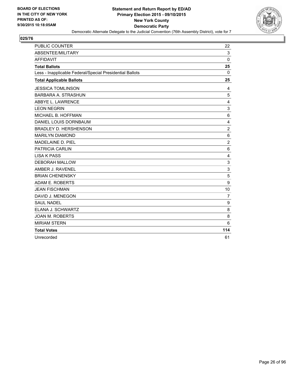

| <b>PUBLIC COUNTER</b>                                    | 22             |
|----------------------------------------------------------|----------------|
| ABSENTEE/MILITARY                                        | 3              |
| <b>AFFIDAVIT</b>                                         | $\Omega$       |
| <b>Total Ballots</b>                                     | 25             |
| Less - Inapplicable Federal/Special Presidential Ballots | 0              |
| <b>Total Applicable Ballots</b>                          | 25             |
| <b>JESSICA TOMLINSON</b>                                 | 4              |
| <b>BARBARA A. STRASHUN</b>                               | 5              |
| ABBYE L. LAWRENCE                                        | 4              |
| <b>LEON NEGRIN</b>                                       | 3              |
| MICHAEL B. HOFFMAN                                       | 6              |
| DANIEL LOUIS DORNBAUM                                    | 4              |
| <b>BRADLEY D. HERSHENSON</b>                             | $\overline{2}$ |
| <b>MARILYN DIAMOND</b>                                   | 6              |
| MADELAINE D. PIEL                                        | $\overline{2}$ |
| PATRICIA CARLIN                                          | 6              |
| <b>LISA K PASS</b>                                       | 4              |
| <b>DEBORAH MALLOW</b>                                    | 3              |
| AMBER J. RAVENEL                                         | 3              |
| <b>BRIAN CHENENSKY</b>                                   | 5              |
| ADAM E. ROBERTS                                          | 9              |
| <b>JEAN FISCHMAN</b>                                     | 10             |
| DAVID J. MENEGON                                         | $\overline{7}$ |
| <b>SAUL NADEL</b>                                        | 9              |
| ELANA J. SCHWARTZ                                        | 8              |
| <b>JOAN M. ROBERTS</b>                                   | 8              |
| <b>MIRIAM STERN</b>                                      | 6              |
| <b>Total Votes</b>                                       | 114            |
| Unrecorded                                               | 61             |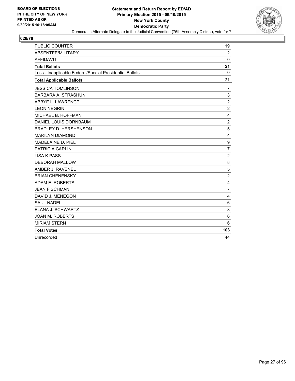

| PUBLIC COUNTER                                           | 19             |
|----------------------------------------------------------|----------------|
| ABSENTEE/MILITARY                                        | $\overline{2}$ |
| <b>AFFIDAVIT</b>                                         | $\Omega$       |
| <b>Total Ballots</b>                                     | 21             |
| Less - Inapplicable Federal/Special Presidential Ballots | $\Omega$       |
| <b>Total Applicable Ballots</b>                          | 21             |
| <b>JESSICA TOMLINSON</b>                                 | 7              |
| <b>BARBARA A. STRASHUN</b>                               | 3              |
| ABBYE L. LAWRENCE                                        | $\overline{2}$ |
| <b>LEON NEGRIN</b>                                       | $\overline{2}$ |
| MICHAEL B. HOFFMAN                                       | 4              |
| DANIEL LOUIS DORNBAUM                                    | $\overline{2}$ |
| <b>BRADLEY D. HERSHENSON</b>                             | 5              |
| <b>MARILYN DIAMOND</b>                                   | $\overline{4}$ |
| <b>MADELAINE D. PIEL</b>                                 | 9              |
| PATRICIA CARLIN                                          | $\overline{7}$ |
| <b>LISA K PASS</b>                                       | $\overline{2}$ |
| <b>DEBORAH MALLOW</b>                                    | 8              |
| AMBER J. RAVENEL                                         | 5              |
| <b>BRIAN CHENENSKY</b>                                   | $\overline{2}$ |
| ADAM E. ROBERTS                                          | 4              |
| <b>JEAN FISCHMAN</b>                                     | $\overline{7}$ |
| DAVID J. MENEGON                                         | 4              |
| <b>SAUL NADEL</b>                                        | 6              |
| ELANA J. SCHWARTZ                                        | 8              |
| <b>JOAN M. ROBERTS</b>                                   | 6              |
| <b>MIRIAM STERN</b>                                      | 6              |
| <b>Total Votes</b>                                       | 103            |
| Unrecorded                                               | 44             |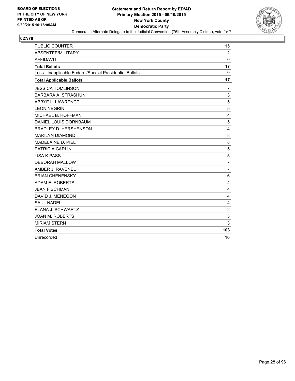

| <b>PUBLIC COUNTER</b>                                    | 15             |
|----------------------------------------------------------|----------------|
| ABSENTEE/MILITARY                                        | $\overline{2}$ |
| <b>AFFIDAVIT</b>                                         | $\Omega$       |
| <b>Total Ballots</b>                                     | 17             |
| Less - Inapplicable Federal/Special Presidential Ballots | 0              |
| <b>Total Applicable Ballots</b>                          | 17             |
| <b>JESSICA TOMLINSON</b>                                 | 7              |
| <b>BARBARA A. STRASHUN</b>                               | 3              |
| ABBYE L. LAWRENCE                                        | 5              |
| <b>LEON NEGRIN</b>                                       | 5              |
| MICHAEL B. HOFFMAN                                       | 4              |
| DANIEL LOUIS DORNBAUM                                    | 5              |
| <b>BRADLEY D. HERSHENSON</b>                             | 4              |
| <b>MARILYN DIAMOND</b>                                   | 8              |
| MADELAINE D. PIEL                                        | 8              |
| PATRICIA CARLIN                                          | 5              |
| <b>LISA K PASS</b>                                       | 5              |
| <b>DEBORAH MALLOW</b>                                    | $\overline{7}$ |
| AMBER J. RAVENEL                                         | $\overline{7}$ |
| <b>BRIAN CHENENSKY</b>                                   | 6              |
| ADAM E. ROBERTS                                          | 4              |
| <b>JEAN FISCHMAN</b>                                     | 4              |
| DAVID J. MENEGON                                         | 4              |
| <b>SAUL NADEL</b>                                        | 4              |
| ELANA J. SCHWARTZ                                        | $\overline{2}$ |
| <b>JOAN M. ROBERTS</b>                                   | 3              |
| <b>MIRIAM STERN</b>                                      | 3              |
| <b>Total Votes</b>                                       | 103            |
| Unrecorded                                               | 16             |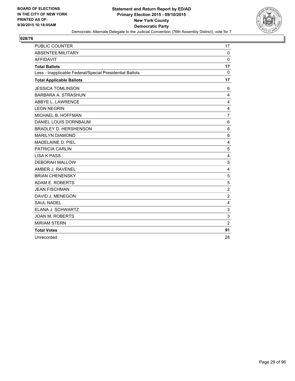

| <b>PUBLIC COUNTER</b>                                    | 17             |
|----------------------------------------------------------|----------------|
| ABSENTEE/MILITARY                                        | $\mathbf 0$    |
| <b>AFFIDAVIT</b>                                         | $\Omega$       |
| <b>Total Ballots</b>                                     | 17             |
| Less - Inapplicable Federal/Special Presidential Ballots | 0              |
| <b>Total Applicable Ballots</b>                          | 17             |
| <b>JESSICA TOMLINSON</b>                                 | 6              |
| <b>BARBARA A. STRASHUN</b>                               | 4              |
| ABBYE L. LAWRENCE                                        | 4              |
| <b>LEON NEGRIN</b>                                       | 4              |
| MICHAEL B. HOFFMAN                                       | $\overline{7}$ |
| DANIEL LOUIS DORNBAUM                                    | 6              |
| <b>BRADLEY D. HERSHENSON</b>                             | 6              |
| <b>MARILYN DIAMOND</b>                                   | 6              |
| MADELAINE D. PIEL                                        | 4              |
| <b>PATRICIA CARLIN</b>                                   | 5              |
| <b>LISA K PASS</b>                                       | 4              |
| <b>DEBORAH MALLOW</b>                                    | 5              |
| AMBER J. RAVENEL                                         | 4              |
| <b>BRIAN CHENENSKY</b>                                   | 5              |
| ADAM E. ROBERTS                                          | 5              |
| <b>JEAN FISCHMAN</b>                                     | $\overline{c}$ |
| DAVID J. MENEGON                                         | $\overline{2}$ |
| <b>SAUL NADEL</b>                                        | 4              |
| ELANA J. SCHWARTZ                                        | 3              |
| <b>JOAN M. ROBERTS</b>                                   | 3              |
| <b>MIRIAM STERN</b>                                      | $\overline{2}$ |
| <b>Total Votes</b>                                       | 91             |
| Unrecorded                                               | 28             |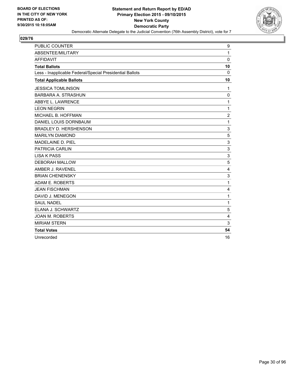

| <b>PUBLIC COUNTER</b>                                    | 9              |
|----------------------------------------------------------|----------------|
| ABSENTEE/MILITARY                                        | 1              |
| <b>AFFIDAVIT</b>                                         | $\Omega$       |
| <b>Total Ballots</b>                                     | 10             |
| Less - Inapplicable Federal/Special Presidential Ballots | 0              |
| <b>Total Applicable Ballots</b>                          | 10             |
| <b>JESSICA TOMLINSON</b>                                 | 1              |
| <b>BARBARA A. STRASHUN</b>                               | 0              |
| ABBYE L. LAWRENCE                                        | 1              |
| <b>LEON NEGRIN</b>                                       | 1              |
| MICHAEL B. HOFFMAN                                       | $\overline{2}$ |
| DANIEL LOUIS DORNBAUM                                    | 1              |
| <b>BRADLEY D. HERSHENSON</b>                             | 3              |
| <b>MARILYN DIAMOND</b>                                   | 5              |
| <b>MADELAINE D. PIEL</b>                                 | 3              |
| <b>PATRICIA CARLIN</b>                                   | 3              |
| <b>LISA K PASS</b>                                       | 3              |
| <b>DEBORAH MALLOW</b>                                    | 5              |
| AMBER J. RAVENEL                                         | 4              |
| <b>BRIAN CHENENSKY</b>                                   | 3              |
| ADAM E. ROBERTS                                          | 1              |
| <b>JEAN FISCHMAN</b>                                     | 4              |
| DAVID J. MENEGON                                         | 1              |
| <b>SAUL NADEL</b>                                        | 1              |
| ELANA J. SCHWARTZ                                        | 5              |
| <b>JOAN M. ROBERTS</b>                                   | 4              |
| <b>MIRIAM STERN</b>                                      | 3              |
| <b>Total Votes</b>                                       | 54             |
| Unrecorded                                               | 16             |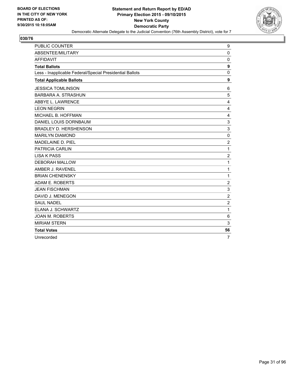

| <b>PUBLIC COUNTER</b>                                    | 9                |
|----------------------------------------------------------|------------------|
| ABSENTEE/MILITARY                                        | $\Omega$         |
| <b>AFFIDAVIT</b>                                         | $\mathbf 0$      |
| <b>Total Ballots</b>                                     | 9                |
| Less - Inapplicable Federal/Special Presidential Ballots | 0                |
| <b>Total Applicable Ballots</b>                          | 9                |
| <b>JESSICA TOMLINSON</b>                                 | 6                |
| <b>BARBARA A. STRASHUN</b>                               | 5                |
| ABBYE L. LAWRENCE                                        | 4                |
| <b>LEON NEGRIN</b>                                       | 4                |
| MICHAEL B. HOFFMAN                                       | 4                |
| DANIEL LOUIS DORNBAUM                                    | 3                |
| <b>BRADLEY D. HERSHENSON</b>                             | 3                |
| <b>MARILYN DIAMOND</b>                                   | $\mathbf 0$      |
| <b>MADELAINE D. PIEL</b>                                 | $\overline{c}$   |
| PATRICIA CARLIN                                          | 1                |
| <b>LISA K PASS</b>                                       | $\overline{2}$   |
| <b>DEBORAH MALLOW</b>                                    | 1                |
| AMBER J. RAVENEL                                         | 1                |
| <b>BRIAN CHENENSKY</b>                                   | 1                |
| ADAM E. ROBERTS                                          | $\overline{2}$   |
| <b>JEAN FISCHMAN</b>                                     | 3                |
| DAVID J. MENEGON                                         | $\boldsymbol{2}$ |
| <b>SAUL NADEL</b>                                        | $\overline{2}$   |
| ELANA J. SCHWARTZ                                        | 1                |
| <b>JOAN M. ROBERTS</b>                                   | 6                |
| <b>MIRIAM STERN</b>                                      | 3                |
| <b>Total Votes</b>                                       | 56               |
| Unrecorded                                               | $\overline{7}$   |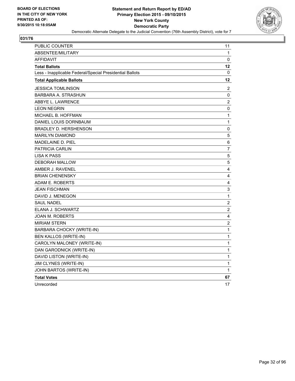

| <b>PUBLIC COUNTER</b>                                    | 11             |
|----------------------------------------------------------|----------------|
| ABSENTEE/MILITARY                                        | 1              |
| <b>AFFIDAVIT</b>                                         | 0              |
| <b>Total Ballots</b>                                     | 12             |
| Less - Inapplicable Federal/Special Presidential Ballots | 0              |
| <b>Total Applicable Ballots</b>                          | 12             |
| JESSICA TOMLINSON                                        | 2              |
| BARBARA A. STRASHUN                                      | 0              |
| ABBYE L. LAWRENCE                                        | $\overline{c}$ |
| <b>LEON NEGRIN</b>                                       | 0              |
| MICHAEL B. HOFFMAN                                       | 1              |
| DANIEL LOUIS DORNBAUM                                    | 1              |
| <b>BRADLEY D. HERSHENSON</b>                             | 0              |
| <b>MARILYN DIAMOND</b>                                   | 5              |
| MADELAINE D. PIEL                                        | 6              |
| <b>PATRICIA CARLIN</b>                                   | $\overline{7}$ |
| <b>LISA K PASS</b>                                       | 5              |
| DEBORAH MALLOW                                           | 5              |
| AMBER J. RAVENEL                                         | 4              |
| <b>BRIAN CHENENSKY</b>                                   | 4              |
| ADAM E. ROBERTS                                          | 4              |
| <b>JEAN FISCHMAN</b>                                     | 3              |
| DAVID J. MENEGON                                         | 1              |
| <b>SAUL NADEL</b>                                        | 2              |
| ELANA J. SCHWARTZ                                        | 2              |
| JOAN M. ROBERTS                                          | 4              |
| MIRIAM STERN                                             | $\overline{2}$ |
| BARBARA CHOCKY (WRITE-IN)                                | 1              |
| BEN KALLOS (WRITE-IN)                                    | 1              |
| CAROLYN MALONEY (WRITE-IN)                               | 1              |
| DAN GARODNICK (WRITE-IN)                                 | 1              |
| DAVID LISTON (WRITE-IN)                                  | 1              |
| JIM CLYNES (WRITE-IN)                                    | 1              |
| JOHN BARTOS (WRITE-IN)                                   | 1              |
| <b>Total Votes</b>                                       | 67             |
| Unrecorded                                               | 17             |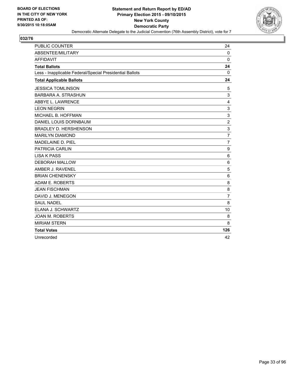

| <b>PUBLIC COUNTER</b>                                    | 24             |
|----------------------------------------------------------|----------------|
| ABSENTEE/MILITARY                                        | $\mathbf 0$    |
| <b>AFFIDAVIT</b>                                         | $\Omega$       |
| <b>Total Ballots</b>                                     | 24             |
| Less - Inapplicable Federal/Special Presidential Ballots | 0              |
| <b>Total Applicable Ballots</b>                          | 24             |
| <b>JESSICA TOMLINSON</b>                                 | 5              |
| <b>BARBARA A. STRASHUN</b>                               | 3              |
| ABBYE L. LAWRENCE                                        | 4              |
| <b>LEON NEGRIN</b>                                       | 3              |
| MICHAEL B. HOFFMAN                                       | 3              |
| DANIEL LOUIS DORNBAUM                                    | $\overline{2}$ |
| <b>BRADLEY D. HERSHENSON</b>                             | 3              |
| <b>MARILYN DIAMOND</b>                                   | $\overline{7}$ |
| MADELAINE D. PIEL                                        | $\overline{7}$ |
| PATRICIA CARLIN                                          | 9              |
| <b>LISA K PASS</b>                                       | 6              |
| <b>DEBORAH MALLOW</b>                                    | 6              |
| AMBER J. RAVENEL                                         | 5              |
| <b>BRIAN CHENENSKY</b>                                   | 6              |
| ADAM E. ROBERTS                                          | 8              |
| <b>JEAN FISCHMAN</b>                                     | 8              |
| DAVID J. MENEGON                                         | $\overline{7}$ |
| <b>SAUL NADEL</b>                                        | 8              |
| ELANA J. SCHWARTZ                                        | 10             |
| <b>JOAN M. ROBERTS</b>                                   | 8              |
| <b>MIRIAM STERN</b>                                      | 8              |
| <b>Total Votes</b>                                       | 126            |
| Unrecorded                                               | 42             |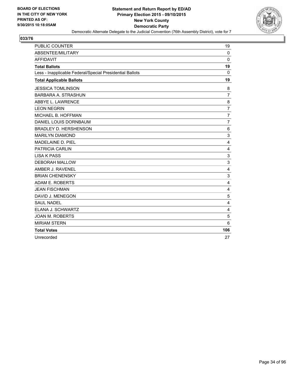

| <b>PUBLIC COUNTER</b>                                    | 19             |
|----------------------------------------------------------|----------------|
| ABSENTEE/MILITARY                                        | 0              |
| <b>AFFIDAVIT</b>                                         | $\Omega$       |
| <b>Total Ballots</b>                                     | 19             |
| Less - Inapplicable Federal/Special Presidential Ballots | 0              |
| <b>Total Applicable Ballots</b>                          | 19             |
| <b>JESSICA TOMLINSON</b>                                 | 8              |
| <b>BARBARA A. STRASHUN</b>                               | $\overline{7}$ |
| ABBYE L. LAWRENCE                                        | 8              |
| <b>LEON NEGRIN</b>                                       | $\overline{7}$ |
| MICHAEL B. HOFFMAN                                       | $\overline{7}$ |
| DANIEL LOUIS DORNBAUM                                    | $\overline{7}$ |
| <b>BRADLEY D. HERSHENSON</b>                             | 6              |
| <b>MARILYN DIAMOND</b>                                   | 3              |
| MADELAINE D. PIEL                                        | 4              |
| PATRICIA CARLIN                                          | $\overline{4}$ |
| <b>LISA K PASS</b>                                       | 3              |
| <b>DEBORAH MALLOW</b>                                    | 3              |
| AMBER J. RAVENEL                                         | 4              |
| <b>BRIAN CHENENSKY</b>                                   | 3              |
| ADAM E. ROBERTS                                          | 4              |
| <b>JEAN FISCHMAN</b>                                     | 4              |
| DAVID J. MENEGON                                         | 5              |
| <b>SAUL NADEL</b>                                        | 4              |
| ELANA J. SCHWARTZ                                        | 4              |
| <b>JOAN M. ROBERTS</b>                                   | 5              |
| <b>MIRIAM STERN</b>                                      | 6              |
| <b>Total Votes</b>                                       | 106            |
| Unrecorded                                               | 27             |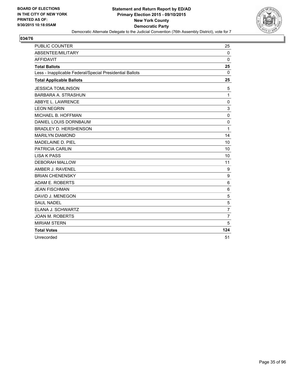

| <b>PUBLIC COUNTER</b>                                    | 25             |
|----------------------------------------------------------|----------------|
| ABSENTEE/MILITARY                                        | $\mathbf 0$    |
| <b>AFFIDAVIT</b>                                         | $\Omega$       |
| <b>Total Ballots</b>                                     | 25             |
| Less - Inapplicable Federal/Special Presidential Ballots | 0              |
| <b>Total Applicable Ballots</b>                          | 25             |
| <b>JESSICA TOMLINSON</b>                                 | 5              |
| <b>BARBARA A. STRASHUN</b>                               | 1              |
| ABBYE L. LAWRENCE                                        | 0              |
| <b>LEON NEGRIN</b>                                       | 3              |
| MICHAEL B. HOFFMAN                                       | $\mathbf 0$    |
| DANIEL LOUIS DORNBAUM                                    | $\mathbf 0$    |
| <b>BRADLEY D. HERSHENSON</b>                             | 1              |
| <b>MARILYN DIAMOND</b>                                   | 14             |
| MADELAINE D. PIEL                                        | 10             |
| PATRICIA CARLIN                                          | 10             |
| <b>LISA K PASS</b>                                       | 10             |
| <b>DEBORAH MALLOW</b>                                    | 11             |
| AMBER J. RAVENEL                                         | 9              |
| <b>BRIAN CHENENSKY</b>                                   | 9              |
| ADAM E. ROBERTS                                          | 6              |
| <b>JEAN FISCHMAN</b>                                     | 6              |
| DAVID J. MENEGON                                         | 5              |
| <b>SAUL NADEL</b>                                        | 5              |
| ELANA J. SCHWARTZ                                        | $\overline{7}$ |
| <b>JOAN M. ROBERTS</b>                                   | $\overline{7}$ |
| <b>MIRIAM STERN</b>                                      | 5              |
| <b>Total Votes</b>                                       | 124            |
| Unrecorded                                               | 51             |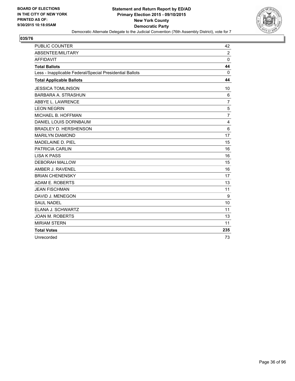

| <b>PUBLIC COUNTER</b>                                    | 42             |
|----------------------------------------------------------|----------------|
| ABSENTEE/MILITARY                                        | $\overline{2}$ |
| <b>AFFIDAVIT</b>                                         | 0              |
| <b>Total Ballots</b>                                     | 44             |
| Less - Inapplicable Federal/Special Presidential Ballots | 0              |
| <b>Total Applicable Ballots</b>                          | 44             |
| <b>JESSICA TOMLINSON</b>                                 | 10             |
| <b>BARBARA A. STRASHUN</b>                               | $\,6$          |
| ABBYE L. LAWRENCE                                        | $\overline{7}$ |
| <b>LEON NEGRIN</b>                                       | 5              |
| MICHAEL B. HOFFMAN                                       | $\overline{7}$ |
| DANIEL LOUIS DORNBAUM                                    | 4              |
| <b>BRADLEY D. HERSHENSON</b>                             | 6              |
| <b>MARILYN DIAMOND</b>                                   | 17             |
| MADELAINE D. PIEL                                        | 15             |
| <b>PATRICIA CARLIN</b>                                   | 16             |
| <b>LISA K PASS</b>                                       | 16             |
| <b>DEBORAH MALLOW</b>                                    | 15             |
| AMBER J. RAVENEL                                         | 16             |
| <b>BRIAN CHENENSKY</b>                                   | 17             |
| ADAM E. ROBERTS                                          | 13             |
| <b>JEAN FISCHMAN</b>                                     | 11             |
| DAVID J. MENEGON                                         | 9              |
| <b>SAUL NADEL</b>                                        | 10             |
| ELANA J. SCHWARTZ                                        | 11             |
| <b>JOAN M. ROBERTS</b>                                   | 13             |
| <b>MIRIAM STERN</b>                                      | 11             |
| <b>Total Votes</b>                                       | 235            |
| Unrecorded                                               | 73             |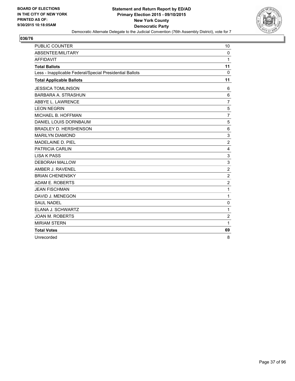

| <b>PUBLIC COUNTER</b>                                    | 10             |
|----------------------------------------------------------|----------------|
| ABSENTEE/MILITARY                                        | $\Omega$       |
| <b>AFFIDAVIT</b>                                         | 1              |
| <b>Total Ballots</b>                                     | 11             |
| Less - Inapplicable Federal/Special Presidential Ballots | 0              |
| <b>Total Applicable Ballots</b>                          | 11             |
| <b>JESSICA TOMLINSON</b>                                 | 6              |
| BARBARA A. STRASHUN                                      | 6              |
| ABBYE L. LAWRENCE                                        | $\overline{7}$ |
| <b>LEON NEGRIN</b>                                       | 5              |
| MICHAEL B. HOFFMAN                                       | $\overline{7}$ |
| DANIEL LOUIS DORNBAUM                                    | 5              |
| <b>BRADLEY D. HERSHENSON</b>                             | 6              |
| <b>MARILYN DIAMOND</b>                                   | 3              |
| MADELAINE D. PIEL                                        | $\overline{2}$ |
| <b>PATRICIA CARLIN</b>                                   | 4              |
| <b>LISA K PASS</b>                                       | 3              |
| <b>DEBORAH MALLOW</b>                                    | 3              |
| AMBER J. RAVENEL                                         | $\overline{2}$ |
| <b>BRIAN CHENENSKY</b>                                   | $\overline{2}$ |
| ADAM E. ROBERTS                                          | $\overline{2}$ |
| <b>JEAN FISCHMAN</b>                                     | 1              |
| DAVID J. MENEGON                                         | 1              |
| <b>SAUL NADEL</b>                                        | $\mathbf 0$    |
| ELANA J. SCHWARTZ                                        | 1              |
| <b>JOAN M. ROBERTS</b>                                   | $\overline{2}$ |
| <b>MIRIAM STERN</b>                                      | 1              |
| <b>Total Votes</b>                                       | 69             |
| Unrecorded                                               | 8              |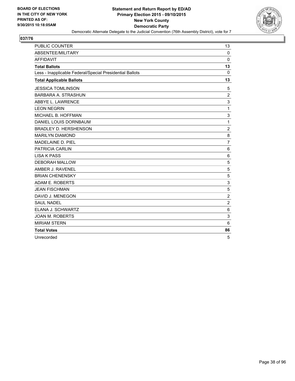

| <b>PUBLIC COUNTER</b>                                    | 13             |
|----------------------------------------------------------|----------------|
| <b>ABSENTEE/MILITARY</b>                                 | $\Omega$       |
| <b>AFFIDAVIT</b>                                         | $\Omega$       |
| <b>Total Ballots</b>                                     | 13             |
| Less - Inapplicable Federal/Special Presidential Ballots | 0              |
| <b>Total Applicable Ballots</b>                          | 13             |
| <b>JESSICA TOMLINSON</b>                                 | 5              |
| BARBARA A. STRASHUN                                      | $\overline{2}$ |
| ABBYE L. LAWRENCE                                        | 3              |
| <b>LEON NEGRIN</b>                                       | 1              |
| MICHAEL B. HOFFMAN                                       | 3              |
| DANIEL LOUIS DORNBAUM                                    | 1              |
| <b>BRADLEY D. HERSHENSON</b>                             | $\overline{c}$ |
| <b>MARILYN DIAMOND</b>                                   | 8              |
| MADELAINE D. PIEL                                        | $\overline{7}$ |
| <b>PATRICIA CARLIN</b>                                   | 6              |
| <b>LISA K PASS</b>                                       | 6              |
| <b>DEBORAH MALLOW</b>                                    | 5              |
| AMBER J. RAVENEL                                         | 5              |
| <b>BRIAN CHENENSKY</b>                                   | 5              |
| ADAM E. ROBERTS                                          | 3              |
| <b>JEAN FISCHMAN</b>                                     | 5              |
| DAVID J. MENEGON                                         | $\overline{2}$ |
| <b>SAUL NADEL</b>                                        | $\overline{2}$ |
| ELANA J. SCHWARTZ                                        | 6              |
| <b>JOAN M. ROBERTS</b>                                   | 3              |
| <b>MIRIAM STERN</b>                                      | 6              |
| <b>Total Votes</b>                                       | 86             |
| Unrecorded                                               | 5              |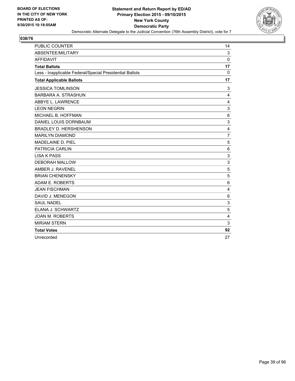

| <b>PUBLIC COUNTER</b>                                    | 14             |
|----------------------------------------------------------|----------------|
| ABSENTEE/MILITARY                                        | 3              |
| <b>AFFIDAVIT</b>                                         | $\Omega$       |
| <b>Total Ballots</b>                                     | 17             |
| Less - Inapplicable Federal/Special Presidential Ballots | 0              |
| <b>Total Applicable Ballots</b>                          | 17             |
| <b>JESSICA TOMLINSON</b>                                 | 3              |
| <b>BARBARA A. STRASHUN</b>                               | $\overline{4}$ |
| ABBYE L. LAWRENCE                                        | 4              |
| <b>LEON NEGRIN</b>                                       | 3              |
| MICHAEL B. HOFFMAN                                       | 6              |
| DANIEL LOUIS DORNBAUM                                    | 3              |
| <b>BRADLEY D. HERSHENSON</b>                             | 4              |
| <b>MARILYN DIAMOND</b>                                   | $\overline{7}$ |
| MADELAINE D. PIEL                                        | 5              |
| <b>PATRICIA CARLIN</b>                                   | 6              |
| <b>LISA K PASS</b>                                       | 3              |
| <b>DEBORAH MALLOW</b>                                    | 3              |
| AMBER J. RAVENEL                                         | 5              |
| <b>BRIAN CHENENSKY</b>                                   | 5              |
| ADAM E. ROBERTS                                          | 6              |
| <b>JEAN FISCHMAN</b>                                     | 4              |
| DAVID J. MENEGON                                         | 6              |
| <b>SAUL NADEL</b>                                        | 3              |
| ELANA J. SCHWARTZ                                        | 5              |
| <b>JOAN M. ROBERTS</b>                                   | 4              |
| <b>MIRIAM STERN</b>                                      | 3              |
| <b>Total Votes</b>                                       | 92             |
| Unrecorded                                               | 27             |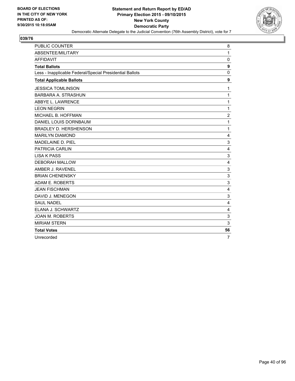

| <b>PUBLIC COUNTER</b>                                    | 8              |
|----------------------------------------------------------|----------------|
| ABSENTEE/MILITARY                                        | 1              |
| <b>AFFIDAVIT</b>                                         | 0              |
| <b>Total Ballots</b>                                     | 9              |
| Less - Inapplicable Federal/Special Presidential Ballots | 0              |
| <b>Total Applicable Ballots</b>                          | 9              |
| <b>JESSICA TOMLINSON</b>                                 | 1              |
| <b>BARBARA A. STRASHUN</b>                               | 1              |
| ABBYE L. LAWRENCE                                        | 1              |
| <b>LEON NEGRIN</b>                                       | 1              |
| MICHAEL B. HOFFMAN                                       | $\overline{2}$ |
| DANIEL LOUIS DORNBAUM                                    | 1              |
| <b>BRADLEY D. HERSHENSON</b>                             | 1              |
| <b>MARILYN DIAMOND</b>                                   | 4              |
| <b>MADELAINE D. PIEL</b>                                 | 3              |
| <b>PATRICIA CARLIN</b>                                   | 4              |
| <b>LISA K PASS</b>                                       | 3              |
| <b>DEBORAH MALLOW</b>                                    | $\overline{4}$ |
| AMBER J. RAVENEL                                         | 3              |
| <b>BRIAN CHENENSKY</b>                                   | 3              |
| ADAM E. ROBERTS                                          | 3              |
| <b>JEAN FISCHMAN</b>                                     | 4              |
| DAVID J. MENEGON                                         | 3              |
| <b>SAUL NADEL</b>                                        | 4              |
| ELANA J. SCHWARTZ                                        | 4              |
| <b>JOAN M. ROBERTS</b>                                   | 3              |
| <b>MIRIAM STERN</b>                                      | 3              |
| <b>Total Votes</b>                                       | 56             |
| Unrecorded                                               | $\overline{7}$ |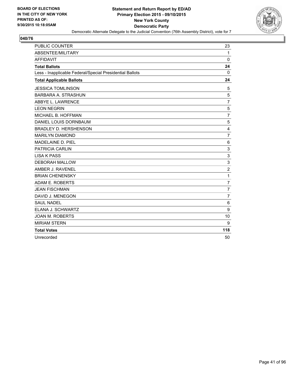

| <b>PUBLIC COUNTER</b>                                    | 23             |
|----------------------------------------------------------|----------------|
| ABSENTEE/MILITARY                                        | $\mathbf{1}$   |
| <b>AFFIDAVIT</b>                                         | $\Omega$       |
| <b>Total Ballots</b>                                     | 24             |
| Less - Inapplicable Federal/Special Presidential Ballots | $\Omega$       |
| <b>Total Applicable Ballots</b>                          | 24             |
| <b>JESSICA TOMLINSON</b>                                 | 5              |
| <b>BARBARA A. STRASHUN</b>                               | 5              |
| ABBYE L. LAWRENCE                                        | $\overline{7}$ |
| <b>LEON NEGRIN</b>                                       | 5              |
| MICHAEL B. HOFFMAN                                       | $\overline{7}$ |
| DANIEL LOUIS DORNBAUM                                    | 5              |
| <b>BRADLEY D. HERSHENSON</b>                             | 4              |
| <b>MARILYN DIAMOND</b>                                   | $\overline{7}$ |
| MADELAINE D. PIEL                                        | 6              |
| <b>PATRICIA CARLIN</b>                                   | 3              |
| <b>LISA K PASS</b>                                       | 3              |
| <b>DEBORAH MALLOW</b>                                    | 3              |
| AMBER J. RAVENEL                                         | $\overline{c}$ |
| <b>BRIAN CHENENSKY</b>                                   | 1              |
| ADAM E. ROBERTS                                          | $\overline{7}$ |
| <b>JEAN FISCHMAN</b>                                     | $\overline{7}$ |
| DAVID J. MENEGON                                         | $\overline{7}$ |
| <b>SAUL NADEL</b>                                        | 6              |
| ELANA J. SCHWARTZ                                        | 9              |
| <b>JOAN M. ROBERTS</b>                                   | 10             |
| <b>MIRIAM STERN</b>                                      | 9              |
| <b>Total Votes</b>                                       | 118            |
| Unrecorded                                               | 50             |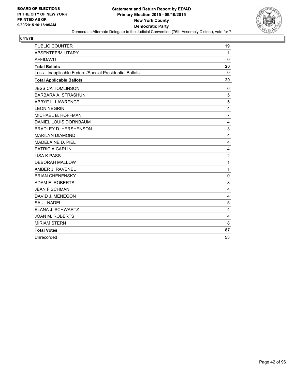

| <b>PUBLIC COUNTER</b>                                    | 19             |
|----------------------------------------------------------|----------------|
| ABSENTEE/MILITARY                                        | 1              |
| <b>AFFIDAVIT</b>                                         | $\Omega$       |
| <b>Total Ballots</b>                                     | 20             |
| Less - Inapplicable Federal/Special Presidential Ballots | 0              |
| <b>Total Applicable Ballots</b>                          | 20             |
| <b>JESSICA TOMLINSON</b>                                 | 6              |
| <b>BARBARA A. STRASHUN</b>                               | 5              |
| ABBYE L. LAWRENCE                                        | 5              |
| <b>LEON NEGRIN</b>                                       | 4              |
| MICHAEL B. HOFFMAN                                       | $\overline{7}$ |
| DANIEL LOUIS DORNBAUM                                    | 4              |
| <b>BRADLEY D. HERSHENSON</b>                             | 3              |
| <b>MARILYN DIAMOND</b>                                   | 4              |
| MADELAINE D. PIEL                                        | 4              |
| <b>PATRICIA CARLIN</b>                                   | 4              |
| <b>LISA K PASS</b>                                       | $\overline{2}$ |
| <b>DEBORAH MALLOW</b>                                    | 1              |
| AMBER J. RAVENEL                                         | 1              |
| <b>BRIAN CHENENSKY</b>                                   | $\mathbf 0$    |
| ADAM E. ROBERTS                                          | 8              |
| <b>JEAN FISCHMAN</b>                                     | 4              |
| DAVID J. MENEGON                                         | 4              |
| <b>SAUL NADEL</b>                                        | 5              |
| ELANA J. SCHWARTZ                                        | 4              |
| <b>JOAN M. ROBERTS</b>                                   | 4              |
| <b>MIRIAM STERN</b>                                      | 8              |
| <b>Total Votes</b>                                       | 87             |
| Unrecorded                                               | 53             |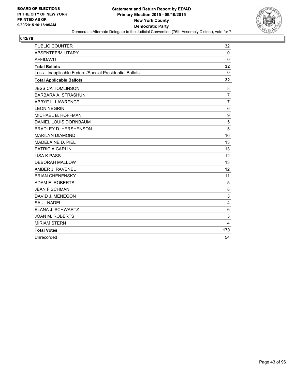

| <b>PUBLIC COUNTER</b>                                    | 32             |
|----------------------------------------------------------|----------------|
| ABSENTEE/MILITARY                                        | $\mathbf 0$    |
| <b>AFFIDAVIT</b>                                         | $\Omega$       |
| <b>Total Ballots</b>                                     | 32             |
| Less - Inapplicable Federal/Special Presidential Ballots | 0              |
| <b>Total Applicable Ballots</b>                          | 32             |
| <b>JESSICA TOMLINSON</b>                                 | 8              |
| <b>BARBARA A. STRASHUN</b>                               | $\overline{7}$ |
| ABBYE L. LAWRENCE                                        | $\overline{7}$ |
| <b>LEON NEGRIN</b>                                       | 6              |
| MICHAEL B. HOFFMAN                                       | 9              |
| DANIEL LOUIS DORNBAUM                                    | 5              |
| <b>BRADLEY D. HERSHENSON</b>                             | 5              |
| <b>MARILYN DIAMOND</b>                                   | 16             |
| MADELAINE D. PIEL                                        | 13             |
| <b>PATRICIA CARLIN</b>                                   | 13             |
| <b>LISA K PASS</b>                                       | 12             |
| <b>DEBORAH MALLOW</b>                                    | 13             |
| AMBER J. RAVENEL                                         | 12             |
| <b>BRIAN CHENENSKY</b>                                   | 11             |
| ADAM E. ROBERTS                                          | 5              |
| <b>JEAN FISCHMAN</b>                                     | 8              |
| DAVID J. MENEGON                                         | 3              |
| <b>SAUL NADEL</b>                                        | 4              |
| ELANA J. SCHWARTZ                                        | 6              |
| <b>JOAN M. ROBERTS</b>                                   | 3              |
| <b>MIRIAM STERN</b>                                      | 4              |
| <b>Total Votes</b>                                       | 170            |
| Unrecorded                                               | 54             |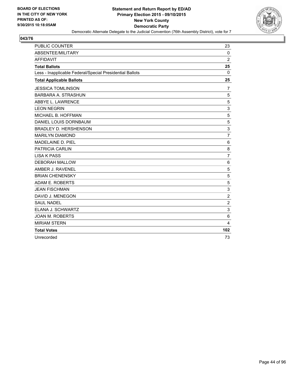

| <b>PUBLIC COUNTER</b>                                    | 23             |
|----------------------------------------------------------|----------------|
| ABSENTEE/MILITARY                                        | $\mathbf 0$    |
| <b>AFFIDAVIT</b>                                         | $\overline{2}$ |
| <b>Total Ballots</b>                                     | 25             |
| Less - Inapplicable Federal/Special Presidential Ballots | 0              |
| <b>Total Applicable Ballots</b>                          | 25             |
| <b>JESSICA TOMLINSON</b>                                 | 7              |
| <b>BARBARA A. STRASHUN</b>                               | 5              |
| ABBYE L. LAWRENCE                                        | 5              |
| <b>LEON NEGRIN</b>                                       | 3              |
| MICHAEL B. HOFFMAN                                       | 5              |
| DANIEL LOUIS DORNBAUM                                    | 5              |
| <b>BRADLEY D. HERSHENSON</b>                             | 3              |
| <b>MARILYN DIAMOND</b>                                   | $\overline{7}$ |
| MADELAINE D. PIEL                                        | 6              |
| <b>PATRICIA CARLIN</b>                                   | 8              |
| <b>LISA K PASS</b>                                       | $\overline{7}$ |
| <b>DEBORAH MALLOW</b>                                    | 6              |
| AMBER J. RAVENEL                                         | 5              |
| <b>BRIAN CHENENSKY</b>                                   | 5              |
| ADAM E. ROBERTS                                          | 5              |
| <b>JEAN FISCHMAN</b>                                     | 3              |
| DAVID J. MENEGON                                         | $\overline{2}$ |
| <b>SAUL NADEL</b>                                        | $\overline{2}$ |
| ELANA J. SCHWARTZ                                        | 3              |
| <b>JOAN M. ROBERTS</b>                                   | 6              |
| <b>MIRIAM STERN</b>                                      | 4              |
| <b>Total Votes</b>                                       | 102            |
| Unrecorded                                               | 73             |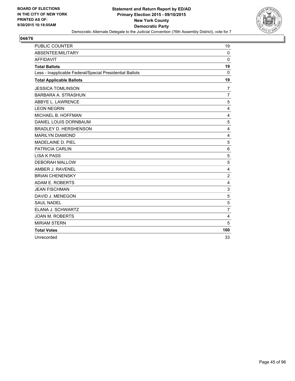

| <b>PUBLIC COUNTER</b>                                    | 19             |
|----------------------------------------------------------|----------------|
| ABSENTEE/MILITARY                                        | $\mathbf 0$    |
| <b>AFFIDAVIT</b>                                         | $\Omega$       |
| <b>Total Ballots</b>                                     | 19             |
| Less - Inapplicable Federal/Special Presidential Ballots | 0              |
| <b>Total Applicable Ballots</b>                          | 19             |
| <b>JESSICA TOMLINSON</b>                                 | $\overline{7}$ |
| <b>BARBARA A. STRASHUN</b>                               | $\overline{7}$ |
| ABBYE L. LAWRENCE                                        | 5              |
| <b>LEON NEGRIN</b>                                       | 4              |
| MICHAEL B. HOFFMAN                                       | $\overline{4}$ |
| DANIEL LOUIS DORNBAUM                                    | 5              |
| <b>BRADLEY D. HERSHENSON</b>                             | 4              |
| <b>MARILYN DIAMOND</b>                                   | 4              |
| MADELAINE D. PIEL                                        | 5              |
| <b>PATRICIA CARLIN</b>                                   | 6              |
| <b>LISA K PASS</b>                                       | 5              |
| <b>DEBORAH MALLOW</b>                                    | 5              |
| AMBER J. RAVENEL                                         | 4              |
| <b>BRIAN CHENENSKY</b>                                   | $\overline{2}$ |
| ADAM E. ROBERTS                                          | 4              |
| <b>JEAN FISCHMAN</b>                                     | 3              |
| DAVID J. MENEGON                                         | 5              |
| <b>SAUL NADEL</b>                                        | 5              |
| ELANA J. SCHWARTZ                                        | $\overline{7}$ |
| <b>JOAN M. ROBERTS</b>                                   | 4              |
| <b>MIRIAM STERN</b>                                      | 5              |
| <b>Total Votes</b>                                       | 100            |
| Unrecorded                                               | 33             |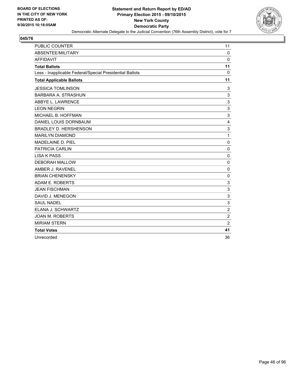

| <b>PUBLIC COUNTER</b>                                    | 11             |
|----------------------------------------------------------|----------------|
| ABSENTEE/MILITARY                                        | $\mathbf 0$    |
| <b>AFFIDAVIT</b>                                         | $\Omega$       |
| <b>Total Ballots</b>                                     | 11             |
| Less - Inapplicable Federal/Special Presidential Ballots | 0              |
| <b>Total Applicable Ballots</b>                          | 11             |
| <b>JESSICA TOMLINSON</b>                                 | 3              |
| <b>BARBARA A. STRASHUN</b>                               | 3              |
| ABBYE L. LAWRENCE                                        | 3              |
| <b>LEON NEGRIN</b>                                       | 3              |
| MICHAEL B. HOFFMAN                                       | 3              |
| DANIEL LOUIS DORNBAUM                                    | 4              |
| <b>BRADLEY D. HERSHENSON</b>                             | 3              |
| <b>MARILYN DIAMOND</b>                                   | 1              |
| MADELAINE D. PIEL                                        | $\Omega$       |
| <b>PATRICIA CARLIN</b>                                   | $\mathbf 0$    |
| <b>LISA K PASS</b>                                       | $\Omega$       |
| <b>DEBORAH MALLOW</b>                                    | $\mathbf{0}$   |
| AMBER J. RAVENEL                                         | 0              |
| <b>BRIAN CHENENSKY</b>                                   | $\mathbf 0$    |
| ADAM E. ROBERTS                                          | 3              |
| <b>JEAN FISCHMAN</b>                                     | 3              |
| DAVID J. MENEGON                                         | 3              |
| <b>SAUL NADEL</b>                                        | 3              |
| ELANA J. SCHWARTZ                                        | $\overline{2}$ |
| <b>JOAN M. ROBERTS</b>                                   | $\overline{2}$ |
| <b>MIRIAM STERN</b>                                      | $\overline{2}$ |
| <b>Total Votes</b>                                       | 41             |
| Unrecorded                                               | 36             |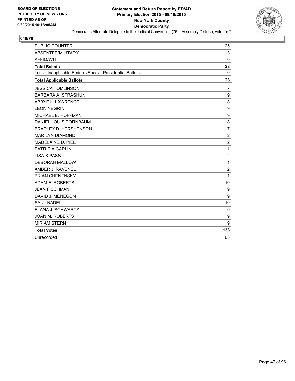

| <b>PUBLIC COUNTER</b>                                    | 25             |
|----------------------------------------------------------|----------------|
| ABSENTEE/MILITARY                                        | 3              |
| <b>AFFIDAVIT</b>                                         | $\Omega$       |
| <b>Total Ballots</b>                                     | 28             |
| Less - Inapplicable Federal/Special Presidential Ballots | $\Omega$       |
| <b>Total Applicable Ballots</b>                          | 28             |
| <b>JESSICA TOMLINSON</b>                                 | 7              |
| <b>BARBARA A. STRASHUN</b>                               | 9              |
| ABBYE L. LAWRENCE                                        | 8              |
| <b>LEON NEGRIN</b>                                       | 9              |
| MICHAEL B. HOFFMAN                                       | 9              |
| DANIEL LOUIS DORNBAUM                                    | 8              |
| <b>BRADLEY D. HERSHENSON</b>                             | $\overline{7}$ |
| <b>MARILYN DIAMOND</b>                                   | $\overline{2}$ |
| MADELAINE D. PIEL                                        | $\overline{2}$ |
| <b>PATRICIA CARLIN</b>                                   | 1              |
| <b>LISA K PASS</b>                                       | $\overline{2}$ |
| <b>DEBORAH MALLOW</b>                                    | 1              |
| AMBER J. RAVENEL                                         | $\overline{2}$ |
| <b>BRIAN CHENENSKY</b>                                   | 1              |
| ADAM E. ROBERTS                                          | 10             |
| <b>JEAN FISCHMAN</b>                                     | 9              |
| DAVID J. MENEGON                                         | 9              |
| <b>SAUL NADEL</b>                                        | 10             |
| ELANA J. SCHWARTZ                                        | 9              |
| <b>JOAN M. ROBERTS</b>                                   | 9              |
| <b>MIRIAM STERN</b>                                      | 9              |
| <b>Total Votes</b>                                       | 133            |
| Unrecorded                                               | 63             |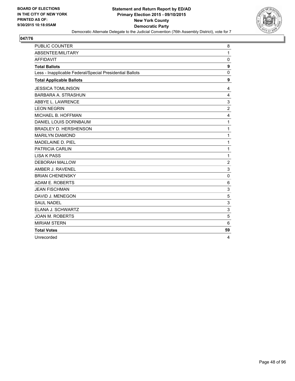

| <b>PUBLIC COUNTER</b>                                    | 8                       |
|----------------------------------------------------------|-------------------------|
| ABSENTEE/MILITARY                                        | 1                       |
| <b>AFFIDAVIT</b>                                         | 0                       |
| <b>Total Ballots</b>                                     | $\boldsymbol{9}$        |
| Less - Inapplicable Federal/Special Presidential Ballots | 0                       |
| <b>Total Applicable Ballots</b>                          | 9                       |
| <b>JESSICA TOMLINSON</b>                                 | 4                       |
| <b>BARBARA A. STRASHUN</b>                               | $\overline{4}$          |
| ABBYE L. LAWRENCE                                        | 3                       |
| <b>LEON NEGRIN</b>                                       | $\overline{2}$          |
| MICHAEL B. HOFFMAN                                       | 4                       |
| DANIEL LOUIS DORNBAUM                                    | 1                       |
| <b>BRADLEY D. HERSHENSON</b>                             | 1                       |
| <b>MARILYN DIAMOND</b>                                   | 1                       |
| MADELAINE D. PIEL                                        | 1                       |
| <b>PATRICIA CARLIN</b>                                   | 1                       |
| <b>LISA K PASS</b>                                       | 1                       |
| <b>DEBORAH MALLOW</b>                                    | $\overline{2}$          |
| AMBER J. RAVENEL                                         | 3                       |
| <b>BRIAN CHENENSKY</b>                                   | $\mathbf 0$             |
| ADAM E. ROBERTS                                          | 6                       |
| <b>JEAN FISCHMAN</b>                                     | 3                       |
| DAVID J. MENEGON                                         | 5                       |
| <b>SAUL NADEL</b>                                        | 3                       |
| ELANA J. SCHWARTZ                                        | 3                       |
| <b>JOAN M. ROBERTS</b>                                   | 5                       |
| <b>MIRIAM STERN</b>                                      | 6                       |
| <b>Total Votes</b>                                       | 59                      |
| Unrecorded                                               | $\overline{\mathbf{4}}$ |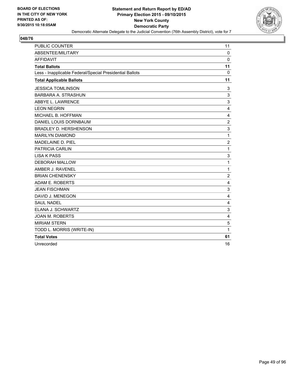

| <b>PUBLIC COUNTER</b>                                    | 11             |
|----------------------------------------------------------|----------------|
| ABSENTEE/MILITARY                                        | 0              |
| <b>AFFIDAVIT</b>                                         | $\Omega$       |
| <b>Total Ballots</b>                                     | 11             |
| Less - Inapplicable Federal/Special Presidential Ballots | 0              |
| <b>Total Applicable Ballots</b>                          | 11             |
| <b>JESSICA TOMLINSON</b>                                 | 3              |
| <b>BARBARA A. STRASHUN</b>                               | 3              |
| ABBYE L. LAWRENCE                                        | 3              |
| <b>LEON NEGRIN</b>                                       | $\overline{4}$ |
| MICHAEL B. HOFFMAN                                       | $\overline{4}$ |
| DANIEL LOUIS DORNBAUM                                    | $\overline{2}$ |
| <b>BRADLEY D. HERSHENSON</b>                             | 3              |
| <b>MARILYN DIAMOND</b>                                   | 1              |
| MADELAINE D. PIEL                                        | $\overline{2}$ |
| <b>PATRICIA CARLIN</b>                                   | 1              |
| <b>LISA K PASS</b>                                       | 3              |
| <b>DEBORAH MALLOW</b>                                    | 1              |
| AMBER J. RAVENEL                                         | 1              |
| <b>BRIAN CHENENSKY</b>                                   | $\overline{2}$ |
| ADAM E. ROBERTS                                          | 4              |
| <b>JEAN FISCHMAN</b>                                     | 3              |
| DAVID J. MENEGON                                         | 4              |
| <b>SAUL NADEL</b>                                        | 4              |
| ELANA J. SCHWARTZ                                        | 3              |
| <b>JOAN M. ROBERTS</b>                                   | $\overline{4}$ |
| <b>MIRIAM STERN</b>                                      | 5              |
| TODD L. MORRIS (WRITE-IN)                                | 1              |
| <b>Total Votes</b>                                       | 61             |
| Unrecorded                                               | 16             |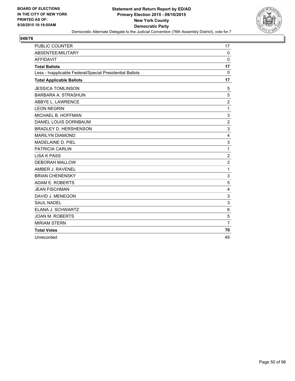

| <b>PUBLIC COUNTER</b>                                    | 17             |
|----------------------------------------------------------|----------------|
| ABSENTEE/MILITARY                                        | $\Omega$       |
| <b>AFFIDAVIT</b>                                         | $\Omega$       |
| <b>Total Ballots</b>                                     | 17             |
| Less - Inapplicable Federal/Special Presidential Ballots | 0              |
| <b>Total Applicable Ballots</b>                          | 17             |
| <b>JESSICA TOMLINSON</b>                                 | 5              |
| <b>BARBARA A. STRASHUN</b>                               | 5              |
| ABBYE L. LAWRENCE                                        | $\overline{c}$ |
| <b>LEON NEGRIN</b>                                       | 1              |
| MICHAEL B. HOFFMAN                                       | 3              |
| DANIEL LOUIS DORNBAUM                                    | $\overline{2}$ |
| <b>BRADLEY D. HERSHENSON</b>                             | 3              |
| <b>MARILYN DIAMOND</b>                                   | $\overline{4}$ |
| <b>MADELAINE D. PIEL</b>                                 | 3              |
| PATRICIA CARLIN                                          | 1              |
| <b>LISA K PASS</b>                                       | $\overline{c}$ |
| <b>DEBORAH MALLOW</b>                                    | $\overline{c}$ |
| AMBER J. RAVENEL                                         | 1              |
| <b>BRIAN CHENENSKY</b>                                   | 3              |
| ADAM E. ROBERTS                                          | 5              |
| <b>JEAN FISCHMAN</b>                                     | 4              |
| DAVID J. MENEGON                                         | 3              |
| <b>SAUL NADEL</b>                                        | 3              |
| ELANA J. SCHWARTZ                                        | 6              |
| <b>JOAN M. ROBERTS</b>                                   | 5              |
| <b>MIRIAM STERN</b>                                      | $\overline{7}$ |
| <b>Total Votes</b>                                       | 70             |
| Unrecorded                                               | 49             |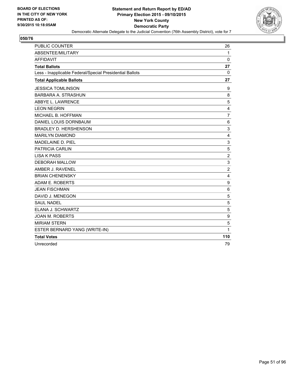

| <b>PUBLIC COUNTER</b>                                    | 26             |
|----------------------------------------------------------|----------------|
| ABSENTEE/MILITARY                                        | $\mathbf{1}$   |
| <b>AFFIDAVIT</b>                                         | $\mathbf 0$    |
| <b>Total Ballots</b>                                     | 27             |
| Less - Inapplicable Federal/Special Presidential Ballots | 0              |
| <b>Total Applicable Ballots</b>                          | 27             |
| <b>JESSICA TOMLINSON</b>                                 | 9              |
| BARBARA A. STRASHUN                                      | 8              |
| ABBYE L. LAWRENCE                                        | 5              |
| <b>LEON NEGRIN</b>                                       | 4              |
| MICHAEL B. HOFFMAN                                       | $\overline{7}$ |
| DANIEL LOUIS DORNBAUM                                    | 6              |
| <b>BRADLEY D. HERSHENSON</b>                             | 3              |
| <b>MARILYN DIAMOND</b>                                   | 4              |
| MADELAINE D. PIEL                                        | 3              |
| PATRICIA CARLIN                                          | 5              |
| <b>LISA K PASS</b>                                       | $\overline{2}$ |
| <b>DEBORAH MALLOW</b>                                    | 3              |
| AMBER J. RAVENEL                                         | $\overline{2}$ |
| <b>BRIAN CHENENSKY</b>                                   | 4              |
| ADAM E. ROBERTS                                          | 9              |
| <b>JEAN FISCHMAN</b>                                     | 6              |
| DAVID J. MENEGON                                         | 5              |
| <b>SAUL NADEL</b>                                        | 5              |
| ELANA J. SCHWARTZ                                        | 5              |
| <b>JOAN M. ROBERTS</b>                                   | 9              |
| <b>MIRIAM STERN</b>                                      | 5              |
| ESTER BERNARD YANG (WRITE-IN)                            | $\mathbf{1}$   |
| <b>Total Votes</b>                                       | 110            |
| Unrecorded                                               | 79             |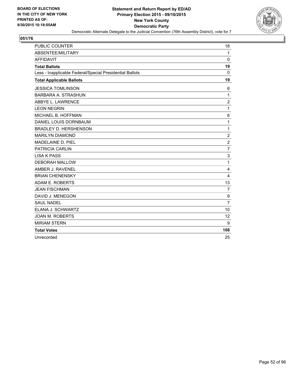

| <b>PUBLIC COUNTER</b>                                    | 18             |
|----------------------------------------------------------|----------------|
| ABSENTEE/MILITARY                                        | $\mathbf{1}$   |
| <b>AFFIDAVIT</b>                                         | $\Omega$       |
| <b>Total Ballots</b>                                     | 19             |
| Less - Inapplicable Federal/Special Presidential Ballots | 0              |
| <b>Total Applicable Ballots</b>                          | 19             |
| <b>JESSICA TOMLINSON</b>                                 | 6              |
| <b>BARBARA A. STRASHUN</b>                               | 1              |
| ABBYE L. LAWRENCE                                        | $\overline{2}$ |
| <b>LEON NEGRIN</b>                                       | 1              |
| MICHAEL B. HOFFMAN                                       | 6              |
| DANIEL LOUIS DORNBAUM                                    | 1              |
| <b>BRADLEY D. HERSHENSON</b>                             | 1              |
| <b>MARILYN DIAMOND</b>                                   | $\overline{2}$ |
| MADELAINE D. PIEL                                        | $\overline{2}$ |
| <b>PATRICIA CARLIN</b>                                   | $\overline{7}$ |
| <b>LISA K PASS</b>                                       | 3              |
| <b>DEBORAH MALLOW</b>                                    | 1              |
| AMBER J. RAVENEL                                         | 4              |
| <b>BRIAN CHENENSKY</b>                                   | $\overline{4}$ |
| ADAM E. ROBERTS                                          | 13             |
| <b>JEAN FISCHMAN</b>                                     | $\overline{7}$ |
| DAVID J. MENEGON                                         | 9              |
| <b>SAUL NADEL</b>                                        | $\overline{7}$ |
| ELANA J. SCHWARTZ                                        | 10             |
| <b>JOAN M. ROBERTS</b>                                   | 12             |
| <b>MIRIAM STERN</b>                                      | 9              |
| <b>Total Votes</b>                                       | 108            |
| Unrecorded                                               | 25             |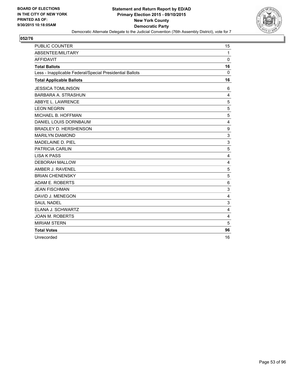

| <b>PUBLIC COUNTER</b>                                    | 15           |
|----------------------------------------------------------|--------------|
| ABSENTEE/MILITARY                                        | $\mathbf{1}$ |
| <b>AFFIDAVIT</b>                                         | $\Omega$     |
| <b>Total Ballots</b>                                     | 16           |
| Less - Inapplicable Federal/Special Presidential Ballots | 0            |
| <b>Total Applicable Ballots</b>                          | 16           |
| <b>JESSICA TOMLINSON</b>                                 | 6            |
| <b>BARBARA A. STRASHUN</b>                               | 4            |
| ABBYE L. LAWRENCE                                        | 5            |
| <b>LEON NEGRIN</b>                                       | 5            |
| MICHAEL B. HOFFMAN                                       | 5            |
| DANIEL LOUIS DORNBAUM                                    | 4            |
| <b>BRADLEY D. HERSHENSON</b>                             | 9            |
| <b>MARILYN DIAMOND</b>                                   | 3            |
| MADELAINE D. PIEL                                        | 3            |
| <b>PATRICIA CARLIN</b>                                   | 5            |
| <b>LISA K PASS</b>                                       | 4            |
| <b>DEBORAH MALLOW</b>                                    | 4            |
| AMBER J. RAVENEL                                         | 5            |
| <b>BRIAN CHENENSKY</b>                                   | 5            |
| ADAM E. ROBERTS                                          | 6            |
| <b>JEAN FISCHMAN</b>                                     | 3            |
| DAVID J. MENEGON                                         | 4            |
| <b>SAUL NADEL</b>                                        | 3            |
| ELANA J. SCHWARTZ                                        | 4            |
| <b>JOAN M. ROBERTS</b>                                   | 4            |
| <b>MIRIAM STERN</b>                                      | 5            |
| <b>Total Votes</b>                                       | 96           |
| Unrecorded                                               | 16           |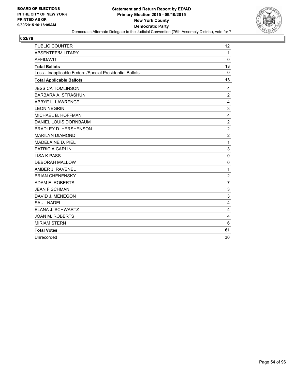

| <b>PUBLIC COUNTER</b>                                    | 12             |
|----------------------------------------------------------|----------------|
| ABSENTEE/MILITARY                                        | $\mathbf{1}$   |
| <b>AFFIDAVIT</b>                                         | $\Omega$       |
| <b>Total Ballots</b>                                     | 13             |
| Less - Inapplicable Federal/Special Presidential Ballots | 0              |
| <b>Total Applicable Ballots</b>                          | 13             |
| <b>JESSICA TOMLINSON</b>                                 | 4              |
| <b>BARBARA A. STRASHUN</b>                               | $\overline{2}$ |
| ABBYE L. LAWRENCE                                        | 4              |
| <b>LEON NEGRIN</b>                                       | 3              |
| MICHAEL B. HOFFMAN                                       | 4              |
| DANIEL LOUIS DORNBAUM                                    | $\overline{2}$ |
| <b>BRADLEY D. HERSHENSON</b>                             | $\overline{2}$ |
| <b>MARILYN DIAMOND</b>                                   | $\overline{2}$ |
| MADELAINE D. PIEL                                        | 1              |
| <b>PATRICIA CARLIN</b>                                   | 3              |
| <b>LISA K PASS</b>                                       | 0              |
| <b>DEBORAH MALLOW</b>                                    | 0              |
| AMBER J. RAVENEL                                         | 1              |
| <b>BRIAN CHENENSKY</b>                                   | $\overline{2}$ |
| ADAM E. ROBERTS                                          | 7              |
| <b>JEAN FISCHMAN</b>                                     | 3              |
| DAVID J. MENEGON                                         | 3              |
| <b>SAUL NADEL</b>                                        | 4              |
| ELANA J. SCHWARTZ                                        | 4              |
| <b>JOAN M. ROBERTS</b>                                   | 4              |
| <b>MIRIAM STERN</b>                                      | 6              |
| <b>Total Votes</b>                                       | 61             |
| Unrecorded                                               | 30             |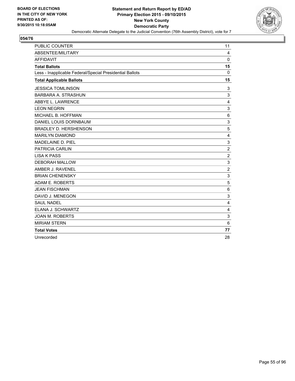

| <b>PUBLIC COUNTER</b>                                    | 11             |
|----------------------------------------------------------|----------------|
| ABSENTEE/MILITARY                                        | 4              |
| <b>AFFIDAVIT</b>                                         | $\mathbf{0}$   |
| <b>Total Ballots</b>                                     | 15             |
| Less - Inapplicable Federal/Special Presidential Ballots | $\Omega$       |
| <b>Total Applicable Ballots</b>                          | 15             |
| <b>JESSICA TOMLINSON</b>                                 | 3              |
| <b>BARBARA A. STRASHUN</b>                               | 3              |
| ABBYE L. LAWRENCE                                        | 4              |
| <b>LEON NEGRIN</b>                                       | 3              |
| MICHAEL B. HOFFMAN                                       | 6              |
| DANIEL LOUIS DORNBAUM                                    | 3              |
| <b>BRADLEY D. HERSHENSON</b>                             | 5              |
| <b>MARILYN DIAMOND</b>                                   | 4              |
| MADELAINE D. PIEL                                        | 3              |
| <b>PATRICIA CARLIN</b>                                   | $\overline{2}$ |
| <b>LISA K PASS</b>                                       | 2              |
| <b>DEBORAH MALLOW</b>                                    | 3              |
| AMBER J. RAVENEL                                         | $\overline{2}$ |
| <b>BRIAN CHENENSKY</b>                                   | 3              |
| ADAM E. ROBERTS                                          | 5              |
| <b>JEAN FISCHMAN</b>                                     | 6              |
| DAVID J. MENEGON                                         | 3              |
| <b>SAUL NADEL</b>                                        | 4              |
| ELANA J. SCHWARTZ                                        | 4              |
| <b>JOAN M. ROBERTS</b>                                   | 3              |
| <b>MIRIAM STERN</b>                                      | 6              |
| <b>Total Votes</b>                                       | 77             |
| Unrecorded                                               | 28             |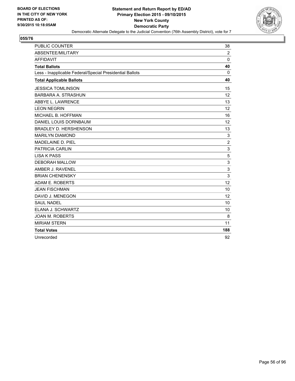

| <b>PUBLIC COUNTER</b>                                    | 38             |
|----------------------------------------------------------|----------------|
| ABSENTEE/MILITARY                                        | $\overline{2}$ |
| <b>AFFIDAVIT</b>                                         | $\Omega$       |
| <b>Total Ballots</b>                                     | 40             |
| Less - Inapplicable Federal/Special Presidential Ballots | 0              |
| <b>Total Applicable Ballots</b>                          | 40             |
| <b>JESSICA TOMLINSON</b>                                 | 15             |
| <b>BARBARA A. STRASHUN</b>                               | 12             |
| ABBYE L. LAWRENCE                                        | 13             |
| <b>LEON NEGRIN</b>                                       | 12             |
| MICHAEL B. HOFFMAN                                       | 16             |
| DANIEL LOUIS DORNBAUM                                    | 12             |
| <b>BRADLEY D. HERSHENSON</b>                             | 13             |
| <b>MARILYN DIAMOND</b>                                   | 3              |
| MADELAINE D. PIEL                                        | $\overline{2}$ |
| <b>PATRICIA CARLIN</b>                                   | 3              |
| <b>LISA K PASS</b>                                       | 5              |
| <b>DEBORAH MALLOW</b>                                    | 3              |
| AMBER J. RAVENEL                                         | 3              |
| <b>BRIAN CHENENSKY</b>                                   | 3              |
| ADAM E. ROBERTS                                          | 12             |
| <b>JEAN FISCHMAN</b>                                     | 10             |
| DAVID J. MENEGON                                         | 12             |
| <b>SAUL NADEL</b>                                        | 10             |
| ELANA J. SCHWARTZ                                        | 10             |
| <b>JOAN M. ROBERTS</b>                                   | 8              |
| <b>MIRIAM STERN</b>                                      | 11             |
| <b>Total Votes</b>                                       | 188            |
| Unrecorded                                               | 92             |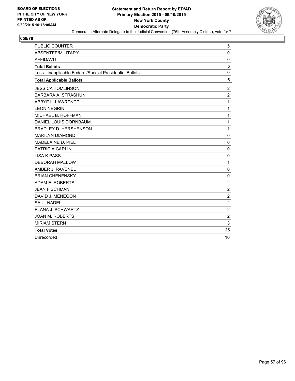

| <b>PUBLIC COUNTER</b>                                    | 5              |
|----------------------------------------------------------|----------------|
| ABSENTEE/MILITARY                                        | $\mathbf 0$    |
| <b>AFFIDAVIT</b>                                         | 0              |
| <b>Total Ballots</b>                                     | 5              |
| Less - Inapplicable Federal/Special Presidential Ballots | $\mathbf 0$    |
| <b>Total Applicable Ballots</b>                          | 5              |
| <b>JESSICA TOMLINSON</b>                                 | $\overline{2}$ |
| BARBARA A. STRASHUN                                      | $\overline{2}$ |
| ABBYE L. LAWRENCE                                        | 1              |
| <b>LEON NEGRIN</b>                                       | 1              |
| MICHAEL B. HOFFMAN                                       | 1              |
| DANIEL LOUIS DORNBAUM                                    | 1              |
| <b>BRADLEY D. HERSHENSON</b>                             | 1              |
| <b>MARILYN DIAMOND</b>                                   | $\Omega$       |
| <b>MADELAINE D. PIEL</b>                                 | $\mathbf 0$    |
| PATRICIA CARLIN                                          | $\mathbf 0$    |
| <b>LISA K PASS</b>                                       | $\mathbf 0$    |
| <b>DEBORAH MALLOW</b>                                    | 1              |
| AMBER J. RAVENEL                                         | $\mathbf 0$    |
| <b>BRIAN CHENENSKY</b>                                   | 0              |
| ADAM E. ROBERTS                                          | $\overline{2}$ |
| <b>JEAN FISCHMAN</b>                                     | $\overline{2}$ |
| DAVID J. MENEGON                                         | $\overline{2}$ |
| <b>SAUL NADEL</b>                                        | $\overline{2}$ |
| ELANA J. SCHWARTZ                                        | $\overline{2}$ |
| <b>JOAN M. ROBERTS</b>                                   | $\overline{2}$ |
| <b>MIRIAM STERN</b>                                      | 3              |
| <b>Total Votes</b>                                       | 25             |
| Unrecorded                                               | 10             |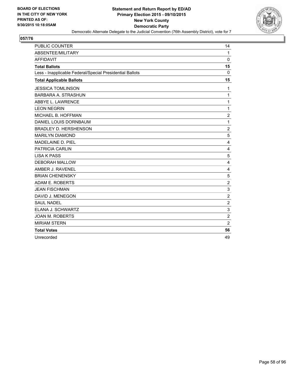

| <b>PUBLIC COUNTER</b>                                    | 14             |
|----------------------------------------------------------|----------------|
| ABSENTEE/MILITARY                                        | $\mathbf{1}$   |
| <b>AFFIDAVIT</b>                                         | $\Omega$       |
| <b>Total Ballots</b>                                     | 15             |
| Less - Inapplicable Federal/Special Presidential Ballots | 0              |
| <b>Total Applicable Ballots</b>                          | 15             |
| <b>JESSICA TOMLINSON</b>                                 | 1              |
| <b>BARBARA A. STRASHUN</b>                               | 1              |
| ABBYE L. LAWRENCE                                        | 1              |
| <b>LEON NEGRIN</b>                                       | 1              |
| MICHAEL B. HOFFMAN                                       | $\overline{2}$ |
| DANIEL LOUIS DORNBAUM                                    | 1              |
| <b>BRADLEY D. HERSHENSON</b>                             | $\overline{2}$ |
| <b>MARILYN DIAMOND</b>                                   | 5              |
| <b>MADELAINE D. PIEL</b>                                 | 4              |
| <b>PATRICIA CARLIN</b>                                   | $\overline{4}$ |
| <b>LISA K PASS</b>                                       | 5              |
| <b>DEBORAH MALLOW</b>                                    | 4              |
| AMBER J. RAVENEL                                         | 4              |
| <b>BRIAN CHENENSKY</b>                                   | 5              |
| ADAM E. ROBERTS                                          | 2              |
| <b>JEAN FISCHMAN</b>                                     | 3              |
| DAVID J. MENEGON                                         | $\overline{2}$ |
| <b>SAUL NADEL</b>                                        | $\overline{2}$ |
| ELANA J. SCHWARTZ                                        | 3              |
| <b>JOAN M. ROBERTS</b>                                   | $\overline{2}$ |
| <b>MIRIAM STERN</b>                                      | $\overline{2}$ |
| <b>Total Votes</b>                                       | 56             |
| Unrecorded                                               | 49             |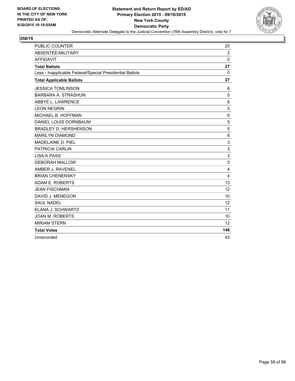

| PUBLIC COUNTER                                           | 25             |
|----------------------------------------------------------|----------------|
| ABSENTEE/MILITARY                                        | $\overline{2}$ |
| <b>AFFIDAVIT</b>                                         | $\Omega$       |
| <b>Total Ballots</b>                                     | 27             |
| Less - Inapplicable Federal/Special Presidential Ballots | $\mathbf{0}$   |
| <b>Total Applicable Ballots</b>                          | 27             |
| <b>JESSICA TOMLINSON</b>                                 | 6              |
| <b>BARBARA A. STRASHUN</b>                               | 5              |
| ABBYE L. LAWRENCE                                        | 6              |
| <b>LEON NEGRIN</b>                                       | 5              |
| MICHAEL B. HOFFMAN                                       | 6              |
| DANIEL LOUIS DORNBAUM                                    | 5              |
| <b>BRADLEY D. HERSHENSON</b>                             | 5              |
| <b>MARILYN DIAMOND</b>                                   | 6              |
| MADELAINE D. PIEL                                        | 3              |
| <b>PATRICIA CARLIN</b>                                   | 3              |
| <b>LISA K PASS</b>                                       | 3              |
| <b>DEBORAH MALLOW</b>                                    | 5              |
| AMBER J. RAVENEL                                         | 4              |
| <b>BRIAN CHENENSKY</b>                                   | 4              |
| <b>ADAM E. ROBERTS</b>                                   | 13             |
| <b>JEAN FISCHMAN</b>                                     | 12             |
| DAVID J. MENEGON                                         | 10             |
| <b>SAUL NADEL</b>                                        | 12             |
| ELANA J. SCHWARTZ                                        | 11             |
| <b>JOAN M. ROBERTS</b>                                   | 10             |
| <b>MIRIAM STERN</b>                                      | 12             |
| <b>Total Votes</b>                                       | 146            |
| Unrecorded                                               | 43             |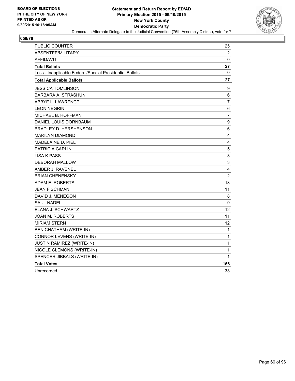

| <b>PUBLIC COUNTER</b>                                    | 25             |
|----------------------------------------------------------|----------------|
| ABSENTEE/MILITARY                                        | $\overline{2}$ |
| <b>AFFIDAVIT</b>                                         | 0              |
| <b>Total Ballots</b>                                     | 27             |
| Less - Inapplicable Federal/Special Presidential Ballots | 0              |
| <b>Total Applicable Ballots</b>                          | 27             |
| <b>JESSICA TOMLINSON</b>                                 | 9              |
| <b>BARBARA A. STRASHUN</b>                               | 6              |
| ABBYE L. LAWRENCE                                        | $\overline{7}$ |
| <b>LEON NEGRIN</b>                                       | 6              |
| MICHAEL B. HOFFMAN                                       | $\overline{7}$ |
| DANIEL LOUIS DORNBAUM                                    | 9              |
| <b>BRADLEY D. HERSHENSON</b>                             | 6              |
| <b>MARILYN DIAMOND</b>                                   | 4              |
| <b>MADELAINE D. PIEL</b>                                 | 4              |
| <b>PATRICIA CARLIN</b>                                   | 5              |
| <b>LISA K PASS</b>                                       | 3              |
| <b>DEBORAH MALLOW</b>                                    | 3              |
| AMBER J. RAVENEL                                         | 4              |
| <b>BRIAN CHENENSKY</b>                                   | $\overline{2}$ |
| ADAM E. ROBERTS                                          | 13             |
| <b>JEAN FISCHMAN</b>                                     | 11             |
| DAVID J. MENEGON                                         | 8              |
| <b>SAUL NADEL</b>                                        | 9              |
| ELANA J. SCHWARTZ                                        | 12             |
| <b>JOAN M. ROBERTS</b>                                   | 11             |
| <b>MIRIAM STERN</b>                                      | 12             |
| <b>BEN CHATHAM (WRITE-IN)</b>                            | 1              |
| CONNOR LEVENS (WRITE-IN)                                 | 1              |
| JUSTIN RAMIREZ (WRITE-IN)                                | $\mathbf 1$    |
| NICOLE CLEMONS (WRITE-IN)                                | 1              |
| SPENCER JIBBALS (WRITE-IN)                               | 1              |
| <b>Total Votes</b>                                       | 156            |
| Unrecorded                                               | 33             |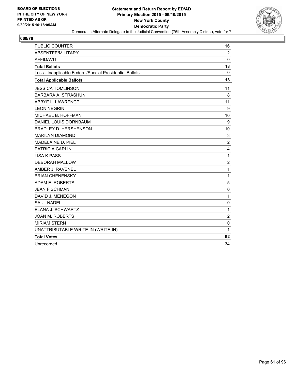

| PUBLIC COUNTER                                           | 16             |
|----------------------------------------------------------|----------------|
| ABSENTEE/MILITARY                                        | $\overline{2}$ |
| <b>AFFIDAVIT</b>                                         | $\Omega$       |
| <b>Total Ballots</b>                                     | 18             |
| Less - Inapplicable Federal/Special Presidential Ballots | 0              |
| <b>Total Applicable Ballots</b>                          | 18             |
| <b>JESSICA TOMLINSON</b>                                 | 11             |
| <b>BARBARA A. STRASHUN</b>                               | 8              |
| ABBYE L. LAWRENCE                                        | 11             |
| <b>LEON NEGRIN</b>                                       | 9              |
| MICHAEL B. HOFFMAN                                       | 10             |
| DANIEL LOUIS DORNBAUM                                    | 9              |
| <b>BRADLEY D. HERSHENSON</b>                             | 10             |
| <b>MARILYN DIAMOND</b>                                   | 3              |
| MADELAINE D. PIEL                                        | 2              |
| <b>PATRICIA CARLIN</b>                                   | 4              |
| <b>LISA K PASS</b>                                       | $\mathbf{1}$   |
| <b>DEBORAH MALLOW</b>                                    | $\overline{2}$ |
| AMBER J. RAVENEL                                         | 1              |
| <b>BRIAN CHENENSKY</b>                                   | $\mathbf{1}$   |
| ADAM E. ROBERTS                                          | 5              |
| <b>JEAN FISCHMAN</b>                                     | 0              |
| DAVID J. MENEGON                                         | 1              |
| <b>SAUL NADEL</b>                                        | 0              |
| ELANA J. SCHWARTZ                                        | $\mathbf{1}$   |
| <b>JOAN M. ROBERTS</b>                                   | $\overline{2}$ |
| <b>MIRIAM STERN</b>                                      | 0              |
| UNATTRIBUTABLE WRITE-IN (WRITE-IN)                       | $\mathbf{1}$   |
| <b>Total Votes</b>                                       | 92             |
| Unrecorded                                               | 34             |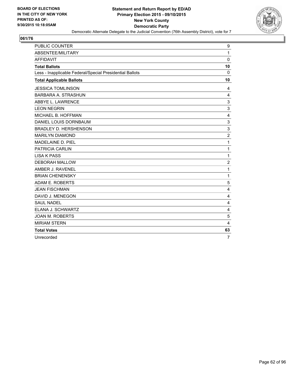

| <b>PUBLIC COUNTER</b>                                    | 9              |
|----------------------------------------------------------|----------------|
| ABSENTEE/MILITARY                                        | 1              |
| <b>AFFIDAVIT</b>                                         | $\mathbf 0$    |
| <b>Total Ballots</b>                                     | 10             |
| Less - Inapplicable Federal/Special Presidential Ballots | 0              |
| <b>Total Applicable Ballots</b>                          | 10             |
| <b>JESSICA TOMLINSON</b>                                 | 4              |
| BARBARA A. STRASHUN                                      | 4              |
| ABBYE L. LAWRENCE                                        | 3              |
| <b>LEON NEGRIN</b>                                       | 3              |
| MICHAEL B. HOFFMAN                                       | 4              |
| DANIEL LOUIS DORNBAUM                                    | 3              |
| <b>BRADLEY D. HERSHENSON</b>                             | 3              |
| <b>MARILYN DIAMOND</b>                                   | $\overline{c}$ |
| MADELAINE D. PIEL                                        | 1              |
| <b>PATRICIA CARLIN</b>                                   | 1              |
| <b>LISA K PASS</b>                                       | 1              |
| <b>DEBORAH MALLOW</b>                                    | $\overline{c}$ |
| AMBER J. RAVENEL                                         | 1              |
| <b>BRIAN CHENENSKY</b>                                   | 1              |
| ADAM E. ROBERTS                                          | 5              |
| <b>JEAN FISCHMAN</b>                                     | 4              |
| DAVID J. MENEGON                                         | $\overline{4}$ |
| <b>SAUL NADEL</b>                                        | 4              |
| ELANA J. SCHWARTZ                                        | $\overline{4}$ |
| <b>JOAN M. ROBERTS</b>                                   | 5              |
| <b>MIRIAM STERN</b>                                      | 4              |
| <b>Total Votes</b>                                       | 63             |
| Unrecorded                                               | $\overline{7}$ |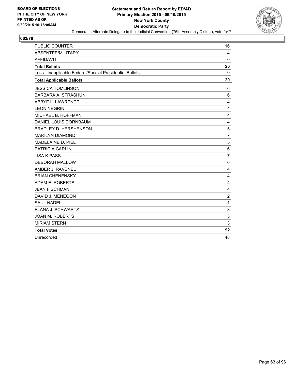

| <b>PUBLIC COUNTER</b>                                    | 16             |
|----------------------------------------------------------|----------------|
| ABSENTEE/MILITARY                                        | 4              |
| <b>AFFIDAVIT</b>                                         | $\Omega$       |
| <b>Total Ballots</b>                                     | 20             |
| Less - Inapplicable Federal/Special Presidential Ballots | 0              |
| <b>Total Applicable Ballots</b>                          | 20             |
| <b>JESSICA TOMLINSON</b>                                 | 6              |
| <b>BARBARA A. STRASHUN</b>                               | 6              |
| ABBYE L. LAWRENCE                                        | 4              |
| <b>LEON NEGRIN</b>                                       | 4              |
| MICHAEL B. HOFFMAN                                       | 4              |
| DANIEL LOUIS DORNBAUM                                    | 4              |
| <b>BRADLEY D. HERSHENSON</b>                             | 5              |
| <b>MARILYN DIAMOND</b>                                   | $\overline{7}$ |
| MADELAINE D. PIEL                                        | 5              |
| <b>PATRICIA CARLIN</b>                                   | 6              |
| <b>LISA K PASS</b>                                       | $\overline{7}$ |
| <b>DEBORAH MALLOW</b>                                    | 6              |
| AMBER J. RAVENEL                                         | 4              |
| <b>BRIAN CHENENSKY</b>                                   | 4              |
| ADAM E. ROBERTS                                          | 4              |
| <b>JEAN FISCHMAN</b>                                     | 4              |
| DAVID J. MENEGON                                         | $\overline{2}$ |
| <b>SAUL NADEL</b>                                        | 1              |
| ELANA J. SCHWARTZ                                        | 3              |
| <b>JOAN M. ROBERTS</b>                                   | 3              |
| <b>MIRIAM STERN</b>                                      | 3              |
| <b>Total Votes</b>                                       | 92             |
| Unrecorded                                               | 48             |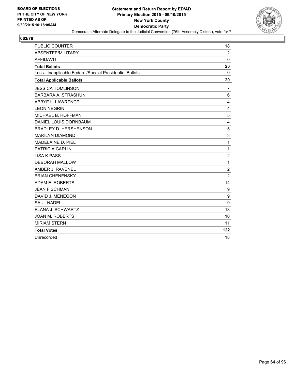

| <b>PUBLIC COUNTER</b>                                    | 18             |
|----------------------------------------------------------|----------------|
| ABSENTEE/MILITARY                                        | $\overline{2}$ |
| <b>AFFIDAVIT</b>                                         | $\Omega$       |
| <b>Total Ballots</b>                                     | 20             |
| Less - Inapplicable Federal/Special Presidential Ballots | 0              |
| <b>Total Applicable Ballots</b>                          | 20             |
| <b>JESSICA TOMLINSON</b>                                 | 7              |
| <b>BARBARA A. STRASHUN</b>                               | 6              |
| ABBYE L. LAWRENCE                                        | 4              |
| <b>LEON NEGRIN</b>                                       | 4              |
| MICHAEL B. HOFFMAN                                       | 5              |
| DANIEL LOUIS DORNBAUM                                    | 4              |
| <b>BRADLEY D. HERSHENSON</b>                             | 5              |
| <b>MARILYN DIAMOND</b>                                   | 3              |
| MADELAINE D. PIEL                                        | 1              |
| <b>PATRICIA CARLIN</b>                                   | 1              |
| <b>LISA K PASS</b>                                       | $\overline{2}$ |
| <b>DEBORAH MALLOW</b>                                    | 1              |
| AMBER J. RAVENEL                                         | $\overline{2}$ |
| <b>BRIAN CHENENSKY</b>                                   | $\overline{2}$ |
| ADAM E. ROBERTS                                          | 14             |
| <b>JEAN FISCHMAN</b>                                     | 9              |
| DAVID J. MENEGON                                         | 9              |
| <b>SAUL NADEL</b>                                        | 9              |
| ELANA J. SCHWARTZ                                        | 13             |
| <b>JOAN M. ROBERTS</b>                                   | 10             |
| <b>MIRIAM STERN</b>                                      | 11             |
| <b>Total Votes</b>                                       | 122            |
| Unrecorded                                               | 18             |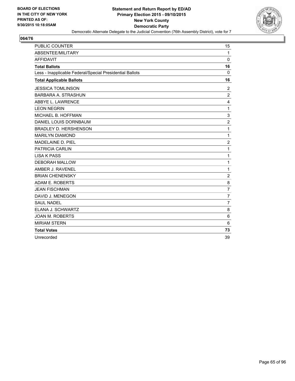

| <b>PUBLIC COUNTER</b>                                    | 15             |
|----------------------------------------------------------|----------------|
| ABSENTEE/MILITARY                                        | $\mathbf{1}$   |
| <b>AFFIDAVIT</b>                                         | $\Omega$       |
| <b>Total Ballots</b>                                     | 16             |
| Less - Inapplicable Federal/Special Presidential Ballots | 0              |
| <b>Total Applicable Ballots</b>                          | 16             |
| <b>JESSICA TOMLINSON</b>                                 | 2              |
| <b>BARBARA A. STRASHUN</b>                               | $\overline{2}$ |
| ABBYE L. LAWRENCE                                        | 4              |
| <b>LEON NEGRIN</b>                                       | 1              |
| MICHAEL B. HOFFMAN                                       | 3              |
| DANIEL LOUIS DORNBAUM                                    | $\overline{2}$ |
| <b>BRADLEY D. HERSHENSON</b>                             | 1              |
| <b>MARILYN DIAMOND</b>                                   | 1              |
| MADELAINE D. PIEL                                        | $\overline{2}$ |
| <b>PATRICIA CARLIN</b>                                   | 1              |
| <b>LISA K PASS</b>                                       | 1              |
| <b>DEBORAH MALLOW</b>                                    | 1              |
| AMBER J. RAVENEL                                         | 1              |
| <b>BRIAN CHENENSKY</b>                                   | $\overline{2}$ |
| ADAM E. ROBERTS                                          | 8              |
| <b>JEAN FISCHMAN</b>                                     | $\overline{7}$ |
| DAVID J. MENEGON                                         | $\overline{7}$ |
| <b>SAUL NADEL</b>                                        | $\overline{7}$ |
| ELANA J. SCHWARTZ                                        | 8              |
| <b>JOAN M. ROBERTS</b>                                   | 6              |
| <b>MIRIAM STERN</b>                                      | 6              |
| <b>Total Votes</b>                                       | 73             |
| Unrecorded                                               | 39             |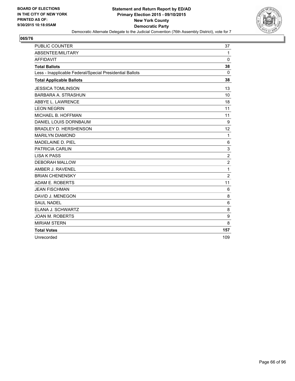

| PUBLIC COUNTER                                           | 37             |
|----------------------------------------------------------|----------------|
| <b>ABSENTEE/MILITARY</b>                                 | 1              |
| <b>AFFIDAVIT</b>                                         | $\Omega$       |
| <b>Total Ballots</b>                                     | 38             |
| Less - Inapplicable Federal/Special Presidential Ballots | $\Omega$       |
| <b>Total Applicable Ballots</b>                          | 38             |
| <b>JESSICA TOMLINSON</b>                                 | 13             |
| <b>BARBARA A. STRASHUN</b>                               | 10             |
| ABBYE L. LAWRENCE                                        | 18             |
| <b>LEON NEGRIN</b>                                       | 11             |
| MICHAEL B. HOFFMAN                                       | 11             |
| DANIEL LOUIS DORNBAUM                                    | 9              |
| <b>BRADLEY D. HERSHENSON</b>                             | 12             |
| <b>MARILYN DIAMOND</b>                                   | 1              |
| MADELAINE D. PIEL                                        | 6              |
| PATRICIA CARLIN                                          | 3              |
| <b>LISA K PASS</b>                                       | $\overline{2}$ |
| <b>DEBORAH MALLOW</b>                                    | $\overline{c}$ |
| AMBER J. RAVENEL                                         | 1              |
| <b>BRIAN CHENENSKY</b>                                   | $\overline{2}$ |
| ADAM E. ROBERTS                                          | 11             |
| <b>JEAN FISCHMAN</b>                                     | 6              |
| DAVID J. MENEGON                                         | 8              |
| <b>SAUL NADEL</b>                                        | 6              |
| ELANA J. SCHWARTZ                                        | 8              |
| <b>JOAN M. ROBERTS</b>                                   | 9              |
| <b>MIRIAM STERN</b>                                      | 8              |
| <b>Total Votes</b>                                       | 157            |
| Unrecorded                                               | 109            |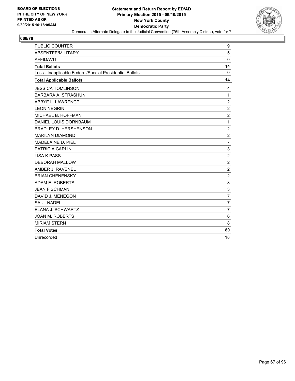

| <b>PUBLIC COUNTER</b>                                    | 9                |
|----------------------------------------------------------|------------------|
| ABSENTEE/MILITARY                                        | 5                |
| <b>AFFIDAVIT</b>                                         | $\mathbf 0$      |
| <b>Total Ballots</b>                                     | 14               |
| Less - Inapplicable Federal/Special Presidential Ballots | 0                |
| <b>Total Applicable Ballots</b>                          | 14               |
| <b>JESSICA TOMLINSON</b>                                 | 4                |
| <b>BARBARA A. STRASHUN</b>                               | $\mathbf{1}$     |
| ABBYE L. LAWRENCE                                        | $\overline{c}$   |
| <b>LEON NEGRIN</b>                                       | $\overline{2}$   |
| MICHAEL B. HOFFMAN                                       | $\overline{2}$   |
| DANIEL LOUIS DORNBAUM                                    | 1                |
| <b>BRADLEY D. HERSHENSON</b>                             | $\overline{c}$   |
| <b>MARILYN DIAMOND</b>                                   | $\overline{c}$   |
| <b>MADELAINE D. PIEL</b>                                 | $\overline{7}$   |
| <b>PATRICIA CARLIN</b>                                   | 3                |
| <b>LISA K PASS</b>                                       | $\overline{2}$   |
| <b>DEBORAH MALLOW</b>                                    | $\boldsymbol{2}$ |
| AMBER J. RAVENEL                                         | $\overline{c}$   |
| <b>BRIAN CHENENSKY</b>                                   | $\overline{c}$   |
| ADAM E. ROBERTS                                          | 8                |
| <b>JEAN FISCHMAN</b>                                     | 3                |
| DAVID J. MENEGON                                         | $\overline{7}$   |
| <b>SAUL NADEL</b>                                        | $\overline{7}$   |
| ELANA J. SCHWARTZ                                        | $\overline{7}$   |
| <b>JOAN M. ROBERTS</b>                                   | 6                |
| <b>MIRIAM STERN</b>                                      | 8                |
| <b>Total Votes</b>                                       | 80               |
| Unrecorded                                               | 18               |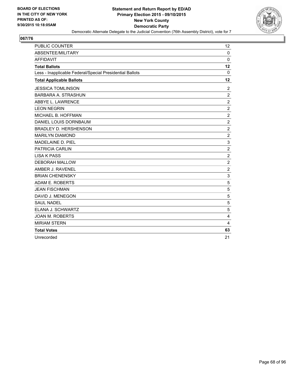

| <b>PUBLIC COUNTER</b>                                    | 12             |
|----------------------------------------------------------|----------------|
| ABSENTEE/MILITARY                                        | $\Omega$       |
| <b>AFFIDAVIT</b>                                         | $\Omega$       |
| <b>Total Ballots</b>                                     | 12             |
| Less - Inapplicable Federal/Special Presidential Ballots | 0              |
| <b>Total Applicable Ballots</b>                          | 12             |
| <b>JESSICA TOMLINSON</b>                                 | $\overline{2}$ |
| <b>BARBARA A. STRASHUN</b>                               | $\overline{2}$ |
| ABBYE L. LAWRENCE                                        | $\overline{c}$ |
| <b>LEON NEGRIN</b>                                       | $\overline{2}$ |
| MICHAEL B. HOFFMAN                                       | $\overline{2}$ |
| DANIEL LOUIS DORNBAUM                                    | $\overline{2}$ |
| <b>BRADLEY D. HERSHENSON</b>                             | $\overline{c}$ |
| <b>MARILYN DIAMOND</b>                                   | $\overline{c}$ |
| <b>MADELAINE D. PIEL</b>                                 | 3              |
| <b>PATRICIA CARLIN</b>                                   | $\overline{2}$ |
| <b>LISA K PASS</b>                                       | $\overline{2}$ |
| <b>DEBORAH MALLOW</b>                                    | $\overline{2}$ |
| AMBER J. RAVENEL                                         | $\overline{2}$ |
| <b>BRIAN CHENENSKY</b>                                   | 3              |
| ADAM E. ROBERTS                                          | 5              |
| <b>JEAN FISCHMAN</b>                                     | 5              |
| DAVID J. MENEGON                                         | 5              |
| <b>SAUL NADEL</b>                                        | 5              |
| ELANA J. SCHWARTZ                                        | 5              |
| <b>JOAN M. ROBERTS</b>                                   | 4              |
| <b>MIRIAM STERN</b>                                      | 4              |
| <b>Total Votes</b>                                       | 63             |
| Unrecorded                                               | 21             |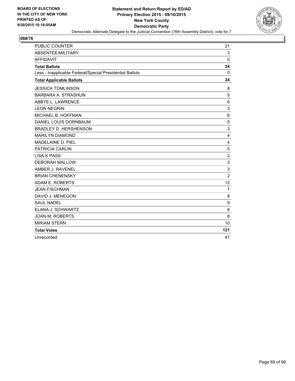

| <b>PUBLIC COUNTER</b>                                    | 21             |
|----------------------------------------------------------|----------------|
| ABSENTEE/MILITARY                                        | 3              |
| <b>AFFIDAVIT</b>                                         | $\Omega$       |
| <b>Total Ballots</b>                                     | 24             |
| Less - Inapplicable Federal/Special Presidential Ballots | 0              |
| <b>Total Applicable Ballots</b>                          | 24             |
| <b>JESSICA TOMLINSON</b>                                 | 8              |
| <b>BARBARA A. STRASHUN</b>                               | 5              |
| ABBYE L. LAWRENCE                                        | 6              |
| <b>LEON NEGRIN</b>                                       | 3              |
| MICHAEL B. HOFFMAN                                       | 6              |
| DANIEL LOUIS DORNBAUM                                    | 5              |
| <b>BRADLEY D. HERSHENSON</b>                             | 3              |
| <b>MARILYN DIAMOND</b>                                   | 4              |
| <b>MADELAINE D. PIEL</b>                                 | 4              |
| PATRICIA CARLIN                                          | 5              |
| <b>LISA K PASS</b>                                       | $\overline{2}$ |
| <b>DEBORAH MALLOW</b>                                    | 3              |
| AMBER J. RAVENEL                                         | 3              |
| <b>BRIAN CHENENSKY</b>                                   | $\overline{2}$ |
| ADAM E. ROBERTS                                          | 12             |
| <b>JEAN FISCHMAN</b>                                     | $\overline{7}$ |
| DAVID J. MENEGON                                         | 8              |
| <b>SAUL NADEL</b>                                        | 9              |
| ELANA J. SCHWARTZ                                        | 8              |
| <b>JOAN M. ROBERTS</b>                                   | 8              |
| <b>MIRIAM STERN</b>                                      | 10             |
| <b>Total Votes</b>                                       | 121            |
| Unrecorded                                               | 47             |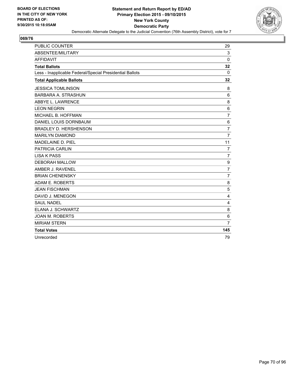

| <b>PUBLIC COUNTER</b>                                    | 29             |
|----------------------------------------------------------|----------------|
| ABSENTEE/MILITARY                                        | 3              |
| <b>AFFIDAVIT</b>                                         | $\Omega$       |
| <b>Total Ballots</b>                                     | 32             |
| Less - Inapplicable Federal/Special Presidential Ballots | 0              |
| <b>Total Applicable Ballots</b>                          | 32             |
| <b>JESSICA TOMLINSON</b>                                 | 8              |
| <b>BARBARA A. STRASHUN</b>                               | 6              |
| ABBYE L. LAWRENCE                                        | 8              |
| <b>LEON NEGRIN</b>                                       | 6              |
| MICHAEL B. HOFFMAN                                       | $\overline{7}$ |
| DANIEL LOUIS DORNBAUM                                    | 6              |
| <b>BRADLEY D. HERSHENSON</b>                             | $\overline{7}$ |
| <b>MARILYN DIAMOND</b>                                   | $\overline{7}$ |
| MADELAINE D. PIEL                                        | 11             |
| PATRICIA CARLIN                                          | 7              |
| <b>LISA K PASS</b>                                       | $\overline{7}$ |
| <b>DEBORAH MALLOW</b>                                    | 9              |
| AMBER J. RAVENEL                                         | $\overline{7}$ |
| <b>BRIAN CHENENSKY</b>                                   | $\overline{7}$ |
| ADAM E. ROBERTS                                          | 8              |
| <b>JEAN FISCHMAN</b>                                     | 5              |
| DAVID J. MENEGON                                         | 4              |
| <b>SAUL NADEL</b>                                        | 4              |
| ELANA J. SCHWARTZ                                        | 8              |
| <b>JOAN M. ROBERTS</b>                                   | 6              |
| <b>MIRIAM STERN</b>                                      | $\overline{7}$ |
| <b>Total Votes</b>                                       | 145            |
| Unrecorded                                               | 79             |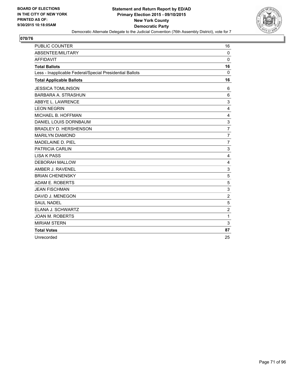

| <b>PUBLIC COUNTER</b>                                    | 16             |
|----------------------------------------------------------|----------------|
| ABSENTEE/MILITARY                                        | $\mathbf 0$    |
| <b>AFFIDAVIT</b>                                         | $\Omega$       |
| <b>Total Ballots</b>                                     | 16             |
| Less - Inapplicable Federal/Special Presidential Ballots | 0              |
| <b>Total Applicable Ballots</b>                          | 16             |
| <b>JESSICA TOMLINSON</b>                                 | 6              |
| <b>BARBARA A. STRASHUN</b>                               | 6              |
| ABBYE L. LAWRENCE                                        | 3              |
| <b>LEON NEGRIN</b>                                       | 4              |
| MICHAEL B. HOFFMAN                                       | 4              |
| DANIEL LOUIS DORNBAUM                                    | 3              |
| <b>BRADLEY D. HERSHENSON</b>                             | $\overline{7}$ |
| <b>MARILYN DIAMOND</b>                                   | $\overline{7}$ |
| MADELAINE D. PIEL                                        | $\overline{7}$ |
| PATRICIA CARLIN                                          | 3              |
| <b>LISA K PASS</b>                                       | 4              |
| <b>DEBORAH MALLOW</b>                                    | 4              |
| AMBER J. RAVENEL                                         | 3              |
| <b>BRIAN CHENENSKY</b>                                   | 5              |
| ADAM E. ROBERTS                                          | 5              |
| <b>JEAN FISCHMAN</b>                                     | 3              |
| DAVID J. MENEGON                                         | $\overline{2}$ |
| <b>SAUL NADEL</b>                                        | 5              |
| ELANA J. SCHWARTZ                                        | $\overline{2}$ |
| <b>JOAN M. ROBERTS</b>                                   | 1              |
| <b>MIRIAM STERN</b>                                      | 3              |
| <b>Total Votes</b>                                       | 87             |
| Unrecorded                                               | 25             |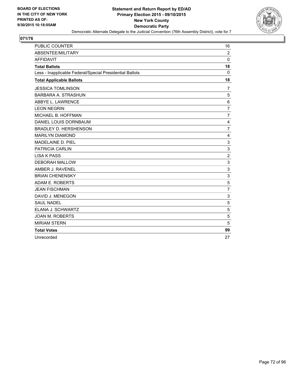

| <b>PUBLIC COUNTER</b>                                    | 16             |
|----------------------------------------------------------|----------------|
| ABSENTEE/MILITARY                                        | $\overline{2}$ |
| <b>AFFIDAVIT</b>                                         | $\Omega$       |
| <b>Total Ballots</b>                                     | 18             |
| Less - Inapplicable Federal/Special Presidential Ballots | 0              |
| <b>Total Applicable Ballots</b>                          | 18             |
| <b>JESSICA TOMLINSON</b>                                 | 7              |
| <b>BARBARA A. STRASHUN</b>                               | 5              |
| ABBYE L. LAWRENCE                                        | 6              |
| <b>LEON NEGRIN</b>                                       | $\overline{7}$ |
| MICHAEL B. HOFFMAN                                       | $\overline{7}$ |
| DANIEL LOUIS DORNBAUM                                    | 4              |
| <b>BRADLEY D. HERSHENSON</b>                             | $\overline{7}$ |
| <b>MARILYN DIAMOND</b>                                   | 4              |
| MADELAINE D. PIEL                                        | 3              |
| PATRICIA CARLIN                                          | 3              |
| <b>LISA K PASS</b>                                       | $\overline{2}$ |
| <b>DEBORAH MALLOW</b>                                    | 3              |
| AMBER J. RAVENEL                                         | 3              |
| <b>BRIAN CHENENSKY</b>                                   | 3              |
| ADAM E. ROBERTS                                          | 5              |
| <b>JEAN FISCHMAN</b>                                     | $\overline{7}$ |
| DAVID J. MENEGON                                         | 3              |
| <b>SAUL NADEL</b>                                        | 5              |
| ELANA J. SCHWARTZ                                        | 5              |
| <b>JOAN M. ROBERTS</b>                                   | 5              |
| <b>MIRIAM STERN</b>                                      | 5              |
| <b>Total Votes</b>                                       | 99             |
| Unrecorded                                               | 27             |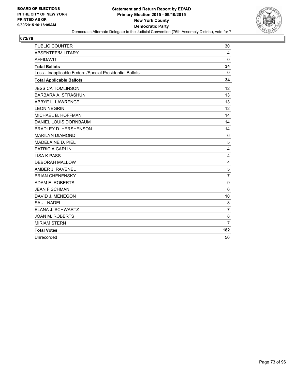

| PUBLIC COUNTER                                           | 30             |
|----------------------------------------------------------|----------------|
| ABSENTEE/MILITARY                                        | 4              |
| <b>AFFIDAVIT</b>                                         | $\Omega$       |
| <b>Total Ballots</b>                                     | 34             |
| Less - Inapplicable Federal/Special Presidential Ballots | $\Omega$       |
| <b>Total Applicable Ballots</b>                          | 34             |
| <b>JESSICA TOMLINSON</b>                                 | 12             |
| <b>BARBARA A. STRASHUN</b>                               | 13             |
| ABBYE L. LAWRENCE                                        | 13             |
| <b>LEON NEGRIN</b>                                       | 12             |
| MICHAEL B. HOFFMAN                                       | 14             |
| DANIEL LOUIS DORNBAUM                                    | 14             |
| <b>BRADLEY D. HERSHENSON</b>                             | 14             |
| <b>MARILYN DIAMOND</b>                                   | 6              |
| <b>MADELAINE D. PIEL</b>                                 | 5              |
| PATRICIA CARLIN                                          | 4              |
| <b>LISA K PASS</b>                                       | 4              |
| <b>DEBORAH MALLOW</b>                                    | 4              |
| AMBER J. RAVENEL                                         | 5              |
| <b>BRIAN CHENENSKY</b>                                   | $\overline{7}$ |
| ADAM E. ROBERTS                                          | 9              |
| <b>JEAN FISCHMAN</b>                                     | 6              |
| DAVID J. MENEGON                                         | 10             |
| <b>SAUL NADEL</b>                                        | 8              |
| ELANA J. SCHWARTZ                                        | $\overline{7}$ |
| <b>JOAN M. ROBERTS</b>                                   | 8              |
| <b>MIRIAM STERN</b>                                      | $\overline{7}$ |
| <b>Total Votes</b>                                       | 182            |
| Unrecorded                                               | 56             |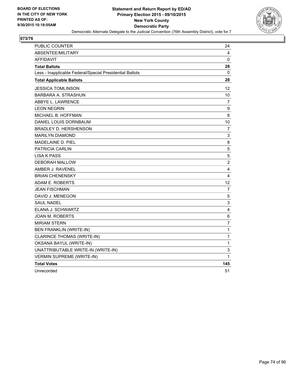

| <b>PUBLIC COUNTER</b>                                    | 24             |
|----------------------------------------------------------|----------------|
| <b>ABSENTEE/MILITARY</b>                                 | 4              |
| AFFIDAVIT                                                | 0              |
| <b>Total Ballots</b>                                     | 28             |
| Less - Inapplicable Federal/Special Presidential Ballots | 0              |
| <b>Total Applicable Ballots</b>                          | 28             |
| <b>JESSICA TOMLINSON</b>                                 | 12             |
| <b>BARBARA A. STRASHUN</b>                               | 10             |
| <b>ABBYE L. LAWRENCE</b>                                 | 7              |
| <b>LEON NEGRIN</b>                                       | 9              |
| MICHAEL B. HOFFMAN                                       | 8              |
| DANIEL LOUIS DORNBAUM                                    | 10             |
| BRADLEY D. HERSHENSON                                    | 7              |
| <b>MARILYN DIAMOND</b>                                   | 3              |
| <b>MADELAINE D. PIEL</b>                                 | 8              |
| <b>PATRICIA CARLIN</b>                                   | 5              |
| LISA K PASS                                              | 5              |
| <b>DEBORAH MALLOW</b>                                    | 2              |
| AMBER J. RAVENEL                                         | 4              |
| <b>BRIAN CHENENSKY</b>                                   | 4              |
| ADAM E. ROBERTS                                          | 12             |
| <b>JEAN FISCHMAN</b>                                     | 7              |
| DAVID J. MENEGON                                         | 5              |
| <b>SAUL NADEL</b>                                        | 3              |
| ELANA J. SCHWARTZ                                        | 4              |
| <b>JOAN M. ROBERTS</b>                                   | 6              |
| <b>MIRIAM STERN</b>                                      | $\overline{7}$ |
| <b>BEN FRANKLIN (WRITE-IN)</b>                           | 1              |
| <b>CLARINCE THOMAS (WRITE-IN)</b>                        | $\mathbf{1}$   |
| OKSANA BAYUL (WRITE-IN)                                  | 1              |
| UNATTRIBUTABLE WRITE-IN (WRITE-IN)                       | 3              |
| <b>VERMIN SUPREME (WRITE-IN)</b>                         | 1              |
| <b>Total Votes</b>                                       | 145            |
| Unrecorded                                               | 51             |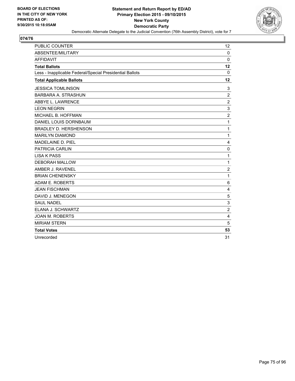

| <b>PUBLIC COUNTER</b>                                    | 12             |
|----------------------------------------------------------|----------------|
| ABSENTEE/MILITARY                                        | $\mathbf 0$    |
| <b>AFFIDAVIT</b>                                         | $\mathbf{0}$   |
| <b>Total Ballots</b>                                     | 12             |
| Less - Inapplicable Federal/Special Presidential Ballots | 0              |
| <b>Total Applicable Ballots</b>                          | 12             |
| <b>JESSICA TOMLINSON</b>                                 | 3              |
| <b>BARBARA A. STRASHUN</b>                               | $\overline{2}$ |
| ABBYE L. LAWRENCE                                        | $\overline{c}$ |
| <b>LEON NEGRIN</b>                                       | 3              |
| MICHAEL B. HOFFMAN                                       | $\overline{2}$ |
| DANIEL LOUIS DORNBAUM                                    | $\mathbf{1}$   |
| <b>BRADLEY D. HERSHENSON</b>                             | $\mathbf 1$    |
| <b>MARILYN DIAMOND</b>                                   | $\mathbf{1}$   |
| <b>MADELAINE D. PIEL</b>                                 | 4              |
| <b>PATRICIA CARLIN</b>                                   | 0              |
| <b>LISA K PASS</b>                                       | $\mathbf{1}$   |
| <b>DEBORAH MALLOW</b>                                    | $\mathbf{1}$   |
| AMBER J. RAVENEL                                         | $\overline{2}$ |
| <b>BRIAN CHENENSKY</b>                                   | $\mathbf{1}$   |
| ADAM E. ROBERTS                                          | 6              |
| <b>JEAN FISCHMAN</b>                                     | 4              |
| DAVID J. MENEGON                                         | 5              |
| <b>SAUL NADEL</b>                                        | 3              |
| ELANA J. SCHWARTZ                                        | $\overline{c}$ |
| <b>JOAN M. ROBERTS</b>                                   | 4              |
| <b>MIRIAM STERN</b>                                      | 5              |
| <b>Total Votes</b>                                       | 53             |
| Unrecorded                                               | 31             |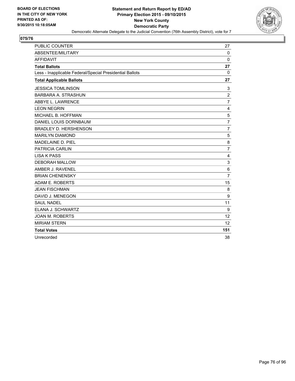

| <b>PUBLIC COUNTER</b>                                    | 27             |
|----------------------------------------------------------|----------------|
| ABSENTEE/MILITARY                                        | $\mathbf 0$    |
| <b>AFFIDAVIT</b>                                         | $\mathbf{0}$   |
| <b>Total Ballots</b>                                     | 27             |
| Less - Inapplicable Federal/Special Presidential Ballots | 0              |
| <b>Total Applicable Ballots</b>                          | 27             |
| <b>JESSICA TOMLINSON</b>                                 | 3              |
| <b>BARBARA A. STRASHUN</b>                               | $\overline{2}$ |
| ABBYE L. LAWRENCE                                        | $\overline{7}$ |
| <b>LEON NEGRIN</b>                                       | 4              |
| MICHAEL B. HOFFMAN                                       | 5              |
| DANIEL LOUIS DORNBAUM                                    | $\overline{7}$ |
| <b>BRADLEY D. HERSHENSON</b>                             | $\overline{7}$ |
| <b>MARILYN DIAMOND</b>                                   | 5              |
| MADELAINE D. PIEL                                        | 8              |
| <b>PATRICIA CARLIN</b>                                   | $\overline{7}$ |
| <b>LISA K PASS</b>                                       | 4              |
| <b>DEBORAH MALLOW</b>                                    | 3              |
| AMBER J. RAVENEL                                         | 6              |
| <b>BRIAN CHENENSKY</b>                                   | $\overline{7}$ |
| ADAM E. ROBERTS                                          | 15             |
| <b>JEAN FISCHMAN</b>                                     | 8              |
| DAVID J. MENEGON                                         | 9              |
| <b>SAUL NADEL</b>                                        | 11             |
| ELANA J. SCHWARTZ                                        | 9              |
| <b>JOAN M. ROBERTS</b>                                   | 12             |
| <b>MIRIAM STERN</b>                                      | 12             |
| <b>Total Votes</b>                                       | 151            |
| Unrecorded                                               | 38             |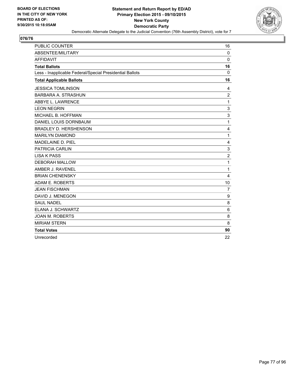

| <b>PUBLIC COUNTER</b>                                    | 16             |
|----------------------------------------------------------|----------------|
| ABSENTEE/MILITARY                                        | $\mathbf 0$    |
| <b>AFFIDAVIT</b>                                         | $\Omega$       |
| <b>Total Ballots</b>                                     | 16             |
| Less - Inapplicable Federal/Special Presidential Ballots | 0              |
| <b>Total Applicable Ballots</b>                          | 16             |
| <b>JESSICA TOMLINSON</b>                                 | 4              |
| <b>BARBARA A. STRASHUN</b>                               | $\overline{2}$ |
| ABBYE L. LAWRENCE                                        | 1              |
| <b>LEON NEGRIN</b>                                       | 3              |
| MICHAEL B. HOFFMAN                                       | 3              |
| DANIEL LOUIS DORNBAUM                                    | 1              |
| <b>BRADLEY D. HERSHENSON</b>                             | 4              |
| <b>MARILYN DIAMOND</b>                                   | 1              |
| MADELAINE D. PIEL                                        | 4              |
| <b>PATRICIA CARLIN</b>                                   | 3              |
| <b>LISA K PASS</b>                                       | $\overline{2}$ |
| <b>DEBORAH MALLOW</b>                                    | 1              |
| AMBER J. RAVENEL                                         | 1              |
| <b>BRIAN CHENENSKY</b>                                   | $\overline{4}$ |
| ADAM E. ROBERTS                                          | 10             |
| <b>JEAN FISCHMAN</b>                                     | $\overline{7}$ |
| DAVID J. MENEGON                                         | 9              |
| <b>SAUL NADEL</b>                                        | 8              |
| ELANA J. SCHWARTZ                                        | 6              |
| <b>JOAN M. ROBERTS</b>                                   | 8              |
| <b>MIRIAM STERN</b>                                      | 8              |
| <b>Total Votes</b>                                       | 90             |
| Unrecorded                                               | 22             |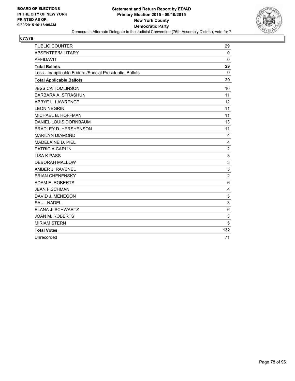

| <b>PUBLIC COUNTER</b>                                    | 29             |
|----------------------------------------------------------|----------------|
| ABSENTEE/MILITARY                                        | $\Omega$       |
| <b>AFFIDAVIT</b>                                         | $\mathbf{0}$   |
| <b>Total Ballots</b>                                     | 29             |
| Less - Inapplicable Federal/Special Presidential Ballots | 0              |
| <b>Total Applicable Ballots</b>                          | 29             |
| <b>JESSICA TOMLINSON</b>                                 | 10             |
| <b>BARBARA A. STRASHUN</b>                               | 11             |
| ABBYE L. LAWRENCE                                        | 12             |
| <b>LEON NEGRIN</b>                                       | 11             |
| MICHAEL B. HOFFMAN                                       | 11             |
| DANIEL LOUIS DORNBAUM                                    | 13             |
| <b>BRADLEY D. HERSHENSON</b>                             | 11             |
| <b>MARILYN DIAMOND</b>                                   | 4              |
| <b>MADELAINE D. PIEL</b>                                 | 4              |
| PATRICIA CARLIN                                          | $\overline{2}$ |
| <b>LISA K PASS</b>                                       | 3              |
| <b>DEBORAH MALLOW</b>                                    | 3              |
| AMBER J. RAVENEL                                         | 3              |
| <b>BRIAN CHENENSKY</b>                                   | $\overline{2}$ |
| ADAM E. ROBERTS                                          | 6              |
| <b>JEAN FISCHMAN</b>                                     | 4              |
| DAVID J. MENEGON                                         | 5              |
| <b>SAUL NADEL</b>                                        | 3              |
| ELANA J. SCHWARTZ                                        | 6              |
| <b>JOAN M. ROBERTS</b>                                   | 3              |
| <b>MIRIAM STERN</b>                                      | 5              |
| <b>Total Votes</b>                                       | 132            |
| Unrecorded                                               | 71             |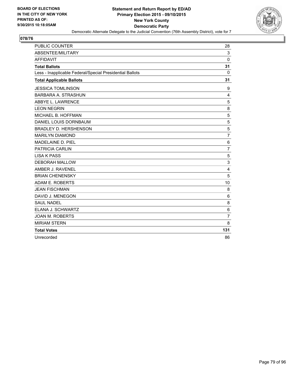

| <b>PUBLIC COUNTER</b>                                    | 28             |
|----------------------------------------------------------|----------------|
| ABSENTEE/MILITARY                                        | 3              |
| <b>AFFIDAVIT</b>                                         | $\Omega$       |
| <b>Total Ballots</b>                                     | 31             |
| Less - Inapplicable Federal/Special Presidential Ballots | 0              |
| <b>Total Applicable Ballots</b>                          | 31             |
| <b>JESSICA TOMLINSON</b>                                 | 9              |
| <b>BARBARA A. STRASHUN</b>                               | 4              |
| ABBYE L. LAWRENCE                                        | 5              |
| <b>LEON NEGRIN</b>                                       | 8              |
| MICHAEL B. HOFFMAN                                       | 5              |
| DANIEL LOUIS DORNBAUM                                    | 5              |
| <b>BRADLEY D. HERSHENSON</b>                             | 5              |
| <b>MARILYN DIAMOND</b>                                   | $\overline{7}$ |
| MADELAINE D. PIEL                                        | 6              |
| <b>PATRICIA CARLIN</b>                                   | $\overline{7}$ |
| <b>LISA K PASS</b>                                       | 5              |
| <b>DEBORAH MALLOW</b>                                    | 3              |
| AMBER J. RAVENEL                                         | 4              |
| <b>BRIAN CHENENSKY</b>                                   | 5              |
| ADAM E. ROBERTS                                          | 10             |
| <b>JEAN FISCHMAN</b>                                     | 8              |
| DAVID J. MENEGON                                         | 6              |
| <b>SAUL NADEL</b>                                        | 8              |
| ELANA J. SCHWARTZ                                        | 6              |
| <b>JOAN M. ROBERTS</b>                                   | $\overline{7}$ |
| <b>MIRIAM STERN</b>                                      | 8              |
| <b>Total Votes</b>                                       | 131            |
| Unrecorded                                               | 86             |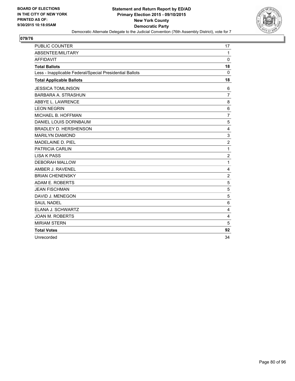

| PUBLIC COUNTER                                           | 17             |
|----------------------------------------------------------|----------------|
| <b>ABSENTEE/MILITARY</b>                                 | 1              |
| <b>AFFIDAVIT</b>                                         | $\Omega$       |
| <b>Total Ballots</b>                                     | 18             |
| Less - Inapplicable Federal/Special Presidential Ballots | $\Omega$       |
| <b>Total Applicable Ballots</b>                          | 18             |
| <b>JESSICA TOMLINSON</b>                                 | 6              |
| <b>BARBARA A. STRASHUN</b>                               | $\overline{7}$ |
| ABBYE L. LAWRENCE                                        | 8              |
| <b>LEON NEGRIN</b>                                       | 6              |
| MICHAEL B. HOFFMAN                                       | $\overline{7}$ |
| DANIEL LOUIS DORNBAUM                                    | 5              |
| <b>BRADLEY D. HERSHENSON</b>                             | $\overline{4}$ |
| <b>MARILYN DIAMOND</b>                                   | 3              |
| MADELAINE D. PIEL                                        | $\overline{2}$ |
| PATRICIA CARLIN                                          | 1              |
| <b>LISA K PASS</b>                                       | $\overline{2}$ |
| <b>DEBORAH MALLOW</b>                                    | 1              |
| AMBER J. RAVENEL                                         | 4              |
| <b>BRIAN CHENENSKY</b>                                   | $\overline{2}$ |
| ADAM E. ROBERTS                                          | 5              |
| <b>JEAN FISCHMAN</b>                                     | 5              |
| DAVID J. MENEGON                                         | 5              |
| <b>SAUL NADEL</b>                                        | 6              |
| ELANA J. SCHWARTZ                                        | 4              |
| <b>JOAN M. ROBERTS</b>                                   | 4              |
| <b>MIRIAM STERN</b>                                      | 5              |
| <b>Total Votes</b>                                       | 92             |
| Unrecorded                                               | 34             |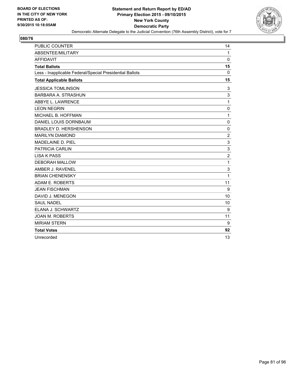

| <b>PUBLIC COUNTER</b>                                    | 14             |
|----------------------------------------------------------|----------------|
| ABSENTEE/MILITARY                                        | 1              |
| <b>AFFIDAVIT</b>                                         | $\Omega$       |
| <b>Total Ballots</b>                                     | 15             |
| Less - Inapplicable Federal/Special Presidential Ballots | 0              |
| <b>Total Applicable Ballots</b>                          | 15             |
| <b>JESSICA TOMLINSON</b>                                 | 3              |
| <b>BARBARA A. STRASHUN</b>                               | 3              |
| ABBYE L. LAWRENCE                                        | 1              |
| <b>LEON NEGRIN</b>                                       | 0              |
| MICHAEL B. HOFFMAN                                       | 1              |
| DANIEL LOUIS DORNBAUM                                    | $\Omega$       |
| <b>BRADLEY D. HERSHENSON</b>                             | $\mathbf 0$    |
| <b>MARILYN DIAMOND</b>                                   | $\overline{2}$ |
| MADELAINE D. PIEL                                        | 3              |
| <b>PATRICIA CARLIN</b>                                   | 3              |
| <b>LISA K PASS</b>                                       | $\overline{2}$ |
| <b>DEBORAH MALLOW</b>                                    | 1              |
| AMBER J. RAVENEL                                         | 3              |
| <b>BRIAN CHENENSKY</b>                                   | 1              |
| ADAM E. ROBERTS                                          | 11             |
| <b>JEAN FISCHMAN</b>                                     | 9              |
| DAVID J. MENEGON                                         | 10             |
| <b>SAUL NADEL</b>                                        | 10             |
| ELANA J. SCHWARTZ                                        | 9              |
| <b>JOAN M. ROBERTS</b>                                   | 11             |
| <b>MIRIAM STERN</b>                                      | 9              |
| <b>Total Votes</b>                                       | 92             |
| Unrecorded                                               | 13             |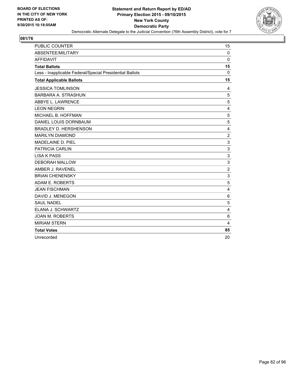

| <b>PUBLIC COUNTER</b>                                    | 15             |
|----------------------------------------------------------|----------------|
| ABSENTEE/MILITARY                                        | $\mathbf 0$    |
| <b>AFFIDAVIT</b>                                         | $\Omega$       |
| <b>Total Ballots</b>                                     | 15             |
| Less - Inapplicable Federal/Special Presidential Ballots | 0              |
| <b>Total Applicable Ballots</b>                          | 15             |
| <b>JESSICA TOMLINSON</b>                                 | 4              |
| <b>BARBARA A. STRASHUN</b>                               | 5              |
| ABBYE L. LAWRENCE                                        | 5              |
| <b>LEON NEGRIN</b>                                       | 4              |
| MICHAEL B. HOFFMAN                                       | 5              |
| DANIEL LOUIS DORNBAUM                                    | 5              |
| <b>BRADLEY D. HERSHENSON</b>                             | 4              |
| <b>MARILYN DIAMOND</b>                                   | $\overline{2}$ |
| MADELAINE D. PIEL                                        | 3              |
| <b>PATRICIA CARLIN</b>                                   | 3              |
| <b>LISA K PASS</b>                                       | 3              |
| <b>DEBORAH MALLOW</b>                                    | 3              |
| AMBER J. RAVENEL                                         | $\overline{c}$ |
| <b>BRIAN CHENENSKY</b>                                   | 3              |
| ADAM E. ROBERTS                                          | 5              |
| <b>JEAN FISCHMAN</b>                                     | 4              |
| DAVID J. MENEGON                                         | 6              |
| <b>SAUL NADEL</b>                                        | 5              |
| ELANA J. SCHWARTZ                                        | 4              |
| <b>JOAN M. ROBERTS</b>                                   | 6              |
| <b>MIRIAM STERN</b>                                      | 4              |
| <b>Total Votes</b>                                       | 85             |
| Unrecorded                                               | 20             |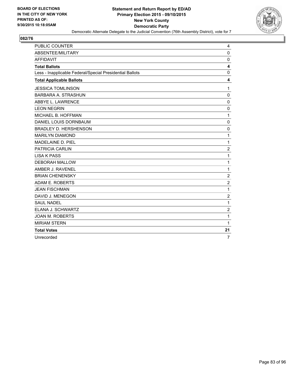

| <b>PUBLIC COUNTER</b>                                    | 4              |
|----------------------------------------------------------|----------------|
| ABSENTEE/MILITARY                                        | $\Omega$       |
| <b>AFFIDAVIT</b>                                         | $\mathbf 0$    |
| <b>Total Ballots</b>                                     | 4              |
| Less - Inapplicable Federal/Special Presidential Ballots | 0              |
| <b>Total Applicable Ballots</b>                          | 4              |
| <b>JESSICA TOMLINSON</b>                                 | 1              |
| <b>BARBARA A. STRASHUN</b>                               | $\mathbf 0$    |
| ABBYE L. LAWRENCE                                        | $\mathbf 0$    |
| <b>LEON NEGRIN</b>                                       | 0              |
| MICHAEL B. HOFFMAN                                       | 1              |
| DANIEL LOUIS DORNBAUM                                    | $\mathbf 0$    |
| <b>BRADLEY D. HERSHENSON</b>                             | $\mathbf 0$    |
| <b>MARILYN DIAMOND</b>                                   | 1              |
| MADELAINE D. PIEL                                        | 1              |
| PATRICIA CARLIN                                          | $\overline{2}$ |
| <b>LISA K PASS</b>                                       | 1              |
| <b>DEBORAH MALLOW</b>                                    | 1              |
| AMBER J. RAVENEL                                         | 1              |
| <b>BRIAN CHENENSKY</b>                                   | $\overline{2}$ |
| ADAM E. ROBERTS                                          | $\overline{2}$ |
| <b>JEAN FISCHMAN</b>                                     | 1              |
| DAVID J. MENEGON                                         | 2              |
| <b>SAUL NADEL</b>                                        | 1              |
| ELANA J. SCHWARTZ                                        | 2              |
| <b>JOAN M. ROBERTS</b>                                   | 1              |
| <b>MIRIAM STERN</b>                                      | 1              |
| <b>Total Votes</b>                                       | 21             |
| Unrecorded                                               | $\overline{7}$ |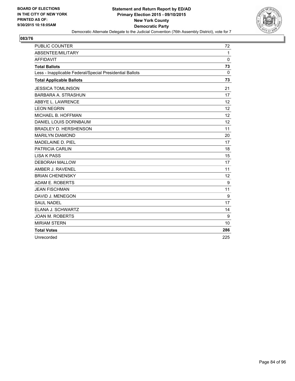

| PUBLIC COUNTER                                           | 72           |
|----------------------------------------------------------|--------------|
| ABSENTEE/MILITARY                                        | $\mathbf{1}$ |
| <b>AFFIDAVIT</b>                                         | $\Omega$     |
| <b>Total Ballots</b>                                     | 73           |
| Less - Inapplicable Federal/Special Presidential Ballots | 0            |
| <b>Total Applicable Ballots</b>                          | 73           |
| <b>JESSICA TOMLINSON</b>                                 | 21           |
| <b>BARBARA A. STRASHUN</b>                               | 17           |
| ABBYE L. LAWRENCE                                        | 12           |
| <b>LEON NEGRIN</b>                                       | 12           |
| MICHAEL B. HOFFMAN                                       | 12           |
| DANIEL LOUIS DORNBAUM                                    | 12           |
| <b>BRADLEY D. HERSHENSON</b>                             | 11           |
| <b>MARILYN DIAMOND</b>                                   | 20           |
| <b>MADELAINE D. PIEL</b>                                 | 17           |
| <b>PATRICIA CARLIN</b>                                   | 18           |
| <b>LISA K PASS</b>                                       | 15           |
| <b>DEBORAH MALLOW</b>                                    | 17           |
| AMBER J. RAVENEL                                         | 11           |
| <b>BRIAN CHENENSKY</b>                                   | 12           |
| ADAM E. ROBERTS                                          | 9            |
| <b>JEAN FISCHMAN</b>                                     | 11           |
| DAVID J. MENEGON                                         | 9            |
| <b>SAUL NADEL</b>                                        | 17           |
| ELANA J. SCHWARTZ                                        | 14           |
| <b>JOAN M. ROBERTS</b>                                   | 9            |
| <b>MIRIAM STERN</b>                                      | 10           |
| <b>Total Votes</b>                                       | 286          |
| Unrecorded                                               | 225          |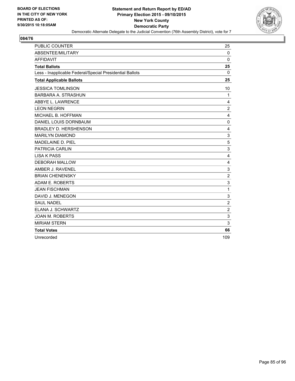

| <b>PUBLIC COUNTER</b>                                    | 25             |
|----------------------------------------------------------|----------------|
| ABSENTEE/MILITARY                                        | $\mathbf 0$    |
| <b>AFFIDAVIT</b>                                         | $\Omega$       |
| <b>Total Ballots</b>                                     | 25             |
| Less - Inapplicable Federal/Special Presidential Ballots | 0              |
| <b>Total Applicable Ballots</b>                          | 25             |
| <b>JESSICA TOMLINSON</b>                                 | 10             |
| <b>BARBARA A. STRASHUN</b>                               | $\mathbf{1}$   |
| ABBYE L. LAWRENCE                                        | 4              |
| <b>LEON NEGRIN</b>                                       | $\overline{2}$ |
| MICHAEL B. HOFFMAN                                       | 4              |
| DANIEL LOUIS DORNBAUM                                    | $\mathbf 0$    |
| <b>BRADLEY D. HERSHENSON</b>                             | 4              |
| <b>MARILYN DIAMOND</b>                                   | 3              |
| MADELAINE D. PIEL                                        | 5              |
| <b>PATRICIA CARLIN</b>                                   | 3              |
| <b>LISA K PASS</b>                                       | 4              |
| <b>DEBORAH MALLOW</b>                                    | 4              |
| AMBER J. RAVENEL                                         | 3              |
| <b>BRIAN CHENENSKY</b>                                   | $\overline{2}$ |
| ADAM E. ROBERTS                                          | 3              |
| <b>JEAN FISCHMAN</b>                                     | 1              |
| DAVID J. MENEGON                                         | 3              |
| <b>SAUL NADEL</b>                                        | $\overline{2}$ |
| ELANA J. SCHWARTZ                                        | $\overline{2}$ |
| <b>JOAN M. ROBERTS</b>                                   | 3              |
| <b>MIRIAM STERN</b>                                      | 3              |
| <b>Total Votes</b>                                       | 66             |
| Unrecorded                                               | 109            |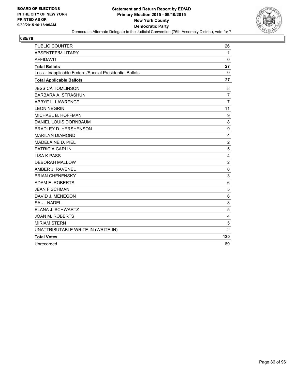

| <b>PUBLIC COUNTER</b>                                    | 26                      |
|----------------------------------------------------------|-------------------------|
| ABSENTEE/MILITARY                                        | 1                       |
| <b>AFFIDAVIT</b>                                         | 0                       |
| <b>Total Ballots</b>                                     | 27                      |
| Less - Inapplicable Federal/Special Presidential Ballots | 0                       |
| <b>Total Applicable Ballots</b>                          | 27                      |
| <b>JESSICA TOMLINSON</b>                                 | 8                       |
| <b>BARBARA A. STRASHUN</b>                               | $\overline{7}$          |
| ABBYE L. LAWRENCE                                        | $\overline{7}$          |
| <b>LEON NEGRIN</b>                                       | 11                      |
| MICHAEL B. HOFFMAN                                       | 9                       |
| DANIEL LOUIS DORNBAUM                                    | 8                       |
| <b>BRADLEY D. HERSHENSON</b>                             | 9                       |
| <b>MARILYN DIAMOND</b>                                   | 4                       |
| MADELAINE D. PIEL                                        | $\overline{2}$          |
| <b>PATRICIA CARLIN</b>                                   | 5                       |
| <b>LISA K PASS</b>                                       | 4                       |
| <b>DEBORAH MALLOW</b>                                    | $\overline{2}$          |
| AMBER J. RAVENEL                                         | 0                       |
| <b>BRIAN CHENENSKY</b>                                   | 3                       |
| ADAM E. ROBERTS                                          | 6                       |
| <b>JEAN FISCHMAN</b>                                     | 5                       |
| DAVID J. MENEGON                                         | 6                       |
| <b>SAUL NADEL</b>                                        | 8                       |
| ELANA J. SCHWARTZ                                        | 5                       |
| <b>JOAN M. ROBERTS</b>                                   | $\overline{\mathbf{4}}$ |
| <b>MIRIAM STERN</b>                                      | 5                       |
| UNATTRIBUTABLE WRITE-IN (WRITE-IN)                       | $\overline{2}$          |
| <b>Total Votes</b>                                       | 120                     |
| Unrecorded                                               | 69                      |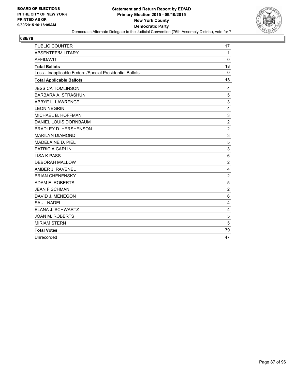

| <b>PUBLIC COUNTER</b>                                    | 17             |
|----------------------------------------------------------|----------------|
| ABSENTEE/MILITARY                                        | $\mathbf{1}$   |
| <b>AFFIDAVIT</b>                                         | $\Omega$       |
| <b>Total Ballots</b>                                     | 18             |
| Less - Inapplicable Federal/Special Presidential Ballots | 0              |
| <b>Total Applicable Ballots</b>                          | 18             |
| <b>JESSICA TOMLINSON</b>                                 | 4              |
| <b>BARBARA A. STRASHUN</b>                               | 5              |
| ABBYE L. LAWRENCE                                        | 3              |
| <b>LEON NEGRIN</b>                                       | 4              |
| MICHAEL B. HOFFMAN                                       | 3              |
| DANIEL LOUIS DORNBAUM                                    | $\overline{2}$ |
| <b>BRADLEY D. HERSHENSON</b>                             | $\overline{2}$ |
| <b>MARILYN DIAMOND</b>                                   | 3              |
| MADELAINE D. PIEL                                        | 5              |
| <b>PATRICIA CARLIN</b>                                   | 3              |
| <b>LISA K PASS</b>                                       | 6              |
| <b>DEBORAH MALLOW</b>                                    | $\overline{2}$ |
| AMBER J. RAVENEL                                         | 4              |
| <b>BRIAN CHENENSKY</b>                                   | $\overline{2}$ |
| ADAM E. ROBERTS                                          | 5              |
| <b>JEAN FISCHMAN</b>                                     | $\overline{2}$ |
| DAVID J. MENEGON                                         | 6              |
| <b>SAUL NADEL</b>                                        | 4              |
| ELANA J. SCHWARTZ                                        | 4              |
| <b>JOAN M. ROBERTS</b>                                   | 5              |
| <b>MIRIAM STERN</b>                                      | 5              |
| <b>Total Votes</b>                                       | 79             |
| Unrecorded                                               | 47             |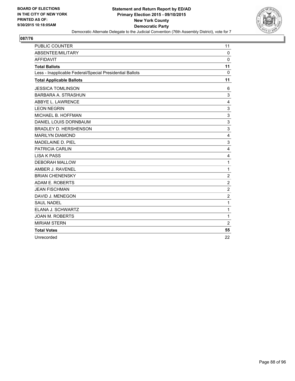

| <b>PUBLIC COUNTER</b>                                    | 11             |
|----------------------------------------------------------|----------------|
| ABSENTEE/MILITARY                                        | $\mathbf 0$    |
| <b>AFFIDAVIT</b>                                         | $\Omega$       |
| <b>Total Ballots</b>                                     | 11             |
| Less - Inapplicable Federal/Special Presidential Ballots | 0              |
| <b>Total Applicable Ballots</b>                          | 11             |
| <b>JESSICA TOMLINSON</b>                                 | 6              |
| <b>BARBARA A. STRASHUN</b>                               | 3              |
| ABBYE L. LAWRENCE                                        | 4              |
| <b>LEON NEGRIN</b>                                       | 3              |
| MICHAEL B. HOFFMAN                                       | 3              |
| DANIEL LOUIS DORNBAUM                                    | 3              |
| <b>BRADLEY D. HERSHENSON</b>                             | 3              |
| <b>MARILYN DIAMOND</b>                                   | 4              |
| <b>MADELAINE D. PIEL</b>                                 | 3              |
| <b>PATRICIA CARLIN</b>                                   | $\overline{4}$ |
| <b>LISA K PASS</b>                                       | $\overline{4}$ |
| <b>DEBORAH MALLOW</b>                                    | 1              |
| AMBER J. RAVENEL                                         | 1              |
| <b>BRIAN CHENENSKY</b>                                   | $\overline{2}$ |
| ADAM E. ROBERTS                                          | 2              |
| <b>JEAN FISCHMAN</b>                                     | $\overline{2}$ |
| DAVID J. MENEGON                                         | $\overline{2}$ |
| <b>SAUL NADEL</b>                                        | 1              |
| ELANA J. SCHWARTZ                                        | 1              |
| <b>JOAN M. ROBERTS</b>                                   | 1              |
| <b>MIRIAM STERN</b>                                      | $\overline{c}$ |
| <b>Total Votes</b>                                       | 55             |
| Unrecorded                                               | 22             |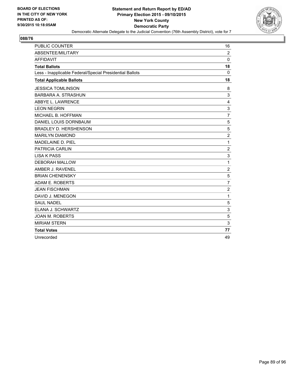

| PUBLIC COUNTER                                           | 16             |
|----------------------------------------------------------|----------------|
| ABSENTEE/MILITARY                                        | $\overline{2}$ |
| <b>AFFIDAVIT</b>                                         | $\Omega$       |
| <b>Total Ballots</b>                                     | 18             |
| Less - Inapplicable Federal/Special Presidential Ballots | $\mathbf{0}$   |
| <b>Total Applicable Ballots</b>                          | 18             |
| <b>JESSICA TOMLINSON</b>                                 | 8              |
| <b>BARBARA A. STRASHUN</b>                               | 3              |
| ABBYE L. LAWRENCE                                        | 4              |
| <b>LEON NEGRIN</b>                                       | 3              |
| MICHAEL B. HOFFMAN                                       | $\overline{7}$ |
| DANIEL LOUIS DORNBAUM                                    | 5              |
| <b>BRADLEY D. HERSHENSON</b>                             | 5              |
| <b>MARILYN DIAMOND</b>                                   | 2              |
| MADELAINE D. PIEL                                        | 1              |
| PATRICIA CARLIN                                          | $\overline{2}$ |
| <b>LISA K PASS</b>                                       | 3              |
| <b>DEBORAH MALLOW</b>                                    | 1              |
| AMBER J. RAVENEL                                         | $\overline{c}$ |
| <b>BRIAN CHENENSKY</b>                                   | 5              |
| ADAM E. ROBERTS                                          | $\overline{7}$ |
| <b>JEAN FISCHMAN</b>                                     | $\overline{2}$ |
| DAVID J. MENEGON                                         | 1              |
| <b>SAUL NADEL</b>                                        | 5              |
| ELANA J. SCHWARTZ                                        | 3              |
| <b>JOAN M. ROBERTS</b>                                   | 5              |
| <b>MIRIAM STERN</b>                                      | 3              |
| <b>Total Votes</b>                                       | 77             |
| Unrecorded                                               | 49             |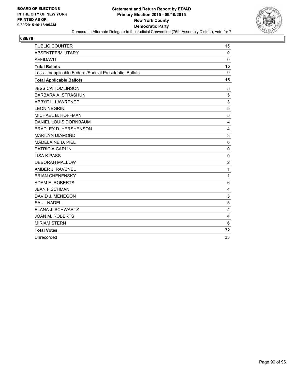

| <b>PUBLIC COUNTER</b>                                    | 15          |
|----------------------------------------------------------|-------------|
| ABSENTEE/MILITARY                                        | $\mathbf 0$ |
| <b>AFFIDAVIT</b>                                         | $\Omega$    |
| <b>Total Ballots</b>                                     | 15          |
| Less - Inapplicable Federal/Special Presidential Ballots | 0           |
| <b>Total Applicable Ballots</b>                          | 15          |
| <b>JESSICA TOMLINSON</b>                                 | 5           |
| <b>BARBARA A. STRASHUN</b>                               | 5           |
| ABBYE L. LAWRENCE                                        | 3           |
| <b>LEON NEGRIN</b>                                       | 5           |
| MICHAEL B. HOFFMAN                                       | 5           |
| DANIEL LOUIS DORNBAUM                                    | 4           |
| <b>BRADLEY D. HERSHENSON</b>                             | 4           |
| <b>MARILYN DIAMOND</b>                                   | 3           |
| <b>MADELAINE D. PIEL</b>                                 | $\mathbf 0$ |
| <b>PATRICIA CARLIN</b>                                   | $\mathbf 0$ |
| <b>LISA K PASS</b>                                       | $\Omega$    |
| <b>DEBORAH MALLOW</b>                                    | 2           |
| AMBER J. RAVENEL                                         | 1           |
| <b>BRIAN CHENENSKY</b>                                   | 1           |
| ADAM E. ROBERTS                                          | 6           |
| <b>JEAN FISCHMAN</b>                                     | 4           |
| DAVID J. MENEGON                                         | 5           |
| <b>SAUL NADEL</b>                                        | 5           |
| ELANA J. SCHWARTZ                                        | 4           |
| <b>JOAN M. ROBERTS</b>                                   | 4           |
| <b>MIRIAM STERN</b>                                      | 6           |
| <b>Total Votes</b>                                       | 72          |
| Unrecorded                                               | 33          |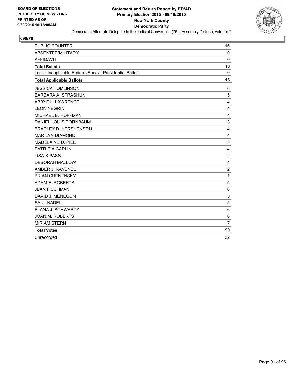

| <b>PUBLIC COUNTER</b>                                    | 16             |
|----------------------------------------------------------|----------------|
| ABSENTEE/MILITARY                                        | $\mathbf 0$    |
| <b>AFFIDAVIT</b>                                         | $\Omega$       |
| <b>Total Ballots</b>                                     | 16             |
| Less - Inapplicable Federal/Special Presidential Ballots | 0              |
| <b>Total Applicable Ballots</b>                          | 16             |
| <b>JESSICA TOMLINSON</b>                                 | 6              |
| <b>BARBARA A. STRASHUN</b>                               | 5              |
| ABBYE L. LAWRENCE                                        | 4              |
| <b>LEON NEGRIN</b>                                       | 4              |
| MICHAEL B. HOFFMAN                                       | 4              |
| DANIEL LOUIS DORNBAUM                                    | 3              |
| <b>BRADLEY D. HERSHENSON</b>                             | 4              |
| <b>MARILYN DIAMOND</b>                                   | 4              |
| <b>MADELAINE D. PIEL</b>                                 | 3              |
| <b>PATRICIA CARLIN</b>                                   | $\overline{4}$ |
| <b>LISA K PASS</b>                                       | $\overline{2}$ |
| <b>DEBORAH MALLOW</b>                                    | 4              |
| AMBER J. RAVENEL                                         | $\overline{2}$ |
| <b>BRIAN CHENENSKY</b>                                   | 1              |
| ADAM E. ROBERTS                                          | 5              |
| <b>JEAN FISCHMAN</b>                                     | 6              |
| DAVID J. MENEGON                                         | 5              |
| <b>SAUL NADEL</b>                                        | 5              |
| ELANA J. SCHWARTZ                                        | 6              |
| <b>JOAN M. ROBERTS</b>                                   | 6              |
| <b>MIRIAM STERN</b>                                      | $\overline{7}$ |
| <b>Total Votes</b>                                       | 90             |
| Unrecorded                                               | 22             |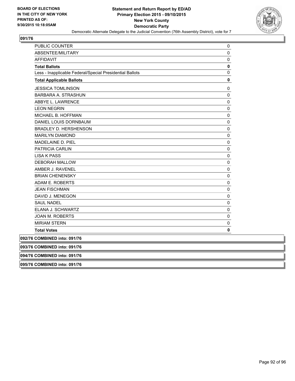

| PUBLIC COUNTER                                           | 0           |
|----------------------------------------------------------|-------------|
| ABSENTEE/MILITARY                                        | 0           |
| <b>AFFIDAVIT</b>                                         | 0           |
| <b>Total Ballots</b>                                     | $\pmb{0}$   |
| Less - Inapplicable Federal/Special Presidential Ballots | 0           |
| <b>Total Applicable Ballots</b>                          | 0           |
| <b>JESSICA TOMLINSON</b>                                 | 0           |
| <b>BARBARA A. STRASHUN</b>                               | $\pmb{0}$   |
| ABBYE L. LAWRENCE                                        | $\pmb{0}$   |
| <b>LEON NEGRIN</b>                                       | 0           |
| MICHAEL B. HOFFMAN                                       | $\mathbf 0$ |
| DANIEL LOUIS DORNBAUM                                    | 0           |
| <b>BRADLEY D. HERSHENSON</b>                             | 0           |
| <b>MARILYN DIAMOND</b>                                   | 0           |
| MADELAINE D. PIEL                                        | 0           |
| <b>PATRICIA CARLIN</b>                                   | $\mathbf 0$ |
| <b>LISA K PASS</b>                                       | 0           |
| <b>DEBORAH MALLOW</b>                                    | $\pmb{0}$   |
| AMBER J. RAVENEL                                         | 0           |
| <b>BRIAN CHENENSKY</b>                                   | 0           |
| ADAM E. ROBERTS                                          | $\mathbf 0$ |
| <b>JEAN FISCHMAN</b>                                     | 0           |
| DAVID J. MENEGON                                         | $\pmb{0}$   |
| <b>SAUL NADEL</b>                                        | 0           |
| ELANA J. SCHWARTZ                                        | 0           |
| JOAN M. ROBERTS                                          | 0           |
| <b>MIRIAM STERN</b>                                      | 0           |
| <b>Total Votes</b>                                       | 0           |
| 092/76 COMBINED into: 091/76                             |             |
| 093/76 COMBINED into: 091/76                             |             |
| 094/76 COMBINED into: 091/76                             |             |
| 095/76 COMBINED into: 091/76                             |             |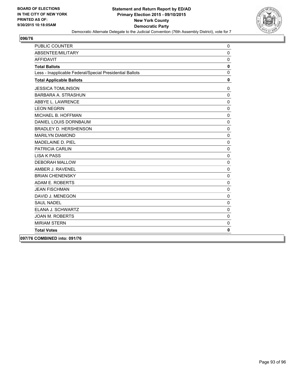

| <b>PUBLIC COUNTER</b>                                    | 0            |
|----------------------------------------------------------|--------------|
| <b>ABSENTEE/MILITARY</b>                                 | $\mathbf{0}$ |
| <b>AFFIDAVIT</b>                                         | $\mathbf 0$  |
| <b>Total Ballots</b>                                     | $\pmb{0}$    |
| Less - Inapplicable Federal/Special Presidential Ballots | $\Omega$     |
| <b>Total Applicable Ballots</b>                          | $\mathbf 0$  |
| <b>JESSICA TOMLINSON</b>                                 | $\mathbf 0$  |
| <b>BARBARA A. STRASHUN</b>                               | $\mathbf 0$  |
| ABBYE L. LAWRENCE                                        | $\mathbf{0}$ |
| <b>LEON NEGRIN</b>                                       | $\Omega$     |
| MICHAEL B. HOFFMAN                                       | $\mathbf 0$  |
| DANIEL LOUIS DORNBAUM                                    | $\mathbf 0$  |
| <b>BRADLEY D. HERSHENSON</b>                             | $\mathbf 0$  |
| <b>MARILYN DIAMOND</b>                                   | $\Omega$     |
| MADELAINE D. PIEL                                        | $\Omega$     |
| <b>PATRICIA CARLIN</b>                                   | $\mathbf{0}$ |
| <b>LISA K PASS</b>                                       | $\mathbf 0$  |
| <b>DEBORAH MALLOW</b>                                    | $\mathbf 0$  |
| AMBER J. RAVENEL                                         | $\mathbf 0$  |
| <b>BRIAN CHENENSKY</b>                                   | $\mathbf 0$  |
| ADAM E. ROBERTS                                          | $\Omega$     |
| <b>JEAN FISCHMAN</b>                                     | $\mathbf 0$  |
| DAVID J. MENEGON                                         | $\mathbf{0}$ |
| <b>SAUL NADEL</b>                                        | $\mathbf 0$  |
| ELANA J. SCHWARTZ                                        | $\mathbf{0}$ |
| <b>JOAN M. ROBERTS</b>                                   | $\Omega$     |
| <b>MIRIAM STERN</b>                                      | $\mathbf 0$  |
| <b>Total Votes</b>                                       | $\mathbf 0$  |
| 097/76 COMBINED into: 091/76                             |              |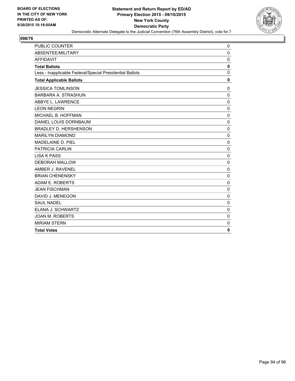

| PUBLIC COUNTER                                           | $\mathbf 0$  |
|----------------------------------------------------------|--------------|
| ABSENTEE/MILITARY                                        | 0            |
| <b>AFFIDAVIT</b>                                         | $\mathbf 0$  |
| <b>Total Ballots</b>                                     | 0            |
| Less - Inapplicable Federal/Special Presidential Ballots | $\Omega$     |
| <b>Total Applicable Ballots</b>                          | 0            |
| <b>JESSICA TOMLINSON</b>                                 | 0            |
| <b>BARBARA A. STRASHUN</b>                               | $\Omega$     |
| ABBYE L. LAWRENCE                                        | 0            |
| <b>LEON NEGRIN</b>                                       | $\mathbf{0}$ |
| MICHAEL B. HOFFMAN                                       | $\Omega$     |
| DANIEL LOUIS DORNBAUM                                    | $\Omega$     |
| <b>BRADLEY D. HERSHENSON</b>                             | $\Omega$     |
| <b>MARILYN DIAMOND</b>                                   | $\mathbf 0$  |
| MADELAINE D. PIEL                                        | $\Omega$     |
| <b>PATRICIA CARLIN</b>                                   | $\Omega$     |
| <b>LISA K PASS</b>                                       | $\mathbf 0$  |
| <b>DEBORAH MALLOW</b>                                    | $\Omega$     |
| AMBER J. RAVENEL                                         | $\mathbf 0$  |
| <b>BRIAN CHENENSKY</b>                                   | 0            |
| ADAM E. ROBERTS                                          | $\mathbf{0}$ |
| <b>JEAN FISCHMAN</b>                                     | $\Omega$     |
| DAVID J. MENEGON                                         | 0            |
| <b>SAUL NADEL</b>                                        | $\mathbf{0}$ |
| ELANA J. SCHWARTZ                                        | $\mathbf 0$  |
| <b>JOAN M. ROBERTS</b>                                   | $\mathbf 0$  |
| <b>MIRIAM STERN</b>                                      | 0            |
| <b>Total Votes</b>                                       | 0            |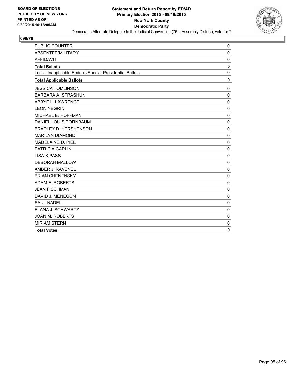

| <b>PUBLIC COUNTER</b>                                    | 0            |
|----------------------------------------------------------|--------------|
| ABSENTEE/MILITARY                                        | $\mathbf 0$  |
| <b>AFFIDAVIT</b>                                         | 0            |
| <b>Total Ballots</b>                                     | 0            |
| Less - Inapplicable Federal/Special Presidential Ballots | $\mathbf{0}$ |
| <b>Total Applicable Ballots</b>                          | 0            |
| <b>JESSICA TOMLINSON</b>                                 | $\mathbf 0$  |
| BARBARA A. STRASHUN                                      | $\Omega$     |
| ABBYE L. LAWRENCE                                        | 0            |
| <b>LEON NEGRIN</b>                                       | $\mathbf 0$  |
| MICHAEL B. HOFFMAN                                       | $\mathbf 0$  |
| DANIEL LOUIS DORNBAUM                                    | $\mathbf 0$  |
| <b>BRADLEY D. HERSHENSON</b>                             | 0            |
| <b>MARILYN DIAMOND</b>                                   | $\Omega$     |
| MADELAINE D. PIEL                                        | $\mathbf 0$  |
| <b>PATRICIA CARLIN</b>                                   | $\mathbf 0$  |
| <b>LISA K PASS</b>                                       | $\mathbf 0$  |
| <b>DEBORAH MALLOW</b>                                    | $\Omega$     |
| AMBER J. RAVENEL                                         | $\mathbf 0$  |
| <b>BRIAN CHENENSKY</b>                                   | 0            |
| ADAM E. ROBERTS                                          | $\mathbf 0$  |
| <b>JEAN FISCHMAN</b>                                     | $\mathbf 0$  |
| DAVID J. MENEGON                                         | $\mathbf 0$  |
| <b>SAUL NADEL</b>                                        | 0            |
| ELANA J. SCHWARTZ                                        | $\mathbf 0$  |
| <b>JOAN M. ROBERTS</b>                                   | $\mathbf 0$  |
| <b>MIRIAM STERN</b>                                      | 0            |
| <b>Total Votes</b>                                       | 0            |